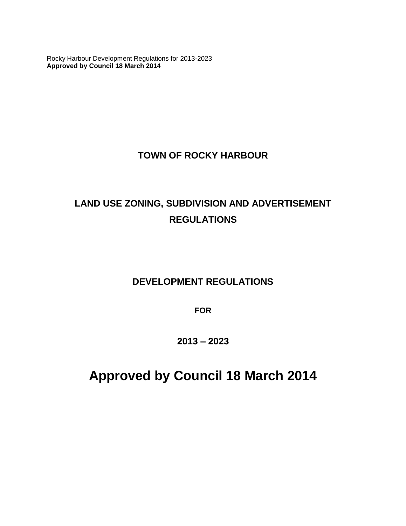# **TOWN OF ROCKY HARBOUR**

# **LAND USE ZONING, SUBDIVISION AND ADVERTISEMENT REGULATIONS**

# **DEVELOPMENT REGULATIONS**

**FOR**

**2013 – 2023**

# **Approved by Council 18 March 2014**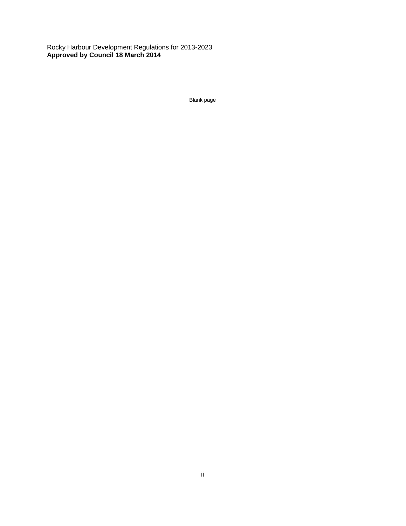Blank page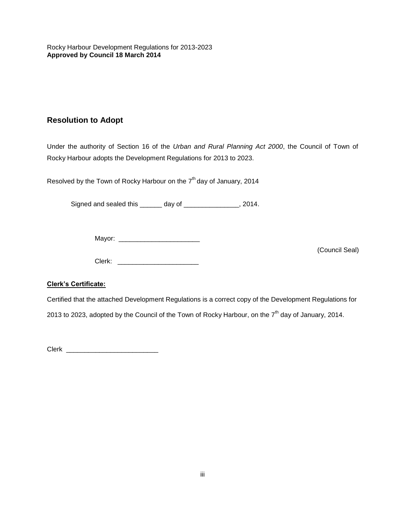# **Resolution to Adopt**

Under the authority of Section 16 of the *Urban and Rural Planning Act 2000*, the Council of Town of Rocky Harbour adopts the Development Regulations for 2013 to 2023.

Resolved by the Town of Rocky Harbour on the  $7<sup>th</sup>$  day of January, 2014

Signed and sealed this \_\_\_\_\_\_ day of \_\_\_\_\_\_\_\_\_\_\_\_\_\_\_, 2014.

Mayor: \_\_\_\_\_\_\_\_\_\_\_\_\_\_\_\_\_\_\_\_\_\_

(Council Seal)

Clerk: \_\_\_\_\_\_\_\_\_\_\_\_\_\_\_\_\_\_\_\_\_\_

# **Clerk's Certificate:**

Certified that the attached Development Regulations is a correct copy of the Development Regulations for 2013 to 2023, adopted by the Council of the Town of Rocky Harbour, on the  $7<sup>th</sup>$  day of January, 2014.

Clerk \_\_\_\_\_\_\_\_\_\_\_\_\_\_\_\_\_\_\_\_\_\_\_\_\_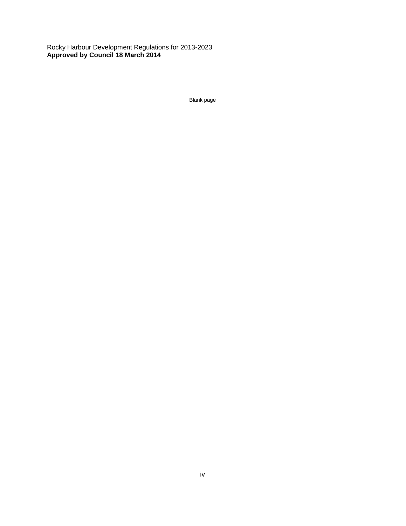Blank page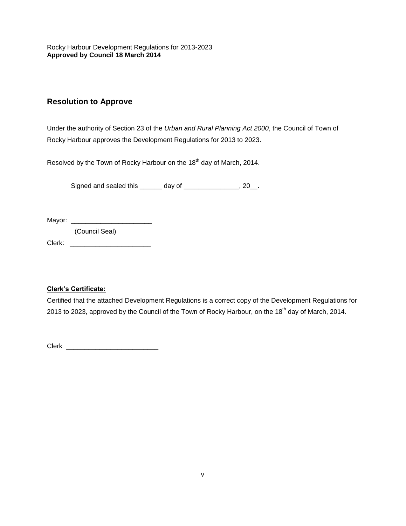# **Resolution to Approve**

Under the authority of Section 23 of the *Urban and Rural Planning Act 2000*, the Council of Town of Rocky Harbour approves the Development Regulations for 2013 to 2023.

Resolved by the Town of Rocky Harbour on the 18<sup>th</sup> day of March, 2014.

Signed and sealed this \_\_\_\_\_\_ day of \_\_\_\_\_\_\_\_\_\_\_\_\_, 20\_.

Mayor: \_\_\_\_\_\_\_\_\_\_\_\_\_\_\_\_\_\_\_\_\_\_

(Council Seal)

Clerk: \_\_\_\_\_\_\_\_\_\_\_\_\_\_\_\_\_\_\_\_\_\_

# **Clerk's Certificate:**

Certified that the attached Development Regulations is a correct copy of the Development Regulations for 2013 to 2023, approved by the Council of the Town of Rocky Harbour, on the 18<sup>th</sup> day of March, 2014.

Clerk \_\_\_\_\_\_\_\_\_\_\_\_\_\_\_\_\_\_\_\_\_\_\_\_\_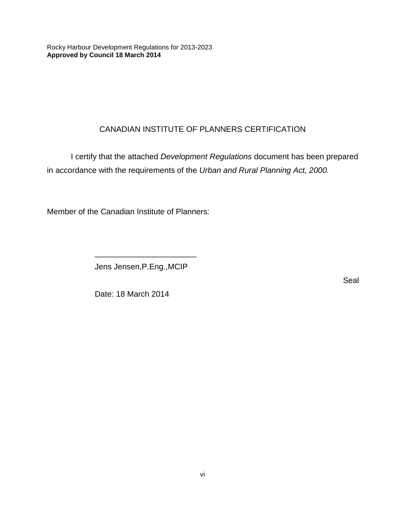# CANADIAN INSTITUTE OF PLANNERS CERTIFICATION

I certify that the attached *Development Regulations* document has been prepared in accordance with the requirements of the *Urban and Rural Planning Act, 2000.*

Member of the Canadian Institute of Planners:

Jens Jensen,P.Eng.,MCIP

\_\_\_\_\_\_\_\_\_\_\_\_\_\_\_\_\_\_\_\_\_\_\_

Date: 18 March 2014

Seal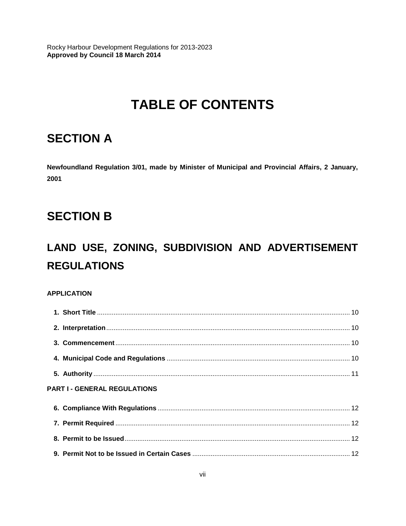# **TABLE OF CONTENTS**

# **SECTION A**

Newfoundland Regulation 3/01, made by Minister of Municipal and Provincial Affairs, 2 January, 2001

# **SECTION B**

# LAND USE, ZONING, SUBDIVISION AND ADVERTISEMENT **REGULATIONS**

# **APPLICATION**

| <b>PART I - GENERAL REGULATIONS</b> |  |  |  |
|-------------------------------------|--|--|--|
|                                     |  |  |  |
|                                     |  |  |  |
|                                     |  |  |  |
|                                     |  |  |  |
|                                     |  |  |  |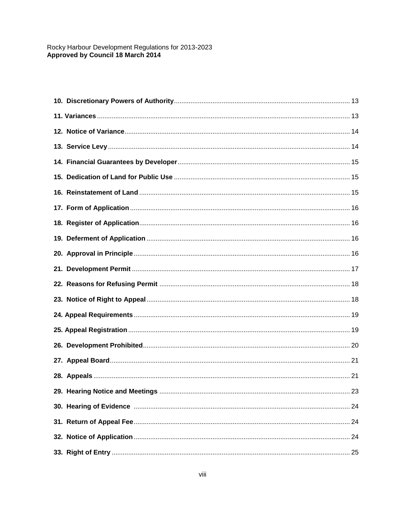|  | 23 |
|--|----|
|  |    |
|  |    |
|  |    |
|  |    |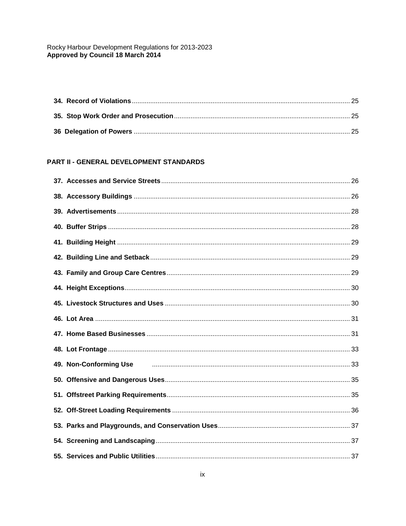# PART II - GENERAL DEVELOPMENT STANDARDS

| 49. Non-Conforming Use <b>contract to the Conforming Use</b> 33 |  |
|-----------------------------------------------------------------|--|
|                                                                 |  |
|                                                                 |  |
|                                                                 |  |
|                                                                 |  |
|                                                                 |  |
|                                                                 |  |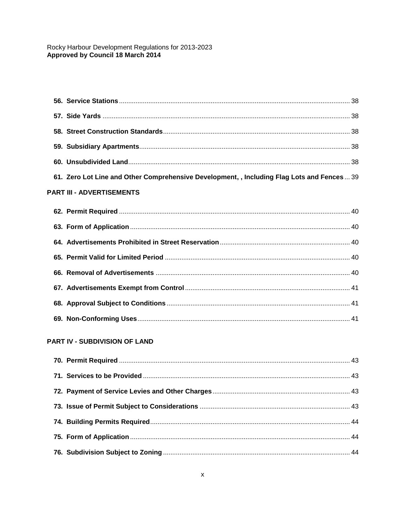| 61. Zero Lot Line and Other Comprehensive Development, , Including Flag Lots and Fences 39 |  |
|--------------------------------------------------------------------------------------------|--|
| <b>PART III - ADVERTISEMENTS</b>                                                           |  |
|                                                                                            |  |
|                                                                                            |  |
|                                                                                            |  |
|                                                                                            |  |
|                                                                                            |  |
|                                                                                            |  |
|                                                                                            |  |
|                                                                                            |  |
|                                                                                            |  |

# PART IV - SUBDIVISION OF LAND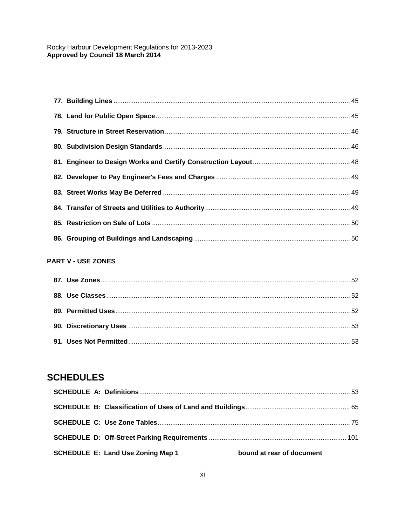# **PART V - USE ZONES**

# **SCHEDULES**

| <b>SCHEDULE E: Land Use Zoning Map 1</b> | bound at rear of document |
|------------------------------------------|---------------------------|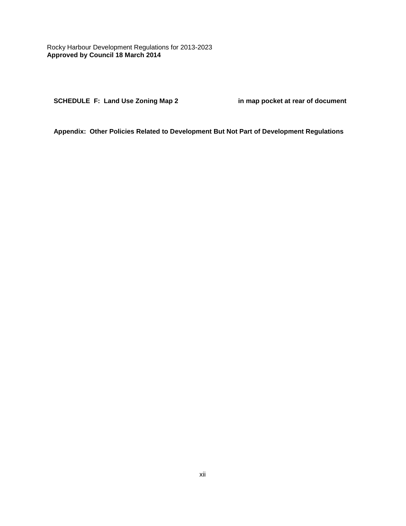**SCHEDULE F: Land Use Zoning Map 2 in map pocket at rear of document**

**Appendix: Other Policies Related to Development But Not Part of Development Regulations**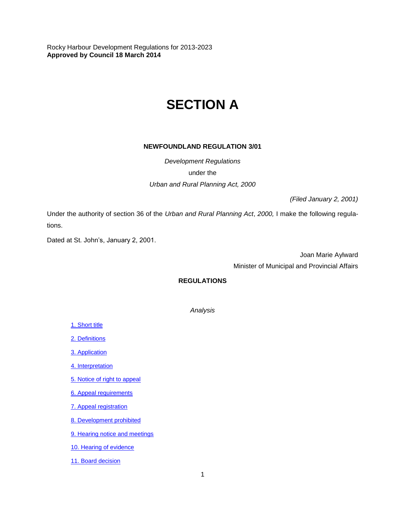# **SECTION A**

# **NEWFOUNDLAND REGULATION 3/01**

*Development Regulations* under the *Urban and Rural Planning Act, 2000*

*(Filed January 2, 2001)*

Under the authority of section 36 of the *Urban and Rural Planning Act*, *2000,* I make the following regulations.

Dated at St. John's, January 2, 2001.

Joan Marie Aylward Minister of Municipal and Provincial Affairs

# **REGULATIONS**

*Analysis*

1. Short title

2. Definitions

- 3. Application
- 4. Interpretation
- 5. Notice of right to appeal
- 6. Appeal requirements
- 7. Appeal registration
- 8. Development prohibited
- 9. Hearing notice and meetings

10. Hearing of evidence

11. Board decision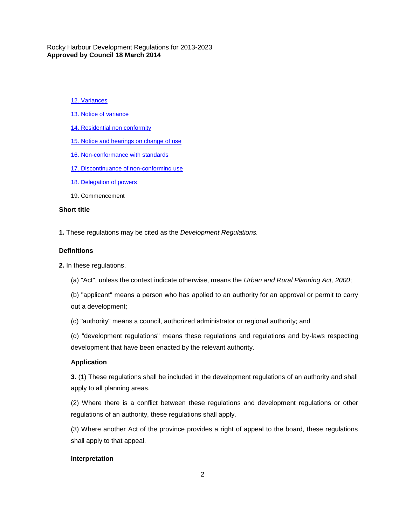# 12. Variances

- 13. Notice of variance
- 14. Residential non conformity
- 15. Notice and hearings on change of use
- 16. Non-conformance with standards
- 17. Discontinuance of non-conforming use
- 18. Delegation of powers
- 19. Commencement

### **Short title**

**1.** These regulations may be cited as the *Development Regulations.*

### **Definitions**

**2.** In these regulations,

(a) "Act", unless the context indicate otherwise, means the *Urban and Rural Planning Act, 2000*;

(b) "applicant" means a person who has applied to an authority for an approval or permit to carry out a development;

(c) "authority" means a council, authorized administrator or regional authority; and

(d) "development regulations" means these regulations and regulations and by-laws respecting development that have been enacted by the relevant authority.

# **Application**

**3.** (1) These regulations shall be included in the development regulations of an authority and shall apply to all planning areas.

(2) Where there is a conflict between these regulations and development regulations or other regulations of an authority, these regulations shall apply.

(3) Where another Act of the province provides a right of appeal to the board, these regulations shall apply to that appeal.

#### **Interpretation**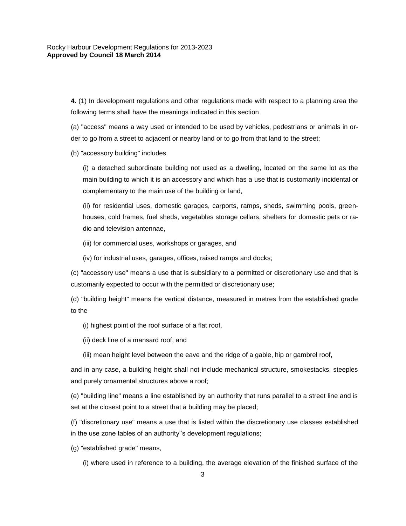**4.** (1) In development regulations and other regulations made with respect to a planning area the following terms shall have the meanings indicated in this section

(a) "access" means a way used or intended to be used by vehicles, pedestrians or animals in order to go from a street to adjacent or nearby land or to go from that land to the street;

(b) "accessory building" includes

(i) a detached subordinate building not used as a dwelling, located on the same lot as the main building to which it is an accessory and which has a use that is customarily incidental or complementary to the main use of the building or land,

(ii) for residential uses, domestic garages, carports, ramps, sheds, swimming pools, greenhouses, cold frames, fuel sheds, vegetables storage cellars, shelters for domestic pets or radio and television antennae,

(iii) for commercial uses, workshops or garages, and

(iv) for industrial uses, garages, offices, raised ramps and docks;

(c) "accessory use" means a use that is subsidiary to a permitted or discretionary use and that is customarily expected to occur with the permitted or discretionary use;

(d) "building height" means the vertical distance, measured in metres from the established grade to the

(i) highest point of the roof surface of a flat roof,

(ii) deck line of a mansard roof, and

(iii) mean height level between the eave and the ridge of a gable, hip or gambrel roof,

and in any case, a building height shall not include mechanical structure, smokestacks, steeples and purely ornamental structures above a roof;

(e) "building line" means a line established by an authority that runs parallel to a street line and is set at the closest point to a street that a building may be placed;

(f) "discretionary use" means a use that is listed within the discretionary use classes established in the use zone tables of an authority''s development regulations;

(g) "established grade" means,

(i) where used in reference to a building, the average elevation of the finished surface of the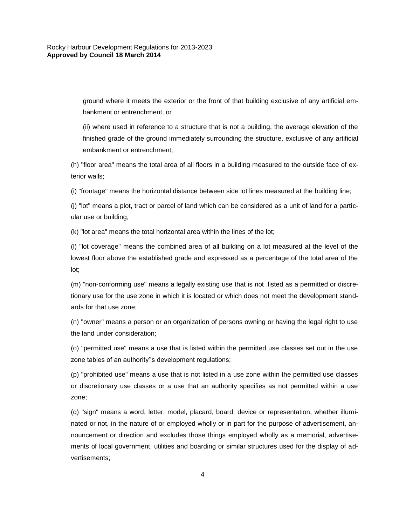ground where it meets the exterior or the front of that building exclusive of any artificial embankment or entrenchment, or

(ii) where used in reference to a structure that is not a building, the average elevation of the finished grade of the ground immediately surrounding the structure, exclusive of any artificial embankment or entrenchment;

(h) "floor area" means the total area of all floors in a building measured to the outside face of exterior walls;

(i) "frontage" means the horizontal distance between side lot lines measured at the building line;

(j) "lot" means a plot, tract or parcel of land which can be considered as a unit of land for a particular use or building;

(k) "lot area" means the total horizontal area within the lines of the lot;

(l) "lot coverage" means the combined area of all building on a lot measured at the level of the lowest floor above the established grade and expressed as a percentage of the total area of the lot;

(m) "non-conforming use" means a legally existing use that is not .listed as a permitted or discretionary use for the use zone in which it is located or which does not meet the development standards for that use zone;

(n) "owner" means a person or an organization of persons owning or having the legal right to use the land under consideration;

(o) "permitted use" means a use that is listed within the permitted use classes set out in the use zone tables of an authority''s development regulations;

(p) "prohibited use" means a use that is not listed in a use zone within the permitted use classes or discretionary use classes or a use that an authority specifies as not permitted within a use zone;

(q) "sign" means a word, letter, model, placard, board, device or representation, whether illuminated or not, in the nature of or employed wholly or in part for the purpose of advertisement, announcement or direction and excludes those things employed wholly as a memorial, advertisements of local government, utilities and boarding or similar structures used for the display of advertisements;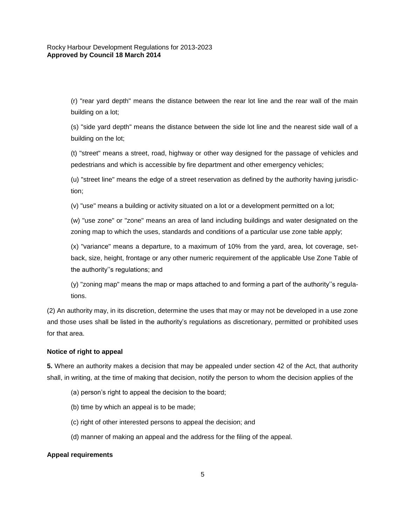(r) "rear yard depth" means the distance between the rear lot line and the rear wall of the main building on a lot;

(s) "side yard depth" means the distance between the side lot line and the nearest side wall of a building on the lot;

(t) "street" means a street, road, highway or other way designed for the passage of vehicles and pedestrians and which is accessible by fire department and other emergency vehicles;

(u) "street line" means the edge of a street reservation as defined by the authority having jurisdiction;

(v) "use" means a building or activity situated on a lot or a development permitted on a lot;

(w) "use zone" or "zone" means an area of land including buildings and water designated on the zoning map to which the uses, standards and conditions of a particular use zone table apply;

(x) "variance" means a departure, to a maximum of 10% from the yard, area, lot coverage, setback, size, height, frontage or any other numeric requirement of the applicable Use Zone Table of the authority''s regulations; and

(y) "zoning map" means the map or maps attached to and forming a part of the authority''s regulations.

(2) An authority may, in its discretion, determine the uses that may or may not be developed in a use zone and those uses shall be listed in the authority's regulations as discretionary, permitted or prohibited uses for that area.

# **Notice of right to appeal**

**5.** Where an authority makes a decision that may be appealed under section 42 of the Act, that authority shall, in writing, at the time of making that decision, notify the person to whom the decision applies of the

- (a) person's right to appeal the decision to the board;
- (b) time by which an appeal is to be made;
- (c) right of other interested persons to appeal the decision; and
- (d) manner of making an appeal and the address for the filing of the appeal.

# **Appeal requirements**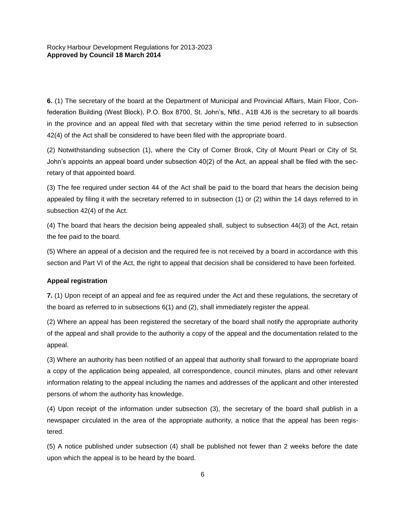**6.** (1) The secretary of the board at the Department of Municipal and Provincial Affairs, Main Floor, Confederation Building (West Block), P.O. Box 8700, St. John's, Nfld., A1B 4J6 is the secretary to all boards in the province and an appeal filed with that secretary within the time period referred to in subsection 42(4) of the Act shall be considered to have been filed with the appropriate board.

(2) Notwithstanding subsection (1), where the City of Corner Brook, City of Mount Pearl or City of St. John's appoints an appeal board under subsection 40(2) of the Act, an appeal shall be filed with the secretary of that appointed board.

(3) The fee required under section 44 of the Act shall be paid to the board that hears the decision being appealed by filing it with the secretary referred to in subsection (1) or (2) within the 14 days referred to in subsection 42(4) of the Act.

(4) The board that hears the decision being appealed shall, subject to subsection 44(3) of the Act, retain the fee paid to the board.

(5) Where an appeal of a decision and the required fee is not received by a board in accordance with this section and Part VI of the Act, the right to appeal that decision shall be considered to have been forfeited.

# **Appeal registration**

**7.** (1) Upon receipt of an appeal and fee as required under the Act and these regulations, the secretary of the board as referred to in subsections 6(1) and (2), shall immediately register the appeal.

(2) Where an appeal has been registered the secretary of the board shall notify the appropriate authority of the appeal and shall provide to the authority a copy of the appeal and the documentation related to the appeal.

(3) Where an authority has been notified of an appeal that authority shall forward to the appropriate board a copy of the application being appealed, all correspondence, council minutes, plans and other relevant information relating to the appeal including the names and addresses of the applicant and other interested persons of whom the authority has knowledge.

(4) Upon receipt of the information under subsection (3), the secretary of the board shall publish in a newspaper circulated in the area of the appropriate authority, a notice that the appeal has been registered.

(5) A notice published under subsection (4) shall be published not fewer than 2 weeks before the date upon which the appeal is to be heard by the board.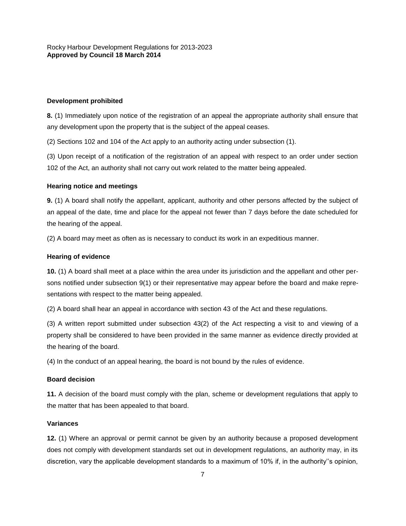#### **Development prohibited**

**8.** (1) Immediately upon notice of the registration of an appeal the appropriate authority shall ensure that any development upon the property that is the subject of the appeal ceases.

(2) Sections 102 and 104 of the Act apply to an authority acting under subsection (1).

(3) Upon receipt of a notification of the registration of an appeal with respect to an order under section 102 of the Act, an authority shall not carry out work related to the matter being appealed.

### **Hearing notice and meetings**

**9.** (1) A board shall notify the appellant, applicant, authority and other persons affected by the subject of an appeal of the date, time and place for the appeal not fewer than 7 days before the date scheduled for the hearing of the appeal.

(2) A board may meet as often as is necessary to conduct its work in an expeditious manner.

### **Hearing of evidence**

**10.** (1) A board shall meet at a place within the area under its jurisdiction and the appellant and other persons notified under subsection 9(1) or their representative may appear before the board and make representations with respect to the matter being appealed.

(2) A board shall hear an appeal in accordance with section 43 of the Act and these regulations.

(3) A written report submitted under subsection 43(2) of the Act respecting a visit to and viewing of a property shall be considered to have been provided in the same manner as evidence directly provided at the hearing of the board.

(4) In the conduct of an appeal hearing, the board is not bound by the rules of evidence.

# **Board decision**

**11.** A decision of the board must comply with the plan, scheme or development regulations that apply to the matter that has been appealed to that board.

# **Variances**

**12.** (1) Where an approval or permit cannot be given by an authority because a proposed development does not comply with development standards set out in development regulations, an authority may, in its discretion, vary the applicable development standards to a maximum of 10% if, in the authority''s opinion,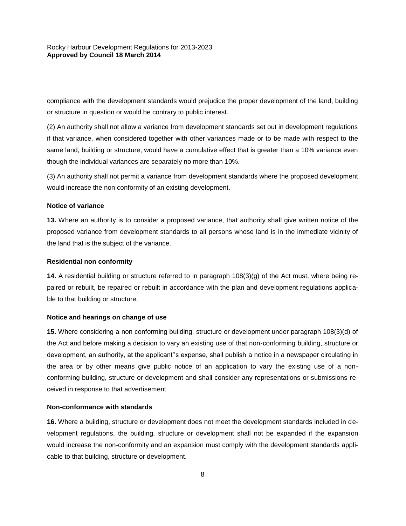compliance with the development standards would prejudice the proper development of the land, building or structure in question or would be contrary to public interest.

(2) An authority shall not allow a variance from development standards set out in development regulations if that variance, when considered together with other variances made or to be made with respect to the same land, building or structure, would have a cumulative effect that is greater than a 10% variance even though the individual variances are separately no more than 10%.

(3) An authority shall not permit a variance from development standards where the proposed development would increase the non conformity of an existing development.

#### **Notice of variance**

**13.** Where an authority is to consider a proposed variance, that authority shall give written notice of the proposed variance from development standards to all persons whose land is in the immediate vicinity of the land that is the subject of the variance.

#### **Residential non conformity**

**14.** A residential building or structure referred to in paragraph 108(3)(g) of the Act must, where being repaired or rebuilt, be repaired or rebuilt in accordance with the plan and development regulations applicable to that building or structure.

## **Notice and hearings on change of use**

**15.** Where considering a non conforming building, structure or development under paragraph 108(3)(d) of the Act and before making a decision to vary an existing use of that non-conforming building, structure or development, an authority, at the applicant''s expense, shall publish a notice in a newspaper circulating in the area or by other means give public notice of an application to vary the existing use of a nonconforming building, structure or development and shall consider any representations or submissions received in response to that advertisement.

## **Non-conformance with standards**

**16.** Where a building, structure or development does not meet the development standards included in development regulations, the building, structure or development shall not be expanded if the expansion would increase the non-conformity and an expansion must comply with the development standards applicable to that building, structure or development.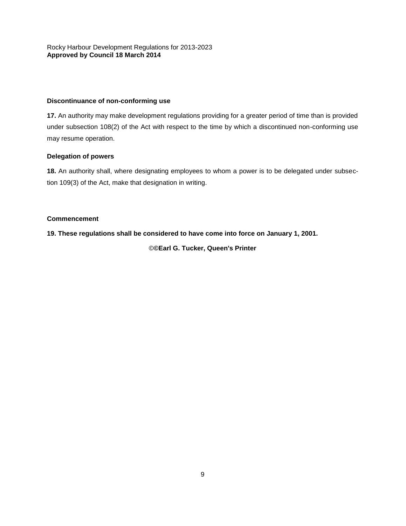# **Discontinuance of non-conforming use**

**17.** An authority may make development regulations providing for a greater period of time than is provided under subsection 108(2) of the Act with respect to the time by which a discontinued non-conforming use may resume operation.

# **Delegation of powers**

**18.** An authority shall, where designating employees to whom a power is to be delegated under subsection 109(3) of the Act, make that designation in writing.

# **Commencement**

**19. These regulations shall be considered to have come into force on January 1, 2001.**

©**©Earl G. Tucker, Queen's Printer**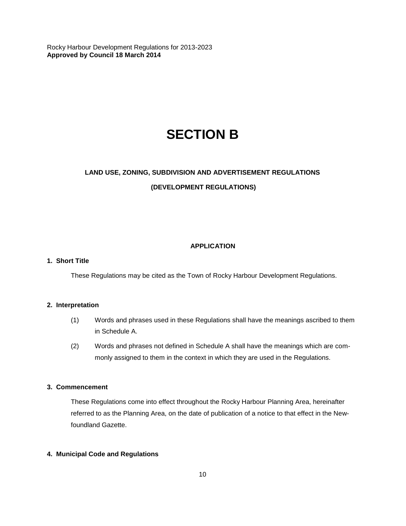# **SECTION B**

# **LAND USE, ZONING, SUBDIVISION AND ADVERTISEMENT REGULATIONS**

# **(DEVELOPMENT REGULATIONS)**

# **APPLICATION**

# <span id="page-21-0"></span>**1. Short Title**

These Regulations may be cited as the Town of Rocky Harbour Development Regulations.

# <span id="page-21-1"></span>**2. Interpretation**

- (1) Words and phrases used in these Regulations shall have the meanings ascribed to them in Schedule A.
- (2) Words and phrases not defined in Schedule A shall have the meanings which are commonly assigned to them in the context in which they are used in the Regulations.

# <span id="page-21-2"></span>**3. Commencement**

 These Regulations come into effect throughout the Rocky Harbour Planning Area, hereinafter referred to as the Planning Area, on the date of publication of a notice to that effect in the Newfoundland Gazette.

# <span id="page-21-3"></span>**4. Municipal Code and Regulations**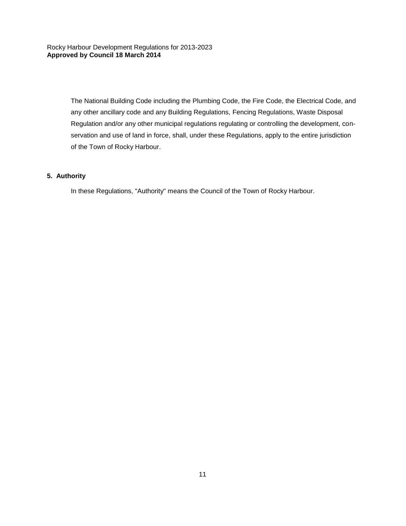> The National Building Code including the Plumbing Code, the Fire Code, the Electrical Code, and any other ancillary code and any Building Regulations, Fencing Regulations, Waste Disposal Regulation and/or any other municipal regulations regulating or controlling the development, conservation and use of land in force, shall, under these Regulations, apply to the entire jurisdiction of the Town of Rocky Harbour.

# <span id="page-22-0"></span>**5. Authority**

In these Regulations, "Authority" means the Council of the Town of Rocky Harbour.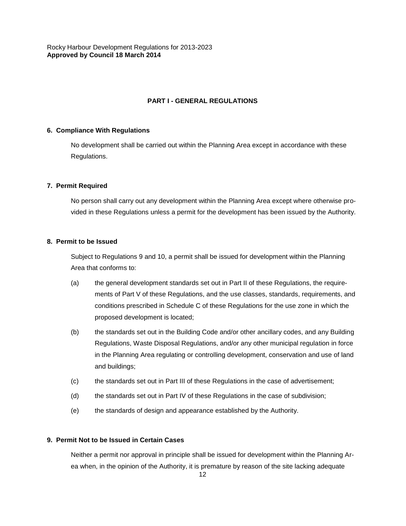# **PART I - GENERAL REGULATIONS**

## <span id="page-23-0"></span>**6. Compliance With Regulations**

 No development shall be carried out within the Planning Area except in accordance with these Regulations.

## <span id="page-23-1"></span>**7. Permit Required**

 No person shall carry out any development within the Planning Area except where otherwise provided in these Regulations unless a permit for the development has been issued by the Authority.

# <span id="page-23-2"></span>**8. Permit to be Issued**

 Subject to Regulations 9 and 10, a permit shall be issued for development within the Planning Area that conforms to:

- (a) the general development standards set out in Part II of these Regulations, the requirements of Part V of these Regulations, and the use classes, standards, requirements, and conditions prescribed in Schedule C of these Regulations for the use zone in which the proposed development is located;
- (b) the standards set out in the Building Code and/or other ancillary codes, and any Building Regulations, Waste Disposal Regulations, and/or any other municipal regulation in force in the Planning Area regulating or controlling development, conservation and use of land and buildings;
- (c) the standards set out in Part III of these Regulations in the case of advertisement;
- (d) the standards set out in Part IV of these Regulations in the case of subdivision;
- (e) the standards of design and appearance established by the Authority.

## <span id="page-23-3"></span>**9. Permit Not to be Issued in Certain Cases**

 Neither a permit nor approval in principle shall be issued for development within the Planning Area when, in the opinion of the Authority, it is premature by reason of the site lacking adequate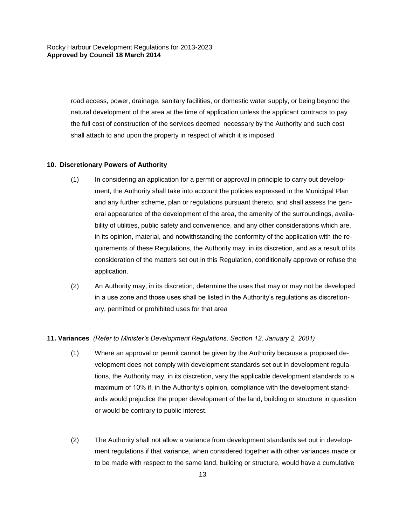> road access, power, drainage, sanitary facilities, or domestic water supply, or being beyond the natural development of the area at the time of application unless the applicant contracts to pay the full cost of construction of the services deemed necessary by the Authority and such cost shall attach to and upon the property in respect of which it is imposed.

### <span id="page-24-0"></span>**10. Discretionary Powers of Authority**

- (1) In considering an application for a permit or approval in principle to carry out development, the Authority shall take into account the policies expressed in the Municipal Plan and any further scheme, plan or regulations pursuant thereto, and shall assess the general appearance of the development of the area, the amenity of the surroundings, availability of utilities, public safety and convenience, and any other considerations which are, in its opinion, material, and notwithstanding the conformity of the application with the requirements of these Regulations, the Authority may, in its discretion, and as a result of its consideration of the matters set out in this Regulation, conditionally approve or refuse the application.
- (2) An Authority may, in its discretion, determine the uses that may or may not be developed in a use zone and those uses shall be listed in the Authority's regulations as discretionary, permitted or prohibited uses for that area

#### <span id="page-24-1"></span>**11. Variances** *(Refer to Minister's Development Regulations, Section 12, January 2, 2001)*

- (1) Where an approval or permit cannot be given by the Authority because a proposed development does not comply with development standards set out in development regulations, the Authority may, in its discretion, vary the applicable development standards to a maximum of 10% if, in the Authority's opinion, compliance with the development standards would prejudice the proper development of the land, building or structure in question or would be contrary to public interest.
- (2) The Authority shall not allow a variance from development standards set out in development regulations if that variance, when considered together with other variances made or to be made with respect to the same land, building or structure, would have a cumulative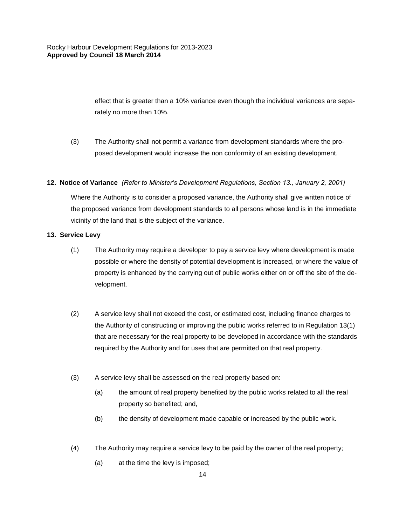effect that is greater than a 10% variance even though the individual variances are separately no more than 10%.

(3) The Authority shall not permit a variance from development standards where the proposed development would increase the non conformity of an existing development.

## <span id="page-25-0"></span>**12. Notice of Variance** *(Refer to Minister's Development Regulations, Section 13., January 2, 2001)*

Where the Authority is to consider a proposed variance, the Authority shall give written notice of the proposed variance from development standards to all persons whose land is in the immediate vicinity of the land that is the subject of the variance.

## <span id="page-25-1"></span>**13. Service Levy**

- (1) The Authority may require a developer to pay a service levy where development is made possible or where the density of potential development is increased, or where the value of property is enhanced by the carrying out of public works either on or off the site of the development.
- (2) A service levy shall not exceed the cost, or estimated cost, including finance charges to the Authority of constructing or improving the public works referred to in Regulation 13(1) that are necessary for the real property to be developed in accordance with the standards required by the Authority and for uses that are permitted on that real property.
- (3) A service levy shall be assessed on the real property based on:
	- (a) the amount of real property benefited by the public works related to all the real property so benefited; and,
	- (b) the density of development made capable or increased by the public work.
- (4) The Authority may require a service levy to be paid by the owner of the real property;
	- (a) at the time the levy is imposed;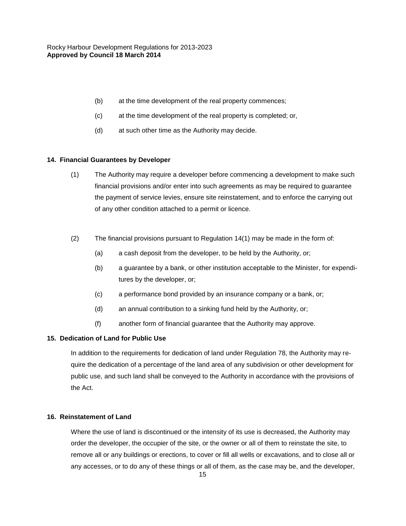- (b) at the time development of the real property commences;
- (c) at the time development of the real property is completed; or,
- (d) at such other time as the Authority may decide.

#### <span id="page-26-0"></span>**14. Financial Guarantees by Developer**

- (1) The Authority may require a developer before commencing a development to make such financial provisions and/or enter into such agreements as may be required to guarantee the payment of service levies, ensure site reinstatement, and to enforce the carrying out of any other condition attached to a permit or licence.
- (2) The financial provisions pursuant to Regulation 14(1) may be made in the form of:
	- (a) a cash deposit from the developer, to be held by the Authority, or;
	- (b) a guarantee by a bank, or other institution acceptable to the Minister, for expenditures by the developer, or;
	- (c) a performance bond provided by an insurance company or a bank, or;
	- (d) an annual contribution to a sinking fund held by the Authority, or;
	- (f) another form of financial guarantee that the Authority may approve.

### <span id="page-26-1"></span>**15. Dedication of Land for Public Use**

 In addition to the requirements for dedication of land under Regulation 78, the Authority may require the dedication of a percentage of the land area of any subdivision or other development for public use, and such land shall be conveyed to the Authority in accordance with the provisions of the Act.

## <span id="page-26-2"></span>**16. Reinstatement of Land**

 Where the use of land is discontinued or the intensity of its use is decreased, the Authority may order the developer, the occupier of the site, or the owner or all of them to reinstate the site, to remove all or any buildings or erections, to cover or fill all wells or excavations, and to close all or any accesses, or to do any of these things or all of them, as the case may be, and the developer,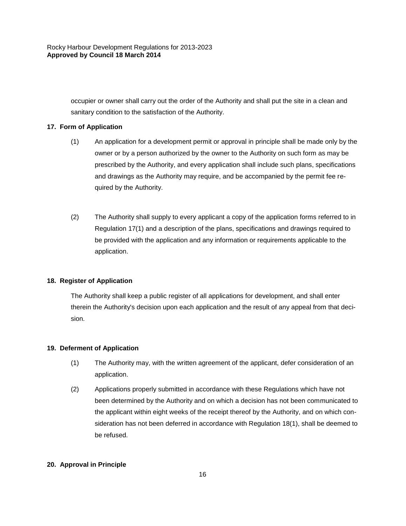occupier or owner shall carry out the order of the Authority and shall put the site in a clean and sanitary condition to the satisfaction of the Authority.

# <span id="page-27-0"></span>**17. Form of Application**

- (1) An application for a development permit or approval in principle shall be made only by the owner or by a person authorized by the owner to the Authority on such form as may be prescribed by the Authority, and every application shall include such plans, specifications and drawings as the Authority may require, and be accompanied by the permit fee required by the Authority.
- (2) The Authority shall supply to every applicant a copy of the application forms referred to in Regulation 17(1) and a description of the plans, specifications and drawings required to be provided with the application and any information or requirements applicable to the application.

# <span id="page-27-1"></span>**18. Register of Application**

 The Authority shall keep a public register of all applications for development, and shall enter therein the Authority's decision upon each application and the result of any appeal from that decision.

# <span id="page-27-2"></span>**19. Deferment of Application**

- (1) The Authority may, with the written agreement of the applicant, defer consideration of an application.
- (2) Applications properly submitted in accordance with these Regulations which have not been determined by the Authority and on which a decision has not been communicated to the applicant within eight weeks of the receipt thereof by the Authority, and on which consideration has not been deferred in accordance with Regulation 18(1), shall be deemed to be refused.

# <span id="page-27-3"></span>**20. Approval in Principle**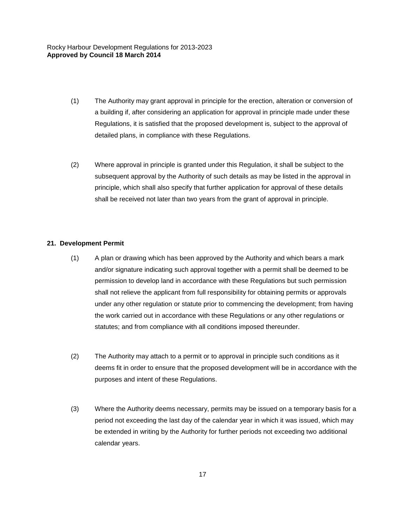- (1) The Authority may grant approval in principle for the erection, alteration or conversion of a building if, after considering an application for approval in principle made under these Regulations, it is satisfied that the proposed development is, subject to the approval of detailed plans, in compliance with these Regulations.
- (2) Where approval in principle is granted under this Regulation, it shall be subject to the subsequent approval by the Authority of such details as may be listed in the approval in principle, which shall also specify that further application for approval of these details shall be received not later than two years from the grant of approval in principle.

# <span id="page-28-0"></span>**21. Development Permit**

- (1) A plan or drawing which has been approved by the Authority and which bears a mark and/or signature indicating such approval together with a permit shall be deemed to be permission to develop land in accordance with these Regulations but such permission shall not relieve the applicant from full responsibility for obtaining permits or approvals under any other regulation or statute prior to commencing the development; from having the work carried out in accordance with these Regulations or any other regulations or statutes; and from compliance with all conditions imposed thereunder.
- (2) The Authority may attach to a permit or to approval in principle such conditions as it deems fit in order to ensure that the proposed development will be in accordance with the purposes and intent of these Regulations.
- (3) Where the Authority deems necessary, permits may be issued on a temporary basis for a period not exceeding the last day of the calendar year in which it was issued, which may be extended in writing by the Authority for further periods not exceeding two additional calendar years.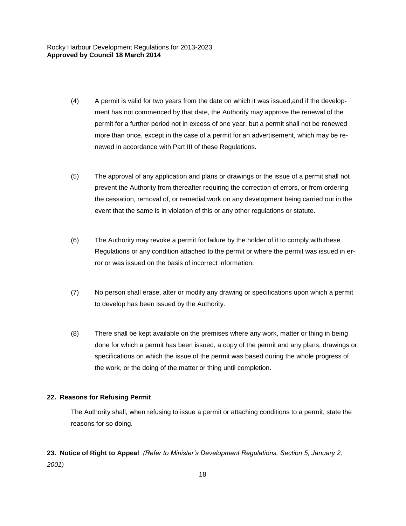- (4) A permit is valid for two years from the date on which it was issued,and if the development has not commenced by that date, the Authority may approve the renewal of the permit for a further period not in excess of one year, but a permit shall not be renewed more than once, except in the case of a permit for an advertisement, which may be renewed in accordance with Part III of these Regulations.
- (5) The approval of any application and plans or drawings or the issue of a permit shall not prevent the Authority from thereafter requiring the correction of errors, or from ordering the cessation, removal of, or remedial work on any development being carried out in the event that the same is in violation of this or any other regulations or statute.
- (6) The Authority may revoke a permit for failure by the holder of it to comply with these Regulations or any condition attached to the permit or where the permit was issued in error or was issued on the basis of incorrect information.
- (7) No person shall erase, alter or modify any drawing or specifications upon which a permit to develop has been issued by the Authority.
- (8) There shall be kept available on the premises where any work, matter or thing in being done for which a permit has been issued, a copy of the permit and any plans, drawings or specifications on which the issue of the permit was based during the whole progress of the work, or the doing of the matter or thing until completion.

#### <span id="page-29-0"></span>**22. Reasons for Refusing Permit**

 The Authority shall, when refusing to issue a permit or attaching conditions to a permit, state the reasons for so doing.

<span id="page-29-1"></span>**23. Notice of Right to Appeal** *(Refer to Minister's Development Regulations, Section 5, January 2, 2001)*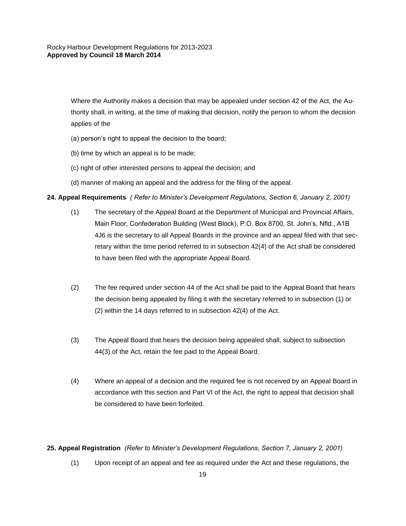Where the Authority makes a decision that may be appealed under section 42 of the Act, the Authority shall, in writing, at the time of making that decision, notify the person to whom the decision applies of the

- (a) person's right to appeal the decision to the board;
- (b) time by which an appeal is to be made;
- (c) right of other interested persons to appeal the decision; and
- (d) manner of making an appeal and the address for the filing of the appeal.

## <span id="page-30-0"></span>**24. Appeal Requirements** *( Refer to Minister's Development Regulations, Section 6, January 2, 2001)*

- (1) The secretary of the Appeal Board at the Department of Municipal and Provincial Affairs, Main Floor, Confederation Building (West Block), P.O. Box 8700, St. John's, Nfld., A1B 4J6 is the secretary to all Appeal Boards in the province and an appeal filed with that secretary within the time period referred to in subsection 42(4) of the Act shall be considered to have been filed with the appropriate Appeal Board.
- (2) The fee required under section 44 of the Act shall be paid to the Appeal Board that hears the decision being appealed by filing it with the secretary referred to in subsection (1) or (2) within the 14 days referred to in subsection 42(4) of the Act.
- (3) The Appeal Board that hears the decision being appealed shall, subject to subsection 44(3) of the Act, retain the fee paid to the Appeal Board.
- (4) Where an appeal of a decision and the required fee is not received by an Appeal Board in accordance with this section and Part VI of the Act, the right to appeal that decision shall be considered to have been forfeited.

<span id="page-30-1"></span>**25. Appeal Registration** *(Refer to Minister's Development Regulations, Section 7, January 2, 2001)*

(1) Upon receipt of an appeal and fee as required under the Act and these regulations, the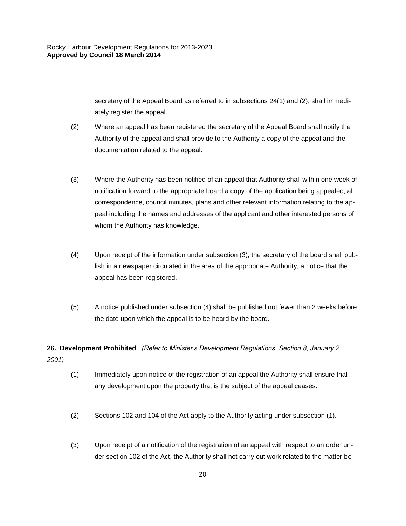secretary of the Appeal Board as referred to in subsections 24(1) and (2), shall immediately register the appeal.

- (2) Where an appeal has been registered the secretary of the Appeal Board shall notify the Authority of the appeal and shall provide to the Authority a copy of the appeal and the documentation related to the appeal.
- (3) Where the Authority has been notified of an appeal that Authority shall within one week of notification forward to the appropriate board a copy of the application being appealed, all correspondence, council minutes, plans and other relevant information relating to the appeal including the names and addresses of the applicant and other interested persons of whom the Authority has knowledge.
- (4) Upon receipt of the information under subsection (3), the secretary of the board shall publish in a newspaper circulated in the area of the appropriate Authority, a notice that the appeal has been registered.
- (5) A notice published under subsection (4) shall be published not fewer than 2 weeks before the date upon which the appeal is to be heard by the board.

<span id="page-31-0"></span>**26. Development Prohibited** *(Refer to Minister's Development Regulations, Section 8, January 2, 2001)*

- (1) Immediately upon notice of the registration of an appeal the Authority shall ensure that any development upon the property that is the subject of the appeal ceases.
- (2) Sections 102 and 104 of the Act apply to the Authority acting under subsection (1).
- (3) Upon receipt of a notification of the registration of an appeal with respect to an order under section 102 of the Act, the Authority shall not carry out work related to the matter be-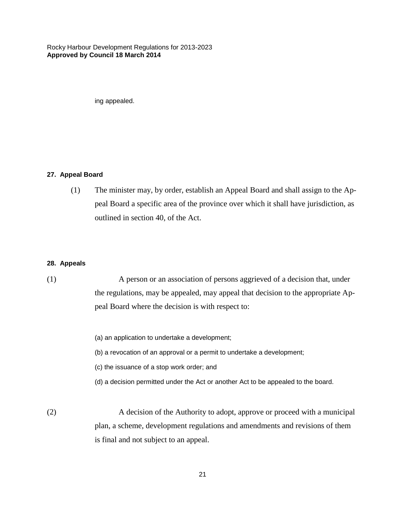ing appealed.

# <span id="page-32-0"></span>**27. Appeal Board**

(1) The minister may, by order, establish an Appeal Board and shall assign to the Appeal Board a specific area of the province over which it shall have jurisdiction, as outlined in section 40, of the Act.

# <span id="page-32-1"></span>**28. Appeals**

- (1) A person or an association of persons aggrieved of a decision that, under the regulations, may be appealed, may appeal that decision to the appropriate Appeal Board where the decision is with respect to:
	- (a) an application to undertake a development;
	- (b) a revocation of an approval or a permit to undertake a development;
	- (c) the issuance of a stop work order; and
	- (d) a decision permitted under the Act or another Act to be appealed to the board.
- (2) A decision of the Authority to adopt, approve or proceed with a municipal plan, a scheme, development regulations and amendments and revisions of them is final and not subject to an appeal.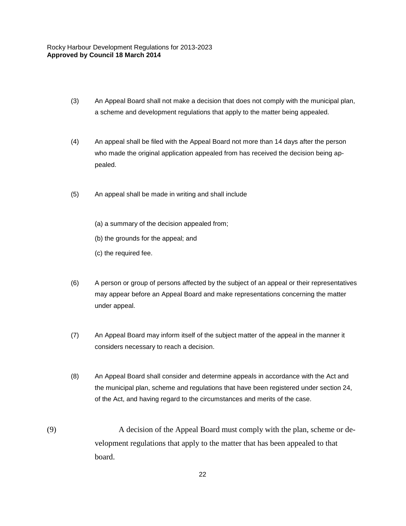- (3) An Appeal Board shall not make a decision that does not comply with the municipal plan, a scheme and development regulations that apply to the matter being appealed.
- (4) An appeal shall be filed with the Appeal Board not more than 14 days after the person who made the original application appealed from has received the decision being appealed.
- (5) An appeal shall be made in writing and shall include
	- (a) a summary of the decision appealed from;
	- (b) the grounds for the appeal; and
	- (c) the required fee.
- (6) A person or group of persons affected by the subject of an appeal or their representatives may appear before an Appeal Board and make representations concerning the matter under appeal.
- (7) An Appeal Board may inform itself of the subject matter of the appeal in the manner it considers necessary to reach a decision.
- (8) An Appeal Board shall consider and determine appeals in accordance with the Act and the municipal plan, scheme and regulations that have been registered under section 24, of the Act, and having regard to the circumstances and merits of the case.
- (9) A decision of the Appeal Board must comply with the plan, scheme or development regulations that apply to the matter that has been appealed to that board.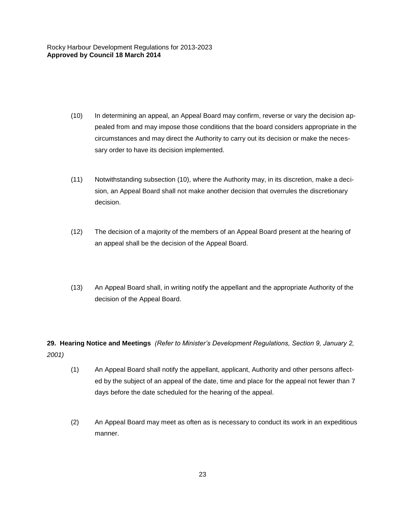- (10) In determining an appeal, an Appeal Board may confirm, reverse or vary the decision appealed from and may impose those conditions that the board considers appropriate in the circumstances and may direct the Authority to carry out its decision or make the necessary order to have its decision implemented.
- (11) Notwithstanding subsection (10), where the Authority may, in its discretion, make a decision, an Appeal Board shall not make another decision that overrules the discretionary decision.
- (12) The decision of a majority of the members of an Appeal Board present at the hearing of an appeal shall be the decision of the Appeal Board.
- (13) An Appeal Board shall, in writing notify the appellant and the appropriate Authority of the decision of the Appeal Board.

# <span id="page-34-0"></span>**29. Hearing Notice and Meetings** *(Refer to Minister's Development Regulations, Section 9, January 2, 2001)*

- (1) An Appeal Board shall notify the appellant, applicant, Authority and other persons affected by the subject of an appeal of the date, time and place for the appeal not fewer than 7 days before the date scheduled for the hearing of the appeal.
- (2) An Appeal Board may meet as often as is necessary to conduct its work in an expeditious manner.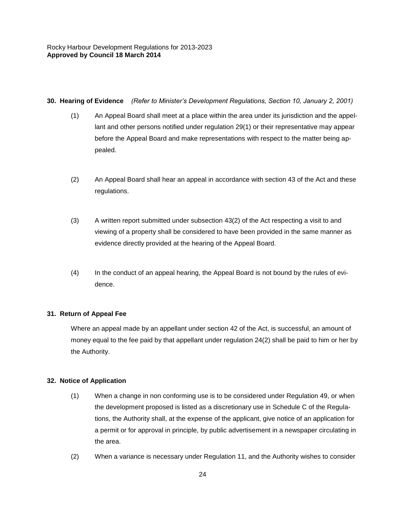# <span id="page-35-0"></span>**30. Hearing of Evidence** *(Refer to Minister's Development Regulations, Section 10, January 2, 2001)*

- (1) An Appeal Board shall meet at a place within the area under its jurisdiction and the appellant and other persons notified under regulation 29(1) or their representative may appear before the Appeal Board and make representations with respect to the matter being appealed.
- (2) An Appeal Board shall hear an appeal in accordance with section 43 of the Act and these regulations.
- (3) A written report submitted under subsection 43(2) of the Act respecting a visit to and viewing of a property shall be considered to have been provided in the same manner as evidence directly provided at the hearing of the Appeal Board.
- (4) In the conduct of an appeal hearing, the Appeal Board is not bound by the rules of evidence.

# <span id="page-35-1"></span>**31. Return of Appeal Fee**

Where an appeal made by an appellant under section 42 of the Act, is successful, an amount of money equal to the fee paid by that appellant under regulation 24(2) shall be paid to him or her by the Authority.

### <span id="page-35-2"></span>**32. Notice of Application**

- (1) When a change in non conforming use is to be considered under Regulation 49, or when the development proposed is listed as a discretionary use in Schedule C of the Regulations, the Authority shall, at the expense of the applicant, give notice of an application for a permit or for approval in principle, by public advertisement in a newspaper circulating in the area.
- (2) When a variance is necessary under Regulation 11, and the Authority wishes to consider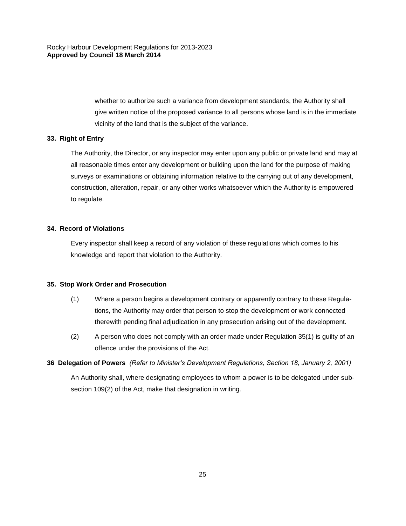whether to authorize such a variance from development standards, the Authority shall give written notice of the proposed variance to all persons whose land is in the immediate vicinity of the land that is the subject of the variance.

# **33. Right of Entry**

 The Authority, the Director, or any inspector may enter upon any public or private land and may at all reasonable times enter any development or building upon the land for the purpose of making surveys or examinations or obtaining information relative to the carrying out of any development, construction, alteration, repair, or any other works whatsoever which the Authority is empowered to regulate.

# **34. Record of Violations**

 Every inspector shall keep a record of any violation of these regulations which comes to his knowledge and report that violation to the Authority.

### **35. Stop Work Order and Prosecution**

- (1) Where a person begins a development contrary or apparently contrary to these Regulations, the Authority may order that person to stop the development or work connected therewith pending final adjudication in any prosecution arising out of the development.
- (2) A person who does not comply with an order made under Regulation 35(1) is guilty of an offence under the provisions of the Act.

# **36 Delegation of Powers** *(Refer to Minister's Development Regulations, Section 18, January 2, 2001)*

An Authority shall, where designating employees to whom a power is to be delegated under subsection 109(2) of the Act, make that designation in writing.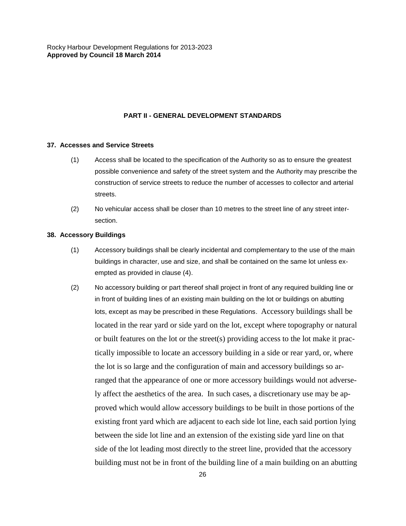#### **PART II - GENERAL DEVELOPMENT STANDARDS**

#### **37. Accesses and Service Streets**

- (1) Access shall be located to the specification of the Authority so as to ensure the greatest possible convenience and safety of the street system and the Authority may prescribe the construction of service streets to reduce the number of accesses to collector and arterial streets.
- (2) No vehicular access shall be closer than 10 metres to the street line of any street intersection.

### **38. Accessory Buildings**

- (1) Accessory buildings shall be clearly incidental and complementary to the use of the main buildings in character, use and size, and shall be contained on the same lot unless exempted as provided in clause (4).
- (2) No accessory building or part thereof shall project in front of any required building line or in front of building lines of an existing main building on the lot or buildings on abutting lots, except as may be prescribed in these Regulations. Accessory buildings shall be located in the rear yard or side yard on the lot, except where topography or natural or built features on the lot or the street(s) providing access to the lot make it practically impossible to locate an accessory building in a side or rear yard, or, where the lot is so large and the configuration of main and accessory buildings so arranged that the appearance of one or more accessory buildings would not adversely affect the aesthetics of the area. In such cases, a discretionary use may be approved which would allow accessory buildings to be built in those portions of the existing front yard which are adjacent to each side lot line, each said portion lying between the side lot line and an extension of the existing side yard line on that side of the lot leading most directly to the street line, provided that the accessory building must not be in front of the building line of a main building on an abutting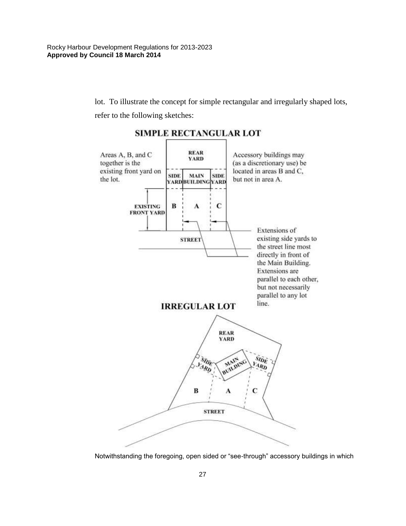lot. To illustrate the concept for simple rectangular and irregularly shaped lots, refer to the following sketches:



# **SIMPLE RECTANGULAR LOT**

Notwithstanding the foregoing, open sided or "see-through" accessory buildings in which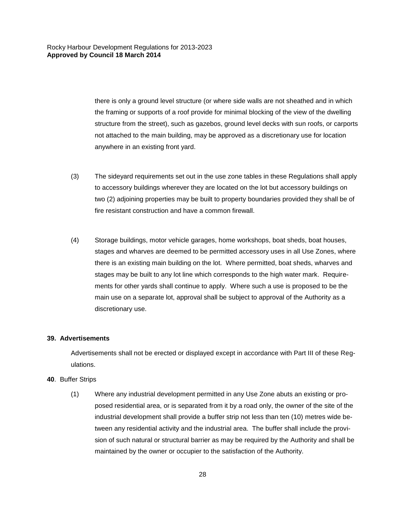> there is only a ground level structure (or where side walls are not sheathed and in which the framing or supports of a roof provide for minimal blocking of the view of the dwelling structure from the street), such as gazebos, ground level decks with sun roofs, or carports not attached to the main building, may be approved as a discretionary use for location anywhere in an existing front yard.

- (3) The sideyard requirements set out in the use zone tables in these Regulations shall apply to accessory buildings wherever they are located on the lot but accessory buildings on two (2) adjoining properties may be built to property boundaries provided they shall be of fire resistant construction and have a common firewall.
- (4) Storage buildings, motor vehicle garages, home workshops, boat sheds, boat houses, stages and wharves are deemed to be permitted accessory uses in all Use Zones, where there is an existing main building on the lot. Where permitted, boat sheds, wharves and stages may be built to any lot line which corresponds to the high water mark. Requirements for other yards shall continue to apply. Where such a use is proposed to be the main use on a separate lot, approval shall be subject to approval of the Authority as a discretionary use.

#### **39. Advertisements**

 Advertisements shall not be erected or displayed except in accordance with Part III of these Regulations.

#### **40**. Buffer Strips

(1) Where any industrial development permitted in any Use Zone abuts an existing or proposed residential area, or is separated from it by a road only, the owner of the site of the industrial development shall provide a buffer strip not less than ten (10) metres wide between any residential activity and the industrial area. The buffer shall include the provision of such natural or structural barrier as may be required by the Authority and shall be maintained by the owner or occupier to the satisfaction of the Authority.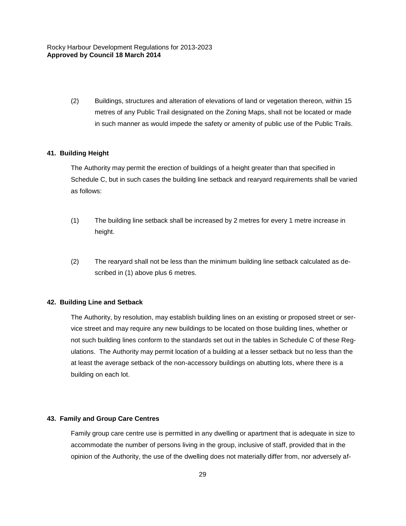> (2) Buildings, structures and alteration of elevations of land or vegetation thereon, within 15 metres of any Public Trail designated on the Zoning Maps, shall not be located or made in such manner as would impede the safety or amenity of public use of the Public Trails.

# **41. Building Height**

 The Authority may permit the erection of buildings of a height greater than that specified in Schedule C, but in such cases the building line setback and rearyard requirements shall be varied as follows:

- (1) The building line setback shall be increased by 2 metres for every 1 metre increase in height.
- (2) The rearyard shall not be less than the minimum building line setback calculated as described in (1) above plus 6 metres.

#### **42. Building Line and Setback**

 The Authority, by resolution, may establish building lines on an existing or proposed street or service street and may require any new buildings to be located on those building lines, whether or not such building lines conform to the standards set out in the tables in Schedule C of these Regulations. The Authority may permit location of a building at a lesser setback but no less than the at least the average setback of the non-accessory buildings on abutting lots, where there is a building on each lot.

#### **43. Family and Group Care Centres**

 Family group care centre use is permitted in any dwelling or apartment that is adequate in size to accommodate the number of persons living in the group, inclusive of staff, provided that in the opinion of the Authority, the use of the dwelling does not materially differ from, nor adversely af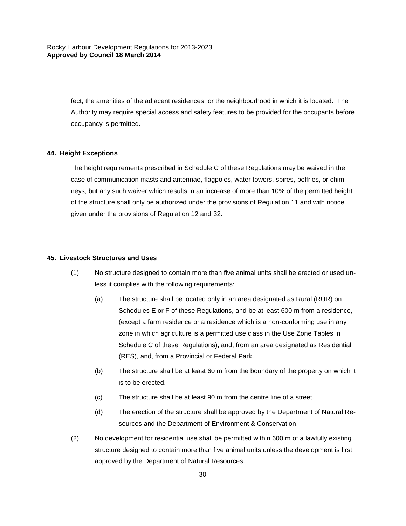fect, the amenities of the adjacent residences, or the neighbourhood in which it is located. The Authority may require special access and safety features to be provided for the occupants before occupancy is permitted.

### **44. Height Exceptions**

 The height requirements prescribed in Schedule C of these Regulations may be waived in the case of communication masts and antennae, flagpoles, water towers, spires, belfries, or chimneys, but any such waiver which results in an increase of more than 10% of the permitted height of the structure shall only be authorized under the provisions of Regulation 11 and with notice given under the provisions of Regulation 12 and 32.

#### **45. Livestock Structures and Uses**

- (1) No structure designed to contain more than five animal units shall be erected or used unless it complies with the following requirements:
	- (a) The structure shall be located only in an area designated as Rural (RUR) on Schedules E or F of these Regulations, and be at least 600 m from a residence, (except a farm residence or a residence which is a non-conforming use in any zone in which agriculture is a permitted use class in the Use Zone Tables in Schedule C of these Regulations), and, from an area designated as Residential (RES), and, from a Provincial or Federal Park.
	- (b) The structure shall be at least 60 m from the boundary of the property on which it is to be erected.
	- (c) The structure shall be at least 90 m from the centre line of a street.
	- (d) The erection of the structure shall be approved by the Department of Natural Resources and the Department of Environment & Conservation.
- (2) No development for residential use shall be permitted within 600 m of a lawfully existing structure designed to contain more than five animal units unless the development is first approved by the Department of Natural Resources.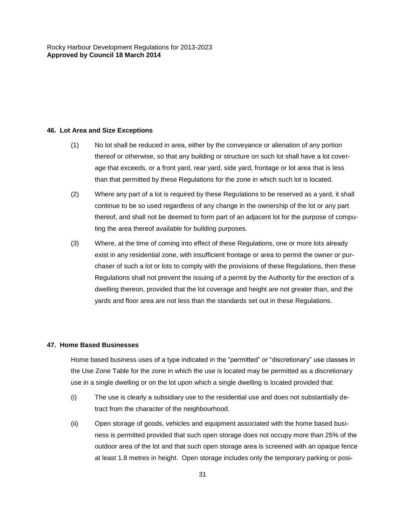#### **46. Lot Area and Size Exceptions**

- (1) No lot shall be reduced in area, either by the conveyance or alienation of any portion thereof or otherwise, so that any building or structure on such lot shall have a lot coverage that exceeds, or a front yard, rear yard, side yard, frontage or lot area that is less than that permitted by these Regulations for the zone in which such lot is located.
- (2) Where any part of a lot is required by these Regulations to be reserved as a yard, it shall continue to be so used regardless of any change in the ownership of the lot or any part thereof, and shall not be deemed to form part of an adjacent lot for the purpose of computing the area thereof available for building purposes.
- (3) Where, at the time of coming into effect of these Regulations, one or more lots already exist in any residential zone, with insufficient frontage or area to permit the owner or purchaser of such a lot or lots to comply with the provisions of these Regulations, then these Regulations shall not prevent the issuing of a permit by the Authority for the erection of a dwelling thereon, provided that the lot coverage and height are not greater than, and the yards and floor area are not less than the standards set out in these Regulations.

#### **47. Home Based Businesses**

 Home based business uses of a type indicated in the "permitted" or "discretionary" use classes in the Use Zone Table for the zone in which the use is located may be permitted as a discretionary use in a single dwelling or on the lot upon which a single dwelling is located provided that:

- (i) The use is clearly a subsidiary use to the residential use and does not substantially detract from the character of the neighbourhood.
- (ii) Open storage of goods, vehicles and equipment associated with the home based business is permitted provided that such open storage does not occupy more than 25% of the outdoor area of the lot and that such open storage area is screened with an opaque fence at least 1.8 metres in height. Open storage includes only the temporary parking or posi-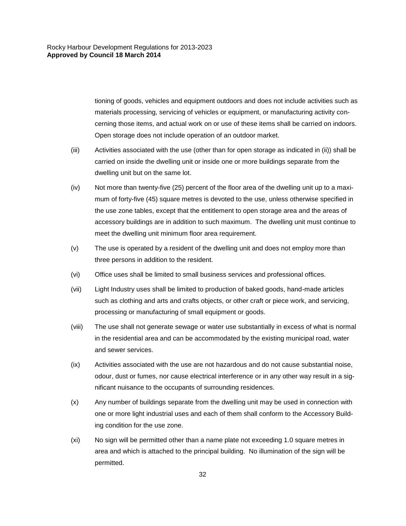tioning of goods, vehicles and equipment outdoors and does not include activities such as materials processing, servicing of vehicles or equipment, or manufacturing activity concerning those items, and actual work on or use of these items shall be carried on indoors. Open storage does not include operation of an outdoor market.

- (iii) Activities associated with the use (other than for open storage as indicated in (ii)) shall be carried on inside the dwelling unit or inside one or more buildings separate from the dwelling unit but on the same lot.
- $(iv)$  Not more than twenty-five (25) percent of the floor area of the dwelling unit up to a maximum of forty-five (45) square metres is devoted to the use, unless otherwise specified in the use zone tables, except that the entitlement to open storage area and the areas of accessory buildings are in addition to such maximum. The dwelling unit must continue to meet the dwelling unit minimum floor area requirement.
- (v) The use is operated by a resident of the dwelling unit and does not employ more than three persons in addition to the resident.
- (vi) Office uses shall be limited to small business services and professional offices.
- (vii) Light Industry uses shall be limited to production of baked goods, hand-made articles such as clothing and arts and crafts objects, or other craft or piece work, and servicing, processing or manufacturing of small equipment or goods.
- (viii) The use shall not generate sewage or water use substantially in excess of what is normal in the residential area and can be accommodated by the existing municipal road, water and sewer services.
- (ix) Activities associated with the use are not hazardous and do not cause substantial noise, odour, dust or fumes, nor cause electrical interference or in any other way result in a significant nuisance to the occupants of surrounding residences.
- (x) Any number of buildings separate from the dwelling unit may be used in connection with one or more light industrial uses and each of them shall conform to the Accessory Building condition for the use zone.
- (xi) No sign will be permitted other than a name plate not exceeding 1.0 square metres in area and which is attached to the principal building. No illumination of the sign will be permitted.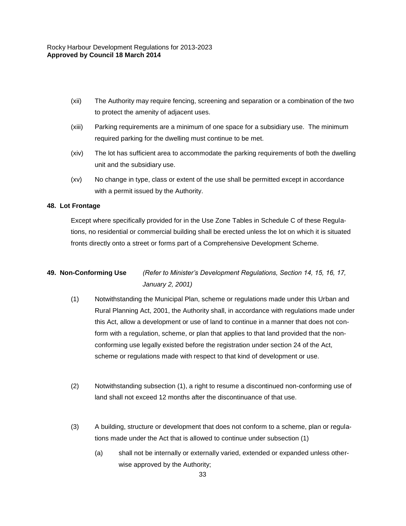- (xii) The Authority may require fencing, screening and separation or a combination of the two to protect the amenity of adjacent uses.
- (xiii) Parking requirements are a minimum of one space for a subsidiary use. The minimum required parking for the dwelling must continue to be met.
- (xiv) The lot has sufficient area to accommodate the parking requirements of both the dwelling unit and the subsidiary use.
- (xv) No change in type, class or extent of the use shall be permitted except in accordance with a permit issued by the Authority.

# **48. Lot Frontage**

 Except where specifically provided for in the Use Zone Tables in Schedule C of these Regulations, no residential or commercial building shall be erected unless the lot on which it is situated fronts directly onto a street or forms part of a Comprehensive Development Scheme.

# **49. Non-Conforming Use** *(Refer to Minister's Development Regulations, Section 14, 15, 16, 17, January 2, 2001)*

- (1) Notwithstanding the Municipal Plan, scheme or regulations made under this Urban and Rural Planning Act, 2001, the Authority shall, in accordance with regulations made under this Act, allow a development or use of land to continue in a manner that does not conform with a regulation, scheme, or plan that applies to that land provided that the nonconforming use legally existed before the registration under section 24 of the Act, scheme or regulations made with respect to that kind of development or use.
- (2) Notwithstanding subsection (1), a right to resume a discontinued non-conforming use of land shall not exceed 12 months after the discontinuance of that use.
- (3) A building, structure or development that does not conform to a scheme, plan or regulations made under the Act that is allowed to continue under subsection (1)
	- (a) shall not be internally or externally varied, extended or expanded unless otherwise approved by the Authority;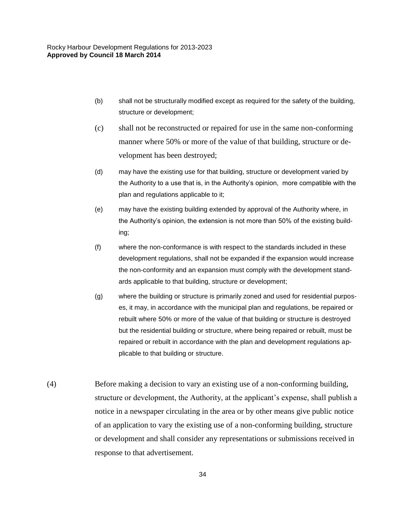- (b) shall not be structurally modified except as required for the safety of the building, structure or development;
- (c) shall not be reconstructed or repaired for use in the same non-conforming manner where 50% or more of the value of that building, structure or development has been destroyed;
- (d) may have the existing use for that building, structure or development varied by the Authority to a use that is, in the Authority's opinion, more compatible with the plan and regulations applicable to it;
- (e) may have the existing building extended by approval of the Authority where, in the Authority's opinion, the extension is not more than 50% of the existing building;
- (f) where the non-conformance is with respect to the standards included in these development regulations, shall not be expanded if the expansion would increase the non-conformity and an expansion must comply with the development standards applicable to that building, structure or development;
- (g) where the building or structure is primarily zoned and used for residential purposes, it may, in accordance with the municipal plan and regulations, be repaired or rebuilt where 50% or more of the value of that building or structure is destroyed but the residential building or structure, where being repaired or rebuilt, must be repaired or rebuilt in accordance with the plan and development regulations applicable to that building or structure.
- (4) Before making a decision to vary an existing use of a non-conforming building, structure or development, the Authority, at the applicant's expense, shall publish a notice in a newspaper circulating in the area or by other means give public notice of an application to vary the existing use of a non-conforming building, structure or development and shall consider any representations or submissions received in response to that advertisement.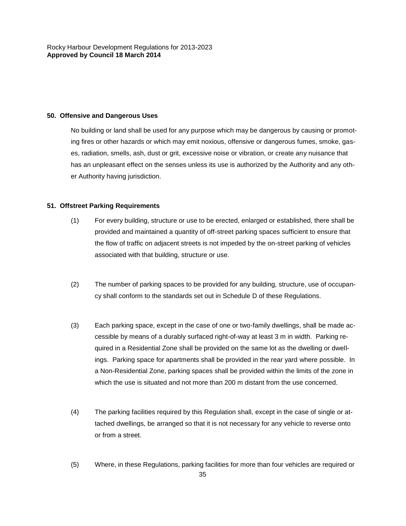#### **50. Offensive and Dangerous Uses**

No building or land shall be used for any purpose which may be dangerous by causing or promoting fires or other hazards or which may emit noxious, offensive or dangerous fumes, smoke, gases, radiation, smells, ash, dust or grit, excessive noise or vibration, or create any nuisance that has an unpleasant effect on the senses unless its use is authorized by the Authority and any other Authority having jurisdiction.

#### **51. Offstreet Parking Requirements**

- (1) For every building, structure or use to be erected, enlarged or established, there shall be provided and maintained a quantity of off-street parking spaces sufficient to ensure that the flow of traffic on adjacent streets is not impeded by the on-street parking of vehicles associated with that building, structure or use.
- (2) The number of parking spaces to be provided for any building, structure, use of occupancy shall conform to the standards set out in Schedule D of these Regulations.
- (3) Each parking space, except in the case of one or two-family dwellings, shall be made accessible by means of a durably surfaced right-of-way at least 3 m in width. Parking required in a Residential Zone shall be provided on the same lot as the dwelling or dwellings. Parking space for apartments shall be provided in the rear yard where possible. In a Non-Residential Zone, parking spaces shall be provided within the limits of the zone in which the use is situated and not more than 200 m distant from the use concerned.
- (4) The parking facilities required by this Regulation shall, except in the case of single or attached dwellings, be arranged so that it is not necessary for any vehicle to reverse onto or from a street.
- (5) Where, in these Regulations, parking facilities for more than four vehicles are required or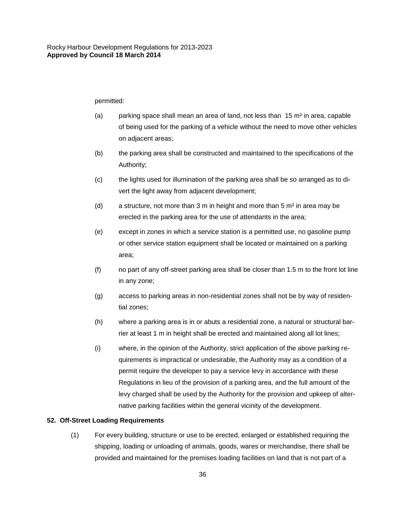### permitted:

- (a) parking space shall mean an area of land, not less than  $15 \text{ m}^2$  in area, capable of being used for the parking of a vehicle without the need to move other vehicles on adjacent areas;
- (b) the parking area shall be constructed and maintained to the specifications of the Authority;
- (c) the lights used for illumination of the parking area shall be so arranged as to divert the light away from adjacent development;
- (d) a structure, not more than 3 m in height and more than  $5 \text{ m}^2$  in area may be erected in the parking area for the use of attendants in the area;
- (e) except in zones in which a service station is a permitted use, no gasoline pump or other service station equipment shall be located or maintained on a parking area;
- (f) no part of any off-street parking area shall be closer than 1.5 m to the front lot line in any zone;
- (g) access to parking areas in non-residential zones shall not be by way of residential zones;
- (h) where a parking area is in or abuts a residential zone, a natural or structural barrier at least 1 m in height shall be erected and maintained along all lot lines;
- (i) where, in the opinion of the Authority, strict application of the above parking requirements is impractical or undesirable, the Authority may as a condition of a permit require the developer to pay a service levy in accordance with these Regulations in lieu of the provision of a parking area, and the full amount of the levy charged shall be used by the Authority for the provision and upkeep of alternative parking facilities within the general vicinity of the development.

#### **52. Off-Street Loading Requirements**

 (1) For every building, structure or use to be erected, enlarged or established requiring the shipping, loading or unloading of animals, goods, wares or merchandise, there shall be provided and maintained for the premises loading facilities on land that is not part of a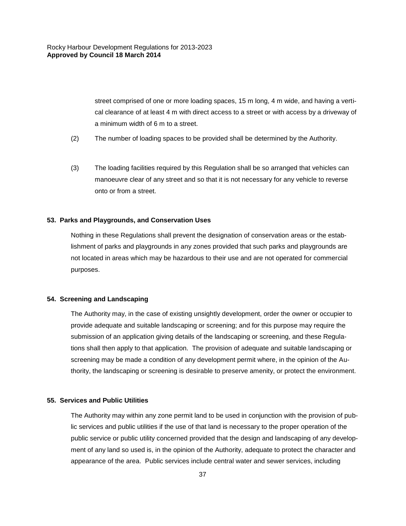street comprised of one or more loading spaces, 15 m long, 4 m wide, and having a vertical clearance of at least 4 m with direct access to a street or with access by a driveway of a minimum width of 6 m to a street.

- (2) The number of loading spaces to be provided shall be determined by the Authority.
- (3) The loading facilities required by this Regulation shall be so arranged that vehicles can manoeuvre clear of any street and so that it is not necessary for any vehicle to reverse onto or from a street.

### **53. Parks and Playgrounds, and Conservation Uses**

 Nothing in these Regulations shall prevent the designation of conservation areas or the establishment of parks and playgrounds in any zones provided that such parks and playgrounds are not located in areas which may be hazardous to their use and are not operated for commercial purposes.

### **54. Screening and Landscaping**

 The Authority may, in the case of existing unsightly development, order the owner or occupier to provide adequate and suitable landscaping or screening; and for this purpose may require the submission of an application giving details of the landscaping or screening, and these Regulations shall then apply to that application. The provision of adequate and suitable landscaping or screening may be made a condition of any development permit where, in the opinion of the Authority, the landscaping or screening is desirable to preserve amenity, or protect the environment.

#### **55. Services and Public Utilities**

 The Authority may within any zone permit land to be used in conjunction with the provision of public services and public utilities if the use of that land is necessary to the proper operation of the public service or public utility concerned provided that the design and landscaping of any development of any land so used is, in the opinion of the Authority, adequate to protect the character and appearance of the area. Public services include central water and sewer services, including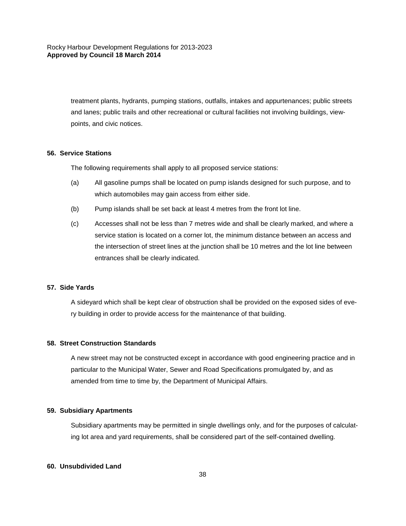treatment plants, hydrants, pumping stations, outfalls, intakes and appurtenances; public streets and lanes; public trails and other recreational or cultural facilities not involving buildings, viewpoints, and civic notices.

# **56. Service Stations**

The following requirements shall apply to all proposed service stations:

- (a) All gasoline pumps shall be located on pump islands designed for such purpose, and to which automobiles may gain access from either side.
- (b) Pump islands shall be set back at least 4 metres from the front lot line.
- (c) Accesses shall not be less than 7 metres wide and shall be clearly marked, and where a service station is located on a corner lot, the minimum distance between an access and the intersection of street lines at the junction shall be 10 metres and the lot line between entrances shall be clearly indicated.

#### **57. Side Yards**

 A sideyard which shall be kept clear of obstruction shall be provided on the exposed sides of every building in order to provide access for the maintenance of that building.

# **58. Street Construction Standards**

 A new street may not be constructed except in accordance with good engineering practice and in particular to the Municipal Water, Sewer and Road Specifications promulgated by, and as amended from time to time by, the Department of Municipal Affairs.

### **59. Subsidiary Apartments**

 Subsidiary apartments may be permitted in single dwellings only, and for the purposes of calculating lot area and yard requirements, shall be considered part of the self-contained dwelling.

### **60. Unsubdivided Land**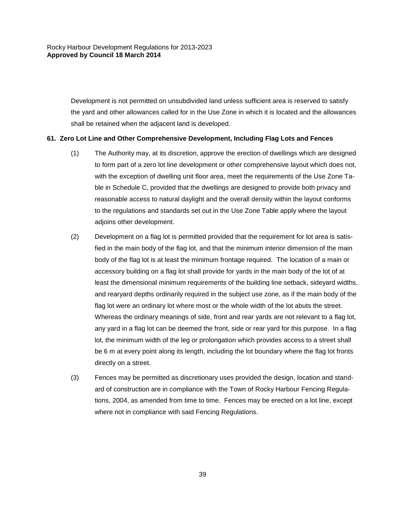Development is not permitted on unsubdivided land unless sufficient area is reserved to satisfy the yard and other allowances called for in the Use Zone in which it is located and the allowances shall be retained when the adjacent land is developed.

### **61. Zero Lot Line and Other Comprehensive Development, Including Flag Lots and Fences**

- (1) The Authority may, at its discretion, approve the erection of dwellings which are designed to form part of a zero lot line development or other comprehensive layout which does not, with the exception of dwelling unit floor area, meet the requirements of the Use Zone Table in Schedule C, provided that the dwellings are designed to provide both privacy and reasonable access to natural daylight and the overall density within the layout conforms to the regulations and standards set out in the Use Zone Table apply where the layout adjoins other development.
- (2) Development on a flag lot is permitted provided that the requirement for lot area is satisfied in the main body of the flag lot, and that the minimum interior dimension of the main body of the flag lot is at least the minimum frontage required. The location of a main or accessory building on a flag lot shall provide for yards in the main body of the lot of at least the dimensional minimum requirements of the building line setback, sideyard widths, and rearyard depths ordinarily required in the subject use zone, as if the main body of the flag lot were an ordinary lot where most or the whole width of the lot abuts the street. Whereas the ordinary meanings of side, front and rear yards are not relevant to a flag lot, any yard in a flag lot can be deemed the front, side or rear yard for this purpose. In a flag lot, the minimum width of the leg or prolongation which provides access to a street shall be 6 m at every point along its length, including the lot boundary where the flag lot fronts directly on a street.
- (3) Fences may be permitted as discretionary uses provided the design, location and standard of construction are in compliance with the Town of Rocky Harbour Fencing Regulations, 2004, as amended from time to time. Fences may be erected on a lot line, except where not in compliance with said Fencing Regulations.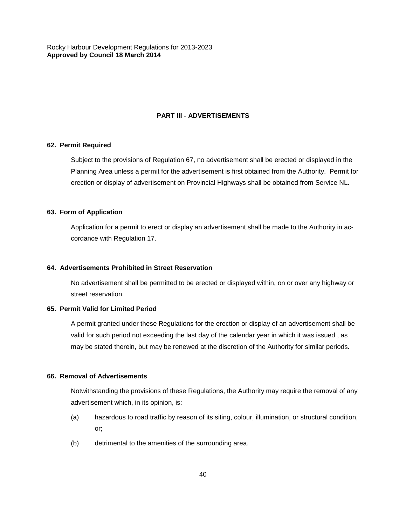#### **PART III - ADVERTISEMENTS**

#### **62. Permit Required**

 Subject to the provisions of Regulation 67, no advertisement shall be erected or displayed in the Planning Area unless a permit for the advertisement is first obtained from the Authority. Permit for erection or display of advertisement on Provincial Highways shall be obtained from Service NL.

### **63. Form of Application**

 Application for a permit to erect or display an advertisement shall be made to the Authority in accordance with Regulation 17.

### **64. Advertisements Prohibited in Street Reservation**

 No advertisement shall be permitted to be erected or displayed within, on or over any highway or street reservation.

#### **65. Permit Valid for Limited Period**

 A permit granted under these Regulations for the erection or display of an advertisement shall be valid for such period not exceeding the last day of the calendar year in which it was issued , as may be stated therein, but may be renewed at the discretion of the Authority for similar periods.

### **66. Removal of Advertisements**

 Notwithstanding the provisions of these Regulations, the Authority may require the removal of any advertisement which, in its opinion, is:

- (a) hazardous to road traffic by reason of its siting, colour, illumination, or structural condition, or;
- (b) detrimental to the amenities of the surrounding area.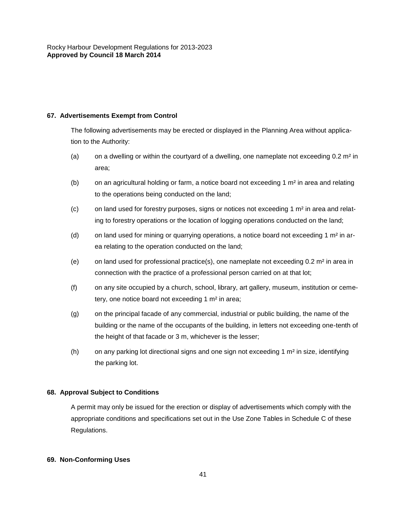#### **67. Advertisements Exempt from Control**

 The following advertisements may be erected or displayed in the Planning Area without application to the Authority:

- (a) on a dwelling or within the courtyard of a dwelling, one nameplate not exceeding  $0.2$  m<sup>2</sup> in area;
- (b) on an agricultural holding or farm, a notice board not exceeding 1  $m<sup>2</sup>$  in area and relating to the operations being conducted on the land;
- (c) on land used for forestry purposes, signs or notices not exceeding 1  $m<sup>2</sup>$  in area and relating to forestry operations or the location of logging operations conducted on the land;
- (d) on land used for mining or quarrying operations, a notice board not exceeding 1  $m<sup>2</sup>$  in area relating to the operation conducted on the land;
- (e) on land used for professional practice(s), one nameplate not exceeding  $0.2$  m<sup>2</sup> in area in connection with the practice of a professional person carried on at that lot;
- (f) on any site occupied by a church, school, library, art gallery, museum, institution or cemetery, one notice board not exceeding 1 m² in area;
- (g) on the principal facade of any commercial, industrial or public building, the name of the building or the name of the occupants of the building, in letters not exceeding one-tenth of the height of that facade or 3 m, whichever is the lesser;
- (h) on any parking lot directional signs and one sign not exceeding 1  $m<sup>2</sup>$  in size, identifying the parking lot.

### **68. Approval Subject to Conditions**

 A permit may only be issued for the erection or display of advertisements which comply with the appropriate conditions and specifications set out in the Use Zone Tables in Schedule C of these Regulations.

### **69. Non-Conforming Uses**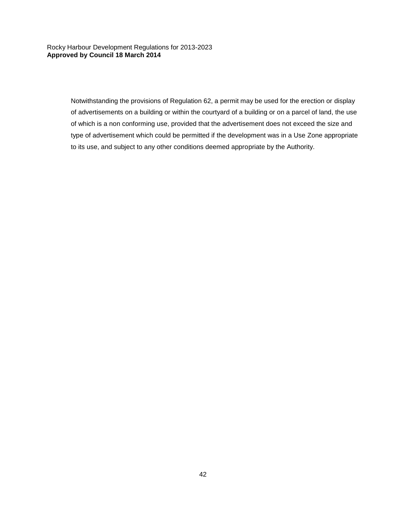> Notwithstanding the provisions of Regulation 62, a permit may be used for the erection or display of advertisements on a building or within the courtyard of a building or on a parcel of land, the use of which is a non conforming use, provided that the advertisement does not exceed the size and type of advertisement which could be permitted if the development was in a Use Zone appropriate to its use, and subject to any other conditions deemed appropriate by the Authority.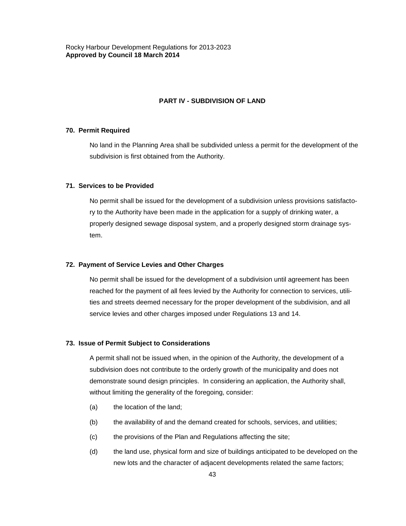# **PART IV - SUBDIVISION OF LAND**

### **70. Permit Required**

 No land in the Planning Area shall be subdivided unless a permit for the development of the subdivision is first obtained from the Authority.

#### **71. Services to be Provided**

 No permit shall be issued for the development of a subdivision unless provisions satisfactory to the Authority have been made in the application for a supply of drinking water, a properly designed sewage disposal system, and a properly designed storm drainage system.

#### **72. Payment of Service Levies and Other Charges**

 No permit shall be issued for the development of a subdivision until agreement has been reached for the payment of all fees levied by the Authority for connection to services, utilities and streets deemed necessary for the proper development of the subdivision, and all service levies and other charges imposed under Regulations 13 and 14.

### **73. Issue of Permit Subject to Considerations**

 A permit shall not be issued when, in the opinion of the Authority, the development of a subdivision does not contribute to the orderly growth of the municipality and does not demonstrate sound design principles. In considering an application, the Authority shall, without limiting the generality of the foregoing, consider:

- (a) the location of the land;
- (b) the availability of and the demand created for schools, services, and utilities;
- (c) the provisions of the Plan and Regulations affecting the site;
- (d) the land use, physical form and size of buildings anticipated to be developed on the new lots and the character of adjacent developments related the same factors;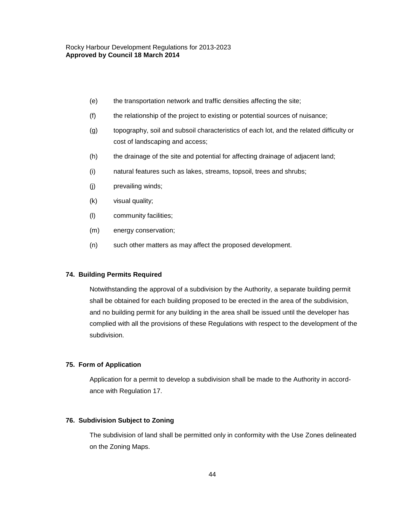- (e) the transportation network and traffic densities affecting the site;
- (f) the relationship of the project to existing or potential sources of nuisance;
- (g) topography, soil and subsoil characteristics of each lot, and the related difficulty or cost of landscaping and access;
- (h) the drainage of the site and potential for affecting drainage of adjacent land;
- (i) natural features such as lakes, streams, topsoil, trees and shrubs;
- (j) prevailing winds;
- (k) visual quality;
- (l) community facilities;
- (m) energy conservation;
- (n) such other matters as may affect the proposed development.

### **74. Building Permits Required**

 Notwithstanding the approval of a subdivision by the Authority, a separate building permit shall be obtained for each building proposed to be erected in the area of the subdivision, and no building permit for any building in the area shall be issued until the developer has complied with all the provisions of these Regulations with respect to the development of the subdivision.

### **75. Form of Application**

 Application for a permit to develop a subdivision shall be made to the Authority in accordance with Regulation 17.

### **76. Subdivision Subject to Zoning**

 The subdivision of land shall be permitted only in conformity with the Use Zones delineated on the Zoning Maps.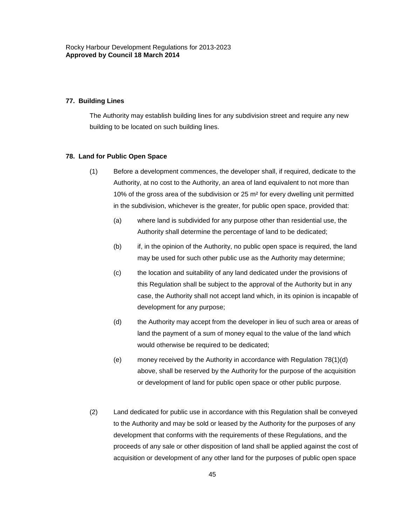### **77. Building Lines**

 The Authority may establish building lines for any subdivision street and require any new building to be located on such building lines.

#### **78. Land for Public Open Space**

- (1) Before a development commences, the developer shall, if required, dedicate to the Authority, at no cost to the Authority, an area of land equivalent to not more than 10% of the gross area of the subdivision or 25  $m<sup>2</sup>$  for every dwelling unit permitted in the subdivision, whichever is the greater, for public open space, provided that:
	- (a) where land is subdivided for any purpose other than residential use, the Authority shall determine the percentage of land to be dedicated;
	- (b) if, in the opinion of the Authority, no public open space is required, the land may be used for such other public use as the Authority may determine;
	- (c) the location and suitability of any land dedicated under the provisions of this Regulation shall be subject to the approval of the Authority but in any case, the Authority shall not accept land which, in its opinion is incapable of development for any purpose;
	- (d) the Authority may accept from the developer in lieu of such area or areas of land the payment of a sum of money equal to the value of the land which would otherwise be required to be dedicated;
	- (e) money received by the Authority in accordance with Regulation 78(1)(d) above, shall be reserved by the Authority for the purpose of the acquisition or development of land for public open space or other public purpose.
- (2) Land dedicated for public use in accordance with this Regulation shall be conveyed to the Authority and may be sold or leased by the Authority for the purposes of any development that conforms with the requirements of these Regulations, and the proceeds of any sale or other disposition of land shall be applied against the cost of acquisition or development of any other land for the purposes of public open space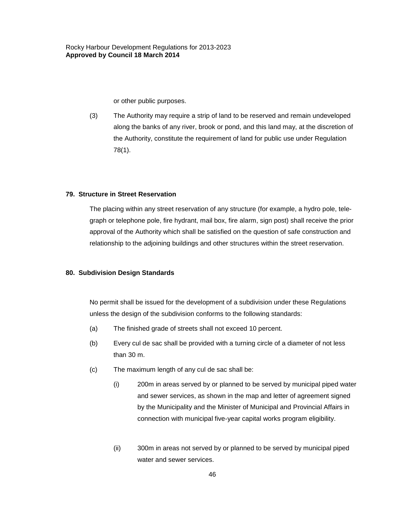or other public purposes.

(3) The Authority may require a strip of land to be reserved and remain undeveloped along the banks of any river, brook or pond, and this land may, at the discretion of the Authority, constitute the requirement of land for public use under Regulation 78(1).

# **79. Structure in Street Reservation**

 The placing within any street reservation of any structure (for example, a hydro pole, telegraph or telephone pole, fire hydrant, mail box, fire alarm, sign post) shall receive the prior approval of the Authority which shall be satisfied on the question of safe construction and relationship to the adjoining buildings and other structures within the street reservation.

#### **80. Subdivision Design Standards**

 No permit shall be issued for the development of a subdivision under these Regulations unless the design of the subdivision conforms to the following standards:

- (a) The finished grade of streets shall not exceed 10 percent.
- (b) Every cul de sac shall be provided with a turning circle of a diameter of not less than 30 m.
- (c) The maximum length of any cul de sac shall be:
	- (i) 200m in areas served by or planned to be served by municipal piped water and sewer services, as shown in the map and letter of agreement signed by the Municipality and the Minister of Municipal and Provincial Affairs in connection with municipal five-year capital works program eligibility.
	- (ii) 300m in areas not served by or planned to be served by municipal piped water and sewer services.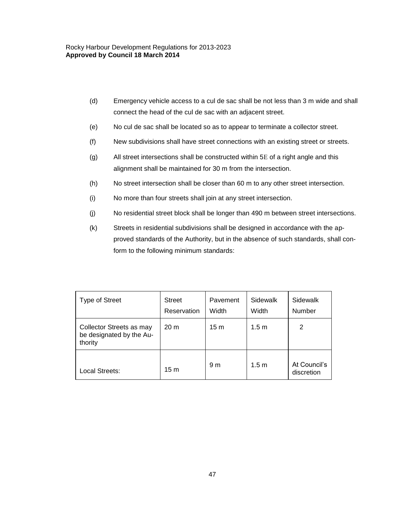- (d) Emergency vehicle access to a cul de sac shall be not less than 3 m wide and shall connect the head of the cul de sac with an adjacent street.
- (e) No cul de sac shall be located so as to appear to terminate a collector street.
- (f) New subdivisions shall have street connections with an existing street or streets.
- (g) All street intersections shall be constructed within 5E of a right angle and this alignment shall be maintained for 30 m from the intersection.
- (h) No street intersection shall be closer than 60 m to any other street intersection.
- (i) No more than four streets shall join at any street intersection.
- (j) No residential street block shall be longer than 490 m between street intersections.
- (k) Streets in residential subdivisions shall be designed in accordance with the approved standards of the Authority, but in the absence of such standards, shall conform to the following minimum standards:

| <b>Type of Street</b>                                           | <b>Street</b><br>Reservation | Pavement<br>Width | Sidewalk<br>Width | Sidewalk<br><b>Number</b>  |
|-----------------------------------------------------------------|------------------------------|-------------------|-------------------|----------------------------|
| Collector Streets as may<br>be designated by the Au-<br>thority | 20 <sub>m</sub>              | 15 <sub>m</sub>   | 1.5 <sub>m</sub>  | 2                          |
| Local Streets:                                                  | 15 <sub>m</sub>              | 9 <sub>m</sub>    | 1.5 <sub>m</sub>  | At Council's<br>discretion |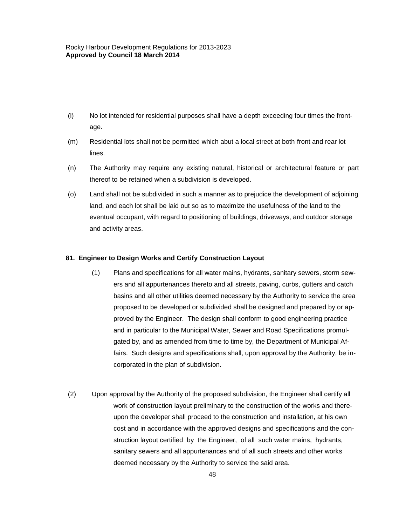- (l) No lot intended for residential purposes shall have a depth exceeding four times the frontage.
- (m) Residential lots shall not be permitted which abut a local street at both front and rear lot lines.
- (n) The Authority may require any existing natural, historical or architectural feature or part thereof to be retained when a subdivision is developed.
- (o) Land shall not be subdivided in such a manner as to prejudice the development of adjoining land, and each lot shall be laid out so as to maximize the usefulness of the land to the eventual occupant, with regard to positioning of buildings, driveways, and outdoor storage and activity areas.

#### **81. Engineer to Design Works and Certify Construction Layout**

- (1) Plans and specifications for all water mains, hydrants, sanitary sewers, storm sewers and all appurtenances thereto and all streets, paving, curbs, gutters and catch basins and all other utilities deemed necessary by the Authority to service the area proposed to be developed or subdivided shall be designed and prepared by or approved by the Engineer. The design shall conform to good engineering practice and in particular to the Municipal Water, Sewer and Road Specifications promulgated by, and as amended from time to time by, the Department of Municipal Affairs. Such designs and specifications shall, upon approval by the Authority, be incorporated in the plan of subdivision.
- (2) Upon approval by the Authority of the proposed subdivision, the Engineer shall certify all work of construction layout preliminary to the construction of the works and thereupon the developer shall proceed to the construction and installation, at his own cost and in accordance with the approved designs and specifications and the construction layout certified by the Engineer, of all such water mains, hydrants, sanitary sewers and all appurtenances and of all such streets and other works deemed necessary by the Authority to service the said area.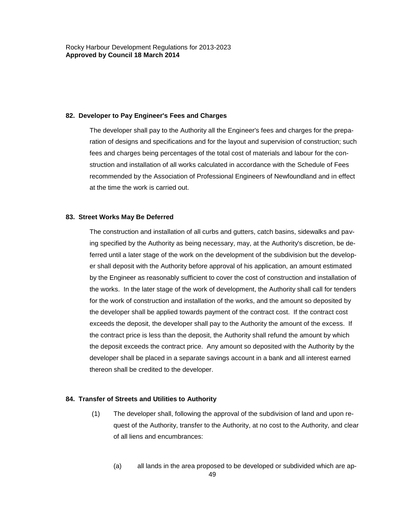#### **82. Developer to Pay Engineer's Fees and Charges**

 The developer shall pay to the Authority all the Engineer's fees and charges for the preparation of designs and specifications and for the layout and supervision of construction; such fees and charges being percentages of the total cost of materials and labour for the construction and installation of all works calculated in accordance with the Schedule of Fees recommended by the Association of Professional Engineers of Newfoundland and in effect at the time the work is carried out.

#### **83. Street Works May Be Deferred**

 The construction and installation of all curbs and gutters, catch basins, sidewalks and paving specified by the Authority as being necessary, may, at the Authority's discretion, be deferred until a later stage of the work on the development of the subdivision but the developer shall deposit with the Authority before approval of his application, an amount estimated by the Engineer as reasonably sufficient to cover the cost of construction and installation of the works. In the later stage of the work of development, the Authority shall call for tenders for the work of construction and installation of the works, and the amount so deposited by the developer shall be applied towards payment of the contract cost. If the contract cost exceeds the deposit, the developer shall pay to the Authority the amount of the excess. If the contract price is less than the deposit, the Authority shall refund the amount by which the deposit exceeds the contract price. Any amount so deposited with the Authority by the developer shall be placed in a separate savings account in a bank and all interest earned thereon shall be credited to the developer.

### **84. Transfer of Streets and Utilities to Authority**

- (1) The developer shall, following the approval of the subdivision of land and upon request of the Authority, transfer to the Authority, at no cost to the Authority, and clear of all liens and encumbrances:
	- (a) all lands in the area proposed to be developed or subdivided which are ap-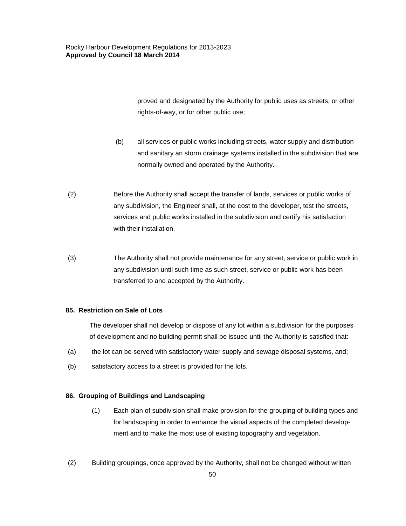proved and designated by the Authority for public uses as streets, or other rights-of-way, or for other public use;

- (b) all services or public works including streets, water supply and distribution and sanitary an storm drainage systems installed in the subdivision that are normally owned and operated by the Authority.
- (2) Before the Authority shall accept the transfer of lands, services or public works of any subdivision, the Engineer shall, at the cost to the developer, test the streets, services and public works installed in the subdivision and certify his satisfaction with their installation.
- (3) The Authority shall not provide maintenance for any street, service or public work in any subdivision until such time as such street, service or public work has been transferred to and accepted by the Authority.

### **85. Restriction on Sale of Lots**

 The developer shall not develop or dispose of any lot within a subdivision for the purposes of development and no building permit shall be issued until the Authority is satisfied that:

- (a) the lot can be served with satisfactory water supply and sewage disposal systems, and;
- (b) satisfactory access to a street is provided for the lots.

### **86. Grouping of Buildings and Landscaping**

- (1) Each plan of subdivision shall make provision for the grouping of building types and for landscaping in order to enhance the visual aspects of the completed development and to make the most use of existing topography and vegetation.
- (2) Building groupings, once approved by the Authority, shall not be changed without written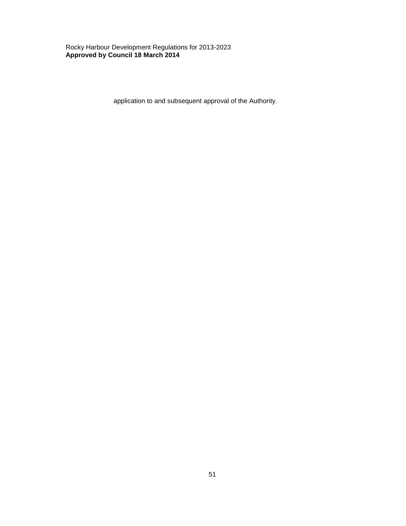application to and subsequent approval of the Authority.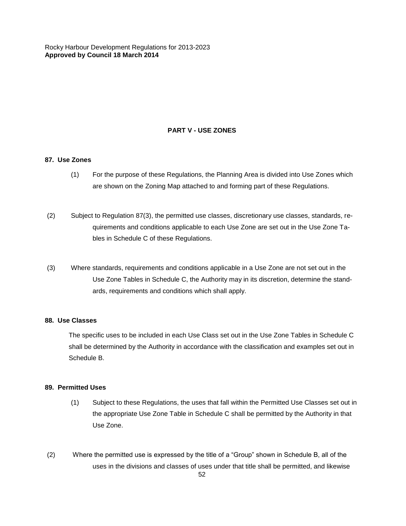### **PART V - USE ZONES**

#### **87. Use Zones**

- (1) For the purpose of these Regulations, the Planning Area is divided into Use Zones which are shown on the Zoning Map attached to and forming part of these Regulations.
- (2) Subject to Regulation 87(3), the permitted use classes, discretionary use classes, standards, requirements and conditions applicable to each Use Zone are set out in the Use Zone Tables in Schedule C of these Regulations.
- (3) Where standards, requirements and conditions applicable in a Use Zone are not set out in the Use Zone Tables in Schedule C, the Authority may in its discretion, determine the standards, requirements and conditions which shall apply.

#### **88. Use Classes**

 The specific uses to be included in each Use Class set out in the Use Zone Tables in Schedule C shall be determined by the Authority in accordance with the classification and examples set out in Schedule B.

#### **89. Permitted Uses**

- (1) Subject to these Regulations, the uses that fall within the Permitted Use Classes set out in the appropriate Use Zone Table in Schedule C shall be permitted by the Authority in that Use Zone.
- (2) Where the permitted use is expressed by the title of a "Group" shown in Schedule B, all of the uses in the divisions and classes of uses under that title shall be permitted, and likewise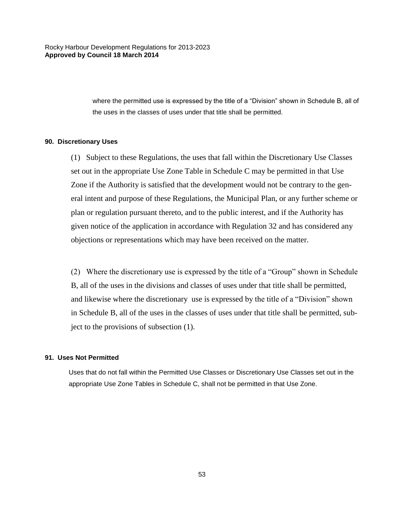where the permitted use is expressed by the title of a "Division" shown in Schedule B, all of the uses in the classes of uses under that title shall be permitted.

### **90. Discretionary Uses**

(1) Subject to these Regulations, the uses that fall within the Discretionary Use Classes set out in the appropriate Use Zone Table in Schedule C may be permitted in that Use Zone if the Authority is satisfied that the development would not be contrary to the general intent and purpose of these Regulations, the Municipal Plan, or any further scheme or plan or regulation pursuant thereto, and to the public interest, and if the Authority has given notice of the application in accordance with Regulation 32 and has considered any objections or representations which may have been received on the matter.

(2) Where the discretionary use is expressed by the title of a "Group" shown in Schedule B, all of the uses in the divisions and classes of uses under that title shall be permitted, and likewise where the discretionary use is expressed by the title of a "Division" shown in Schedule B, all of the uses in the classes of uses under that title shall be permitted, subject to the provisions of subsection (1).

### **91. Uses Not Permitted**

 Uses that do not fall within the Permitted Use Classes or Discretionary Use Classes set out in the appropriate Use Zone Tables in Schedule C, shall not be permitted in that Use Zone.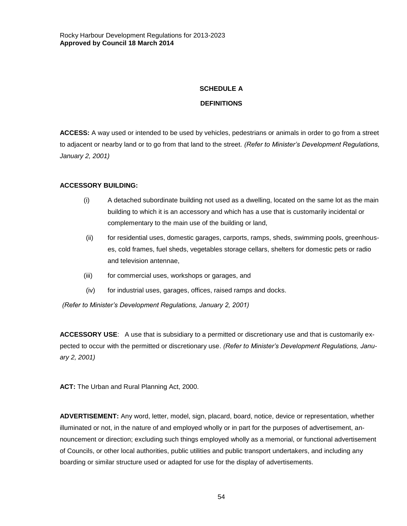# **SCHEDULE A**

# **DEFINITIONS**

**ACCESS:** A way used or intended to be used by vehicles, pedestrians or animals in order to go from a street to adjacent or nearby land or to go from that land to the street. *(Refer to Minister's Development Regulations, January 2, 2001)*

# **ACCESSORY BUILDING:**

- (i) A detached subordinate building not used as a dwelling, located on the same lot as the main building to which it is an accessory and which has a use that is customarily incidental or complementary to the main use of the building or land,
- (ii) for residential uses, domestic garages, carports, ramps, sheds, swimming pools, greenhouses, cold frames, fuel sheds, vegetables storage cellars, shelters for domestic pets or radio and television antennae,
- (iii) for commercial uses, workshops or garages, and
- (iv) for industrial uses, garages, offices, raised ramps and docks.

*(Refer to Minister's Development Regulations, January 2, 2001)*

**ACCESSORY USE**: A use that is subsidiary to a permitted or discretionary use and that is customarily expected to occur with the permitted or discretionary use. *(Refer to Minister's Development Regulations, January 2, 2001)*

**ACT:** The Urban and Rural Planning Act, 2000.

**ADVERTISEMENT:** Any word, letter, model, sign, placard, board, notice, device or representation, whether illuminated or not, in the nature of and employed wholly or in part for the purposes of advertisement, announcement or direction; excluding such things employed wholly as a memorial, or functional advertisement of Councils, or other local authorities, public utilities and public transport undertakers, and including any boarding or similar structure used or adapted for use for the display of advertisements.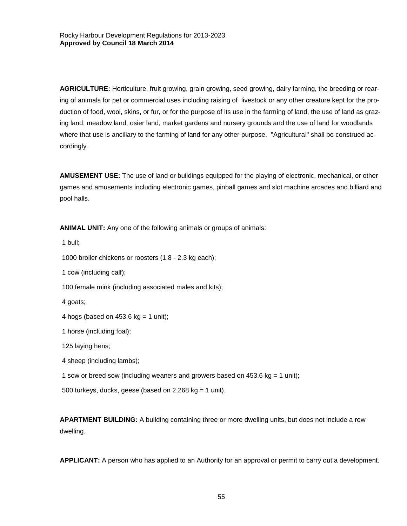**AGRICULTURE:** Horticulture, fruit growing, grain growing, seed growing, dairy farming, the breeding or rearing of animals for pet or commercial uses including raising of livestock or any other creature kept for the production of food, wool, skins, or fur, or for the purpose of its use in the farming of land, the use of land as grazing land, meadow land, osier land, market gardens and nursery grounds and the use of land for woodlands where that use is ancillary to the farming of land for any other purpose. "Agricultural" shall be construed accordingly.

**AMUSEMENT USE:** The use of land or buildings equipped for the playing of electronic, mechanical, or other games and amusements including electronic games, pinball games and slot machine arcades and billiard and pool halls.

**ANIMAL UNIT:** Any one of the following animals or groups of animals:

1 bull;

1000 broiler chickens or roosters (1.8 - 2.3 kg each);

1 cow (including calf);

100 female mink (including associated males and kits);

4 goats;

4 hogs (based on  $453.6$  kg = 1 unit);

1 horse (including foal);

125 laying hens;

4 sheep (including lambs);

1 sow or breed sow (including weaners and growers based on  $453.6$  kg = 1 unit);

500 turkeys, ducks, geese (based on 2,268 kg = 1 unit).

**APARTMENT BUILDING:** A building containing three or more dwelling units, but does not include a row dwelling.

**APPLICANT:** A person who has applied to an Authority for an approval or permit to carry out a development.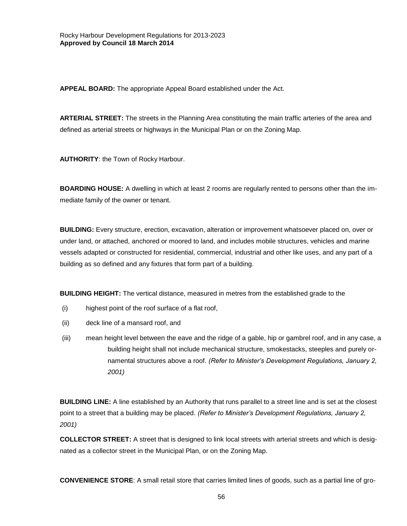**APPEAL BOARD:** The appropriate Appeal Board established under the Act.

**ARTERIAL STREET:** The streets in the Planning Area constituting the main traffic arteries of the area and defined as arterial streets or highways in the Municipal Plan or on the Zoning Map.

**AUTHORITY**: the Town of Rocky Harbour.

**BOARDING HOUSE:** A dwelling in which at least 2 rooms are regularly rented to persons other than the immediate family of the owner or tenant.

**BUILDING:** Every structure, erection, excavation, alteration or improvement whatsoever placed on, over or under land, or attached, anchored or moored to land, and includes mobile structures, vehicles and marine vessels adapted or constructed for residential, commercial, industrial and other like uses, and any part of a building as so defined and any fixtures that form part of a building.

**BUILDING HEIGHT:** The vertical distance, measured in metres from the established grade to the

- (i) highest point of the roof surface of a flat roof,
- (ii) deck line of a mansard roof, and
- (iii) mean height level between the eave and the ridge of a gable, hip or gambrel roof, and in any case, a building height shall not include mechanical structure, smokestacks, steeples and purely ornamental structures above a roof. *(Refer to Minister's Development Regulations, January 2, 2001)*

**BUILDING LINE:** A line established by an Authority that runs parallel to a street line and is set at the closest point to a street that a building may be placed. *(Refer to Minister's Development Regulations, January 2, 2001)*

**COLLECTOR STREET:** A street that is designed to link local streets with arterial streets and which is designated as a collector street in the Municipal Plan, or on the Zoning Map.

**CONVENIENCE STORE**: A small retail store that carries limited lines of goods, such as a partial line of gro-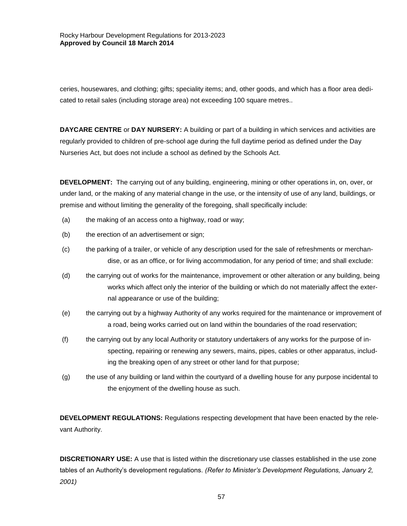ceries, housewares, and clothing; gifts; speciality items; and, other goods, and which has a floor area dedicated to retail sales (including storage area) not exceeding 100 square metres..

**DAYCARE CENTRE** or **DAY NURSERY:** A building or part of a building in which services and activities are regularly provided to children of pre-school age during the full daytime period as defined under the Day Nurseries Act, but does not include a school as defined by the Schools Act.

**DEVELOPMENT:** The carrying out of any building, engineering, mining or other operations in, on, over, or under land, or the making of any material change in the use, or the intensity of use of any land, buildings, or premise and without limiting the generality of the foregoing, shall specifically include:

- (a) the making of an access onto a highway, road or way;
- (b) the erection of an advertisement or sign;
- (c) the parking of a trailer, or vehicle of any description used for the sale of refreshments or merchandise, or as an office, or for living accommodation, for any period of time; and shall exclude:
- (d) the carrying out of works for the maintenance, improvement or other alteration or any building, being works which affect only the interior of the building or which do not materially affect the external appearance or use of the building;
- (e) the carrying out by a highway Authority of any works required for the maintenance or improvement of a road, being works carried out on land within the boundaries of the road reservation;
- (f) the carrying out by any local Authority or statutory undertakers of any works for the purpose of inspecting, repairing or renewing any sewers, mains, pipes, cables or other apparatus, including the breaking open of any street or other land for that purpose;
- (g) the use of any building or land within the courtyard of a dwelling house for any purpose incidental to the enjoyment of the dwelling house as such.

**DEVELOPMENT REGULATIONS:** Regulations respecting development that have been enacted by the relevant Authority.

**DISCRETIONARY USE:** A use that is listed within the discretionary use classes established in the use zone tables of an Authority's development regulations. *(Refer to Minister's Development Regulations, January 2, 2001)*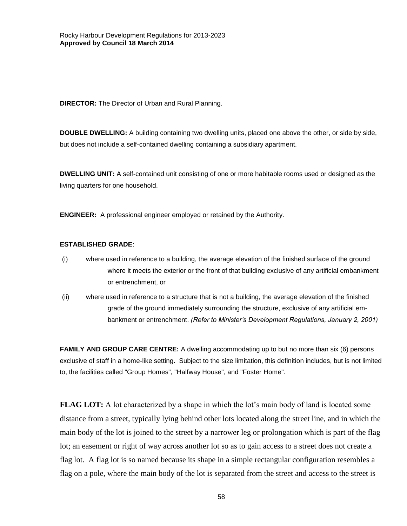**DIRECTOR:** The Director of Urban and Rural Planning.

**DOUBLE DWELLING:** A building containing two dwelling units, placed one above the other, or side by side, but does not include a self-contained dwelling containing a subsidiary apartment.

**DWELLING UNIT:** A self-contained unit consisting of one or more habitable rooms used or designed as the living quarters for one household.

**ENGINEER:** A professional engineer employed or retained by the Authority.

### **ESTABLISHED GRADE**:

- (i) where used in reference to a building, the average elevation of the finished surface of the ground where it meets the exterior or the front of that building exclusive of any artificial embankment or entrenchment, or
- (ii) where used in reference to a structure that is not a building, the average elevation of the finished grade of the ground immediately surrounding the structure, exclusive of any artificial embankment or entrenchment. *(Refer to Minister's Development Regulations, January 2, 2001)*

FAMILY AND GROUP CARE CENTRE: A dwelling accommodating up to but no more than six (6) persons exclusive of staff in a home-like setting. Subject to the size limitation, this definition includes, but is not limited to, the facilities called "Group Homes", "Halfway House", and "Foster Home".

**FLAG LOT:** A lot characterized by a shape in which the lot's main body of land is located some distance from a street, typically lying behind other lots located along the street line, and in which the main body of the lot is joined to the street by a narrower leg or prolongation which is part of the flag lot; an easement or right of way across another lot so as to gain access to a street does not create a flag lot. A flag lot is so named because its shape in a simple rectangular configuration resembles a flag on a pole, where the main body of the lot is separated from the street and access to the street is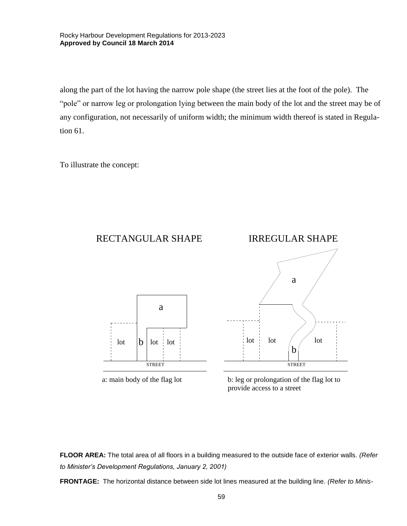along the part of the lot having the narrow pole shape (the street lies at the foot of the pole). The "pole" or narrow leg or prolongation lying between the main body of the lot and the street may be of any configuration, not necessarily of uniform width; the minimum width thereof is stated in Regulation 61.

To illustrate the concept:





**FLOOR AREA:** The total area of all floors in a building measured to the outside face of exterior walls. *(Refer to Minister's Development Regulations, January 2, 2001)*

**FRONTAGE:** The horizontal distance between side lot lines measured at the building line. *(Refer to Minis-*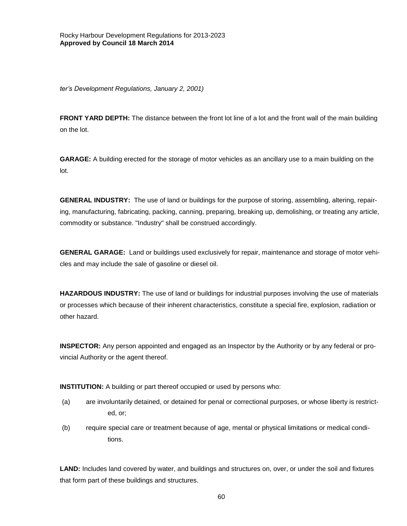*ter's Development Regulations, January 2, 2001)*

**FRONT YARD DEPTH:** The distance between the front lot line of a lot and the front wall of the main building on the lot.

**GARAGE:** A building erected for the storage of motor vehicles as an ancillary use to a main building on the lot.

**GENERAL INDUSTRY:** The use of land or buildings for the purpose of storing, assembling, altering, repairing, manufacturing, fabricating, packing, canning, preparing, breaking up, demolishing, or treating any article, commodity or substance. "Industry" shall be construed accordingly.

**GENERAL GARAGE:** Land or buildings used exclusively for repair, maintenance and storage of motor vehicles and may include the sale of gasoline or diesel oil.

**HAZARDOUS INDUSTRY:** The use of land or buildings for industrial purposes involving the use of materials or processes which because of their inherent characteristics, constitute a special fire, explosion, radiation or other hazard.

**INSPECTOR:** Any person appointed and engaged as an Inspector by the Authority or by any federal or provincial Authority or the agent thereof.

**INSTITUTION:** A building or part thereof occupied or used by persons who:

- (a) are involuntarily detained, or detained for penal or correctional purposes, or whose liberty is restricted, or;
- (b) require special care or treatment because of age, mental or physical limitations or medical conditions.

**LAND:** Includes land covered by water, and buildings and structures on, over, or under the soil and fixtures that form part of these buildings and structures.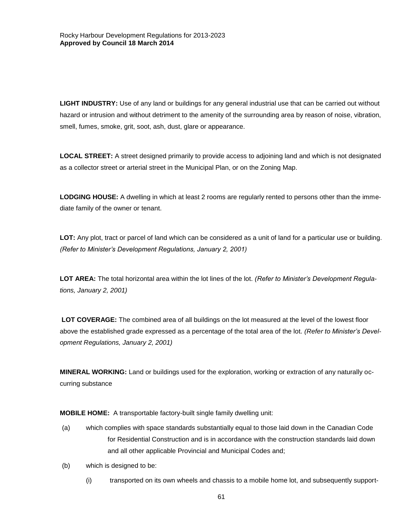**LIGHT INDUSTRY:** Use of any land or buildings for any general industrial use that can be carried out without hazard or intrusion and without detriment to the amenity of the surrounding area by reason of noise, vibration, smell, fumes, smoke, grit, soot, ash, dust, glare or appearance.

**LOCAL STREET:** A street designed primarily to provide access to adjoining land and which is not designated as a collector street or arterial street in the Municipal Plan, or on the Zoning Map.

**LODGING HOUSE:** A dwelling in which at least 2 rooms are regularly rented to persons other than the immediate family of the owner or tenant.

**LOT:** Any plot, tract or parcel of land which can be considered as a unit of land for a particular use or building. *(Refer to Minister's Development Regulations, January 2, 2001)*

**LOT AREA:** The total horizontal area within the lot lines of the lot. *(Refer to Minister's Development Regulations, January 2, 2001)*

**LOT COVERAGE:** The combined area of all buildings on the lot measured at the level of the lowest floor above the established grade expressed as a percentage of the total area of the lot. *(Refer to Minister's Development Regulations, January 2, 2001)*

**MINERAL WORKING:** Land or buildings used for the exploration, working or extraction of any naturally occurring substance

**MOBILE HOME:** A transportable factory-built single family dwelling unit:

- (a) which complies with space standards substantially equal to those laid down in the Canadian Code for Residential Construction and is in accordance with the construction standards laid down and all other applicable Provincial and Municipal Codes and;
- (b) which is designed to be:
	- (i) transported on its own wheels and chassis to a mobile home lot, and subsequently support-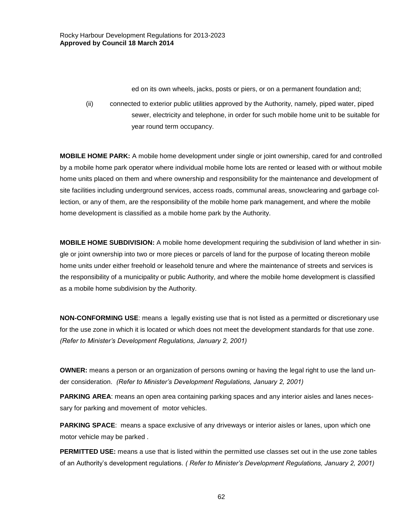ed on its own wheels, jacks, posts or piers, or on a permanent foundation and;

(ii) connected to exterior public utilities approved by the Authority, namely, piped water, piped sewer, electricity and telephone, in order for such mobile home unit to be suitable for year round term occupancy.

**MOBILE HOME PARK:** A mobile home development under single or joint ownership, cared for and controlled by a mobile home park operator where individual mobile home lots are rented or leased with or without mobile home units placed on them and where ownership and responsibility for the maintenance and development of site facilities including underground services, access roads, communal areas, snowclearing and garbage collection, or any of them, are the responsibility of the mobile home park management, and where the mobile home development is classified as a mobile home park by the Authority.

**MOBILE HOME SUBDIVISION:** A mobile home development requiring the subdivision of land whether in single or joint ownership into two or more pieces or parcels of land for the purpose of locating thereon mobile home units under either freehold or leasehold tenure and where the maintenance of streets and services is the responsibility of a municipality or public Authority, and where the mobile home development is classified as a mobile home subdivision by the Authority.

**NON-CONFORMING USE**: means a legally existing use that is not listed as a permitted or discretionary use for the use zone in which it is located or which does not meet the development standards for that use zone. *(Refer to Minister's Development Regulations, January 2, 2001)*

**OWNER:** means a person or an organization of persons owning or having the legal right to use the land under consideration. *(Refer to Minister's Development Regulations, January 2, 2001)*

**PARKING AREA**: means an open area containing parking spaces and any interior aisles and lanes necessary for parking and movement of motor vehicles.

**PARKING SPACE**: means a space exclusive of any driveways or interior aisles or lanes, upon which one motor vehicle may be parked .

**PERMITTED USE:** means a use that is listed within the permitted use classes set out in the use zone tables of an Authority's development regulations. *( Refer to Minister's Development Regulations, January 2, 2001)*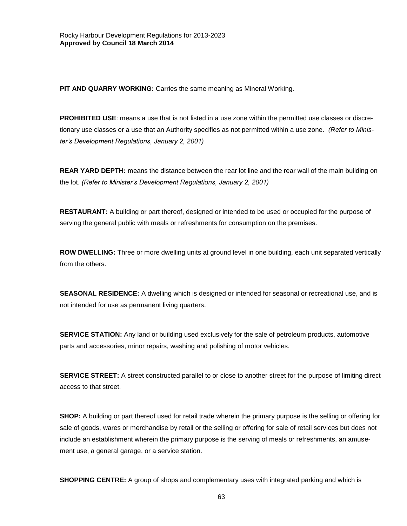**PIT AND QUARRY WORKING:** Carries the same meaning as Mineral Working.

**PROHIBITED USE**: means a use that is not listed in a use zone within the permitted use classes or discretionary use classes or a use that an Authority specifies as not permitted within a use zone. *(Refer to Minister's Development Regulations, January 2, 2001)*

**REAR YARD DEPTH:** means the distance between the rear lot line and the rear wall of the main building on the lot. *(Refer to Minister's Development Regulations, January 2, 2001)*

**RESTAURANT:** A building or part thereof, designed or intended to be used or occupied for the purpose of serving the general public with meals or refreshments for consumption on the premises.

**ROW DWELLING:** Three or more dwelling units at ground level in one building, each unit separated vertically from the others.

**SEASONAL RESIDENCE:** A dwelling which is designed or intended for seasonal or recreational use, and is not intended for use as permanent living quarters.

**SERVICE STATION:** Any land or building used exclusively for the sale of petroleum products, automotive parts and accessories, minor repairs, washing and polishing of motor vehicles.

**SERVICE STREET:** A street constructed parallel to or close to another street for the purpose of limiting direct access to that street.

**SHOP:** A building or part thereof used for retail trade wherein the primary purpose is the selling or offering for sale of goods, wares or merchandise by retail or the selling or offering for sale of retail services but does not include an establishment wherein the primary purpose is the serving of meals or refreshments, an amusement use, a general garage, or a service station.

**SHOPPING CENTRE:** A group of shops and complementary uses with integrated parking and which is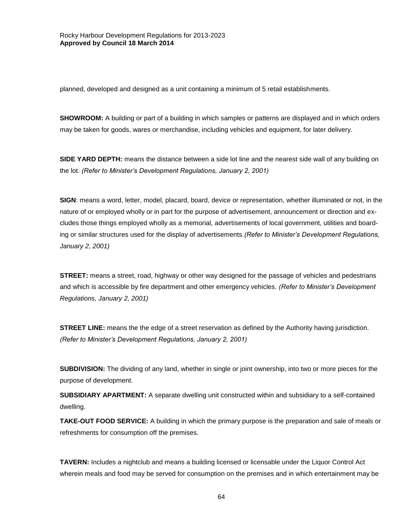planned, developed and designed as a unit containing a minimum of 5 retail establishments.

**SHOWROOM:** A building or part of a building in which samples or patterns are displayed and in which orders may be taken for goods, wares or merchandise, including vehicles and equipment, for later delivery.

**SIDE YARD DEPTH:** means the distance between a side lot line and the nearest side wall of any building on the lot. *(Refer to Minister's Development Regulations, January 2, 2001)*

**SIGN**: means a word, letter, model, placard, board, device or representation, whether illuminated or not, in the nature of or employed wholly or in part for the purpose of advertisement, announcement or direction and excludes those things employed wholly as a memorial, advertisements of local government, utilities and boarding or similar structures used for the display of advertisements.*(Refer to Minister's Development Regulations, January 2, 2001)*

**STREET:** means a street, road, highway or other way designed for the passage of vehicles and pedestrians and which is accessible by fire department and other emergency vehicles. *(Refer to Minister's Development Regulations, January 2, 2001)*

**STREET LINE:** means the the edge of a street reservation as defined by the Authority having jurisdiction. *(Refer to Minister's Development Regulations, January 2, 2001)*

**SUBDIVISION:** The dividing of any land, whether in single or joint ownership, into two or more pieces for the purpose of development.

**SUBSIDIARY APARTMENT:** A separate dwelling unit constructed within and subsidiary to a self-contained dwelling.

**TAKE-OUT FOOD SERVICE:** A building in which the primary purpose is the preparation and sale of meals or refreshments for consumption off the premises.

**TAVERN:** Includes a nightclub and means a building licensed or licensable under the Liquor Control Act wherein meals and food may be served for consumption on the premises and in which entertainment may be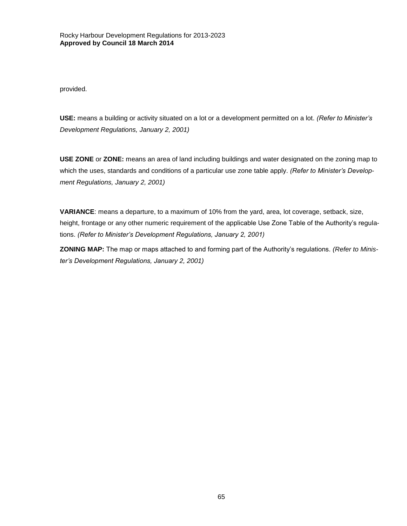provided.

**USE:** means a building or activity situated on a lot or a development permitted on a lot. *(Refer to Minister's Development Regulations, January 2, 2001)*

**USE ZONE** or **ZONE:** means an area of land including buildings and water designated on the zoning map to which the uses, standards and conditions of a particular use zone table apply. *(Refer to Minister's Development Regulations, January 2, 2001)*

**VARIANCE**: means a departure, to a maximum of 10% from the yard, area, lot coverage, setback, size, height, frontage or any other numeric requirement of the applicable Use Zone Table of the Authority's regulations. *(Refer to Minister's Development Regulations, January 2, 2001)*

**ZONING MAP:** The map or maps attached to and forming part of the Authority's regulations. *(Refer to Minister's Development Regulations, January 2, 2001)*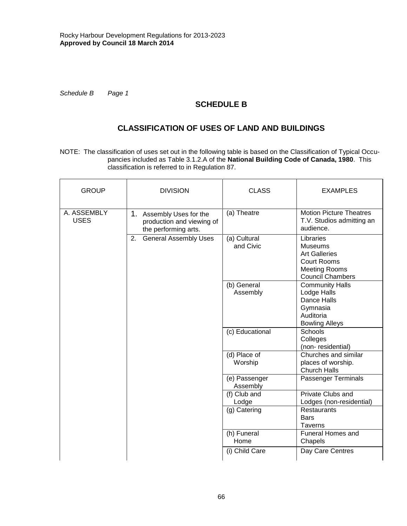*Schedule B Page 1*

#### **SCHEDULE B**

#### **CLASSIFICATION OF USES OF LAND AND BUILDINGS**

NOTE: The classification of uses set out in the following table is based on the Classification of Typical Occupancies included as Table 3.1.2.A of the **National Building Code of Canada, 1980**. This classification is referred to in Regulation 87.

| <b>GROUP</b>               | <b>DIVISION</b>                                                               | <b>CLASS</b>              | <b>EXAMPLES</b>                                                                                                              |
|----------------------------|-------------------------------------------------------------------------------|---------------------------|------------------------------------------------------------------------------------------------------------------------------|
| A. ASSEMBLY<br><b>USES</b> | 1. Assembly Uses for the<br>production and viewing of<br>the performing arts. | (a) Theatre               | <b>Motion Picture Theatres</b><br>T.V. Studios admitting an<br>audience.                                                     |
|                            | 2. General Assembly Uses                                                      | (a) Cultural<br>and Civic | Libraries<br><b>Museums</b><br><b>Art Galleries</b><br><b>Court Rooms</b><br><b>Meeting Rooms</b><br><b>Council Chambers</b> |
|                            |                                                                               | (b) General<br>Assembly   | <b>Community Halls</b><br>Lodge Halls<br>Dance Halls<br>Gymnasia<br>Auditoria<br><b>Bowling Alleys</b>                       |
|                            |                                                                               | (c) Educational           | <b>Schools</b><br>Colleges<br>(non-residential)                                                                              |
|                            |                                                                               | (d) Place of<br>Worship   | Churches and similar<br>places of worship.<br><b>Church Halls</b>                                                            |
|                            |                                                                               | (e) Passenger<br>Assembly | <b>Passenger Terminals</b>                                                                                                   |
|                            |                                                                               | (f) Club and<br>Lodge     | Private Clubs and<br>Lodges (non-residential)                                                                                |
|                            |                                                                               | (g) Catering              | <b>Restaurants</b><br><b>Bars</b><br>Taverns                                                                                 |
|                            |                                                                               | (h) Funeral<br>Home       | Funeral Homes and<br>Chapels                                                                                                 |
|                            |                                                                               | (i) Child Care            | Day Care Centres                                                                                                             |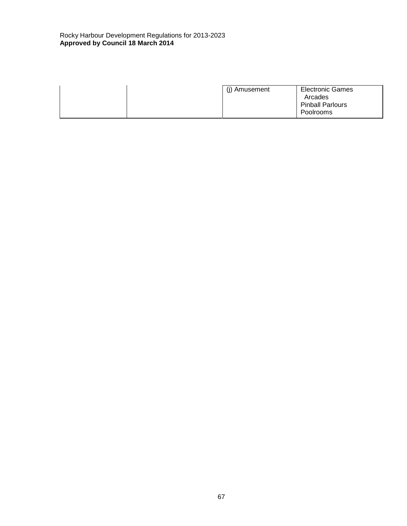|  | (j) Amusement | <b>Electronic Games</b><br>Arcades   |
|--|---------------|--------------------------------------|
|  |               | <b>Pinball Parlours</b><br>Poolrooms |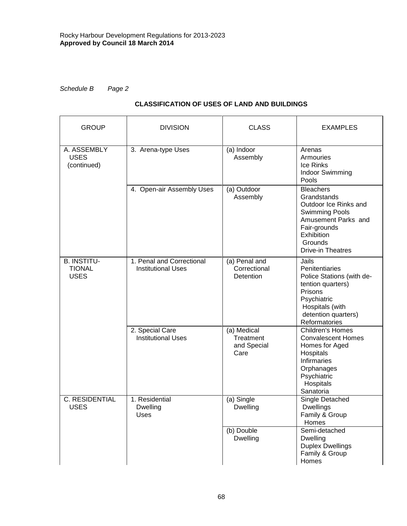*Schedule B Page 2*

ŕ

#### **CLASSIFICATION OF USES OF LAND AND BUILDINGS**

| <b>GROUP</b>                                       | <b>DIVISION</b>                                        | <b>CLASS</b>                                    | <b>EXAMPLES</b>                                                                                                                                                               |
|----------------------------------------------------|--------------------------------------------------------|-------------------------------------------------|-------------------------------------------------------------------------------------------------------------------------------------------------------------------------------|
| A. ASSEMBLY<br><b>USES</b><br>(continued)          | 3. Arena-type Uses                                     | (a) Indoor<br>Assembly                          | Arenas<br>Armouries<br>Ice Rinks<br>Indoor Swimming<br>Pools                                                                                                                  |
|                                                    | 4. Open-air Assembly Uses                              | (a) Outdoor<br>Assembly                         | <b>Bleachers</b><br>Grandstands<br>Outdoor Ice Rinks and<br><b>Swimming Pools</b><br>Amusement Parks and<br>Fair-grounds<br>Exhibition<br>Grounds<br><b>Drive-in Theatres</b> |
| <b>B. INSTITU-</b><br><b>TIONAL</b><br><b>USES</b> | 1. Penal and Correctional<br><b>Institutional Uses</b> | (a) Penal and<br>Correctional<br>Detention      | Jails<br>Penitentiaries<br>Police Stations (with de-<br>tention quarters)<br>Prisons<br>Psychiatric<br>Hospitals (with<br>detention quarters)<br>Reformatories                |
|                                                    | 2. Special Care<br><b>Institutional Uses</b>           | (a) Medical<br>Treatment<br>and Special<br>Care | <b>Children's Homes</b><br><b>Convalescent Homes</b><br>Homes for Aged<br>Hospitals<br>Infirmaries<br>Orphanages<br>Psychiatric<br>Hospitals<br>Sanatoria                     |
| C. RESIDENTIAL<br><b>USES</b>                      | 1. Residential<br><b>Dwelling</b><br>Uses              | $(a)$ Single<br><b>Dwelling</b><br>(b) Double   | Single Detached<br><b>Dwellings</b><br>Family & Group<br>Homes<br>Semi-detached                                                                                               |
|                                                    |                                                        | <b>Dwelling</b>                                 | <b>Dwelling</b><br><b>Duplex Dwellings</b><br>Family & Group<br>Homes                                                                                                         |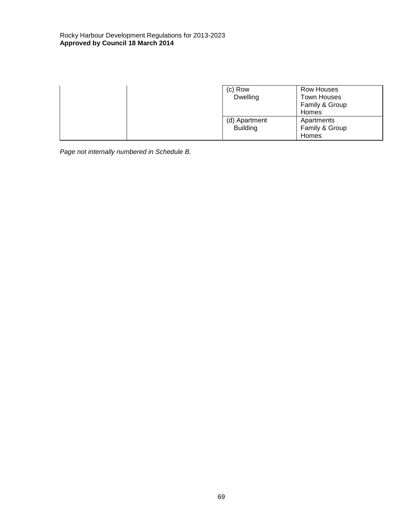| (c) Row<br><b>Dwelling</b>       | Row Houses<br><b>Town Houses</b><br>Family & Group<br>Homes |
|----------------------------------|-------------------------------------------------------------|
| (d) Apartment<br><b>Building</b> | Apartments<br>Family & Group<br>Homes                       |

*Page not internally numbered in Schedule B.*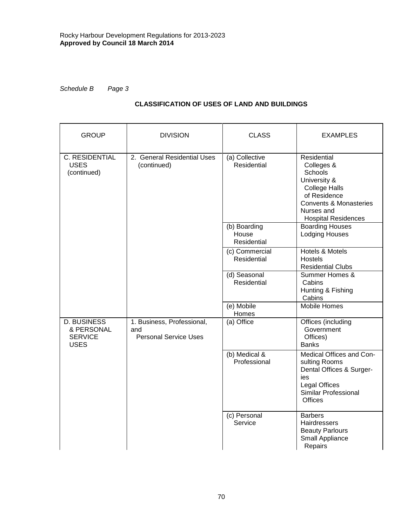*Schedule B Page 3*

#### **CLASSIFICATION OF USES OF LAND AND BUILDINGS**

| <b>GROUP</b>                                                      | <b>DIVISION</b>                                                   | <b>CLASS</b>                         | <b>EXAMPLES</b>                                                                                                                                                               |
|-------------------------------------------------------------------|-------------------------------------------------------------------|--------------------------------------|-------------------------------------------------------------------------------------------------------------------------------------------------------------------------------|
| C. RESIDENTIAL<br><b>USES</b><br>(continued)                      | 2. General Residential Uses<br>(continued)                        | (a) Collective<br>Residential        | Residential<br>Colleges &<br>Schools<br>University &<br><b>College Halls</b><br>of Residence<br><b>Convents &amp; Monasteries</b><br>Nurses and<br><b>Hospital Residences</b> |
|                                                                   |                                                                   | (b) Boarding<br>House<br>Residential | <b>Boarding Houses</b><br><b>Lodging Houses</b>                                                                                                                               |
|                                                                   |                                                                   | (c) Commercial<br>Residential        | Hotels & Motels<br><b>Hostels</b><br><b>Residential Clubs</b>                                                                                                                 |
|                                                                   |                                                                   | (d) Seasonal<br>Residential          | Summer Homes &<br>Cabins<br>Hunting & Fishing<br>Cabins                                                                                                                       |
|                                                                   |                                                                   | (e) Mobile<br>Homes                  | <b>Mobile Homes</b>                                                                                                                                                           |
| <b>D. BUSINESS</b><br>& PERSONAL<br><b>SERVICE</b><br><b>USES</b> | 1. Business, Professional,<br>and<br><b>Personal Service Uses</b> | (a) Office                           | Offices (including<br>Government<br>Offices)<br><b>Banks</b>                                                                                                                  |
|                                                                   |                                                                   | (b) Medical &<br>Professional        | Medical Offices and Con-<br>sulting Rooms<br>Dental Offices & Surger-<br>ies<br><b>Legal Offices</b><br>Similar Professional<br><b>Offices</b>                                |
|                                                                   |                                                                   | (c) Personal<br>Service              | <b>Barbers</b><br>Hairdressers<br><b>Beauty Parlours</b><br>Small Appliance<br>Repairs                                                                                        |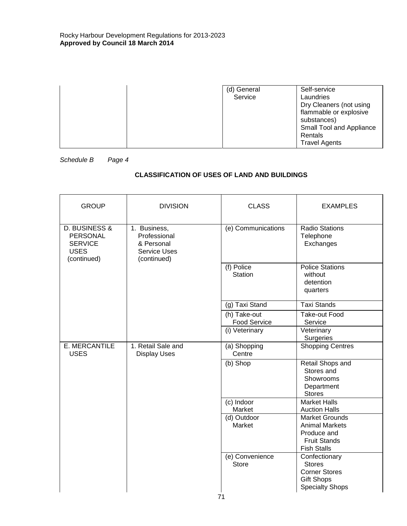| (d) General<br>Service | Self-service<br>Laundries                                                                    |
|------------------------|----------------------------------------------------------------------------------------------|
|                        | Dry Cleaners (not using<br>flammable or explosive<br>substances)<br>Small Tool and Appliance |
|                        | Rentals<br><b>Travel Agents</b>                                                              |

*Schedule B Page 4*

#### **CLASSIFICATION OF USES OF LAND AND BUILDINGS**

| <b>GROUP</b>                                                                     | <b>DIVISION</b>                                                                  | <b>CLASS</b>                        | <b>EXAMPLES</b>                                                                                            |
|----------------------------------------------------------------------------------|----------------------------------------------------------------------------------|-------------------------------------|------------------------------------------------------------------------------------------------------------|
| D. BUSINESS &<br><b>PERSONAL</b><br><b>SERVICE</b><br><b>USES</b><br>(continued) | 1. Business,<br>Professional<br>& Personal<br><b>Service Uses</b><br>(continued) | (e) Communications                  | <b>Radio Stations</b><br>Telephone<br>Exchanges                                                            |
|                                                                                  |                                                                                  | (f) Police<br>Station               | <b>Police Stations</b><br>without<br>detention<br>quarters                                                 |
|                                                                                  |                                                                                  | (g) Taxi Stand                      | <b>Taxi Stands</b>                                                                                         |
|                                                                                  |                                                                                  | (h) Take-out<br><b>Food Service</b> | <b>Take-out Food</b><br>Service                                                                            |
|                                                                                  |                                                                                  | (i) Veterinary                      | Veterinary<br>Surgeries                                                                                    |
| E. MERCANTILE<br><b>USES</b>                                                     | 1. Retail Sale and<br><b>Display Uses</b>                                        | (a) Shopping<br>Centre              | Shopping Centres                                                                                           |
|                                                                                  |                                                                                  | (b) Shop                            | Retail Shops and<br>Stores and<br>Showrooms<br>Department<br><b>Stores</b>                                 |
|                                                                                  |                                                                                  | (c) Indoor<br>Market                | <b>Market Halls</b><br><b>Auction Halls</b>                                                                |
|                                                                                  |                                                                                  | (d) Outdoor<br>Market               | <b>Market Grounds</b><br><b>Animal Markets</b><br>Produce and<br><b>Fruit Stands</b><br><b>Fish Stalls</b> |
|                                                                                  |                                                                                  | (e) Convenience<br><b>Store</b>     | Confectionary<br><b>Stores</b><br><b>Corner Stores</b><br><b>Gift Shops</b><br><b>Specialty Shops</b>      |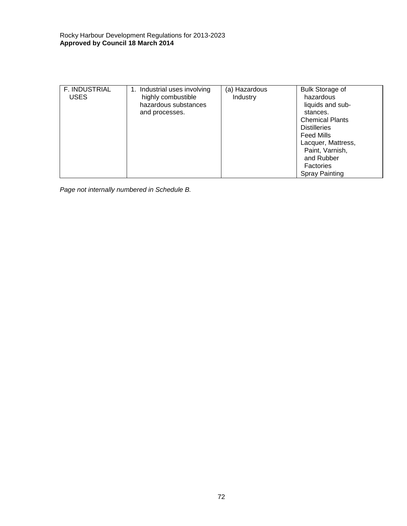| <b>F. INDUSTRIAL</b><br><b>USES</b> | Industrial uses involving<br>1.<br>highly combustible<br>hazardous substances<br>and processes. | (a) Hazardous<br>Industry | <b>Bulk Storage of</b><br>hazardous<br>liquids and sub-<br>stances.<br><b>Chemical Plants</b><br><b>Distilleries</b><br><b>Feed Mills</b><br>Lacquer, Mattress,<br>Paint, Varnish, |
|-------------------------------------|-------------------------------------------------------------------------------------------------|---------------------------|------------------------------------------------------------------------------------------------------------------------------------------------------------------------------------|
|                                     |                                                                                                 |                           | and Rubber<br><b>Factories</b><br><b>Spray Painting</b>                                                                                                                            |

*Page not internally numbered in Schedule B.*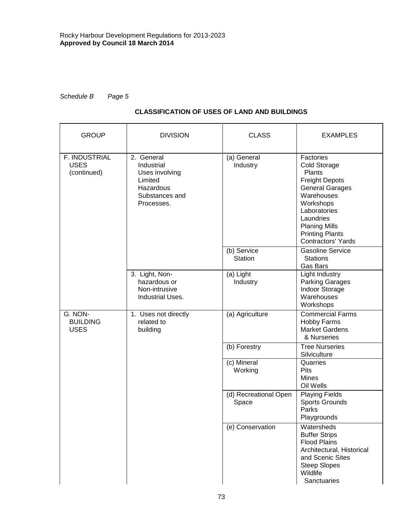*Schedule B Page 5*

#### **CLASSIFICATION OF USES OF LAND AND BUILDINGS**

| <b>GROUP</b>                                | <b>DIVISION</b>                                                                                    | <b>CLASS</b>                   | <b>EXAMPLES</b>                                                                                                                                                                                                               |
|---------------------------------------------|----------------------------------------------------------------------------------------------------|--------------------------------|-------------------------------------------------------------------------------------------------------------------------------------------------------------------------------------------------------------------------------|
| F. INDUSTRIAL<br><b>USES</b><br>(continued) | 2. General<br>Industrial<br>Uses involving<br>Limited<br>Hazardous<br>Substances and<br>Processes. | (a) General<br>Industry        | Factories<br>Cold Storage<br>Plants<br><b>Freight Depots</b><br><b>General Garages</b><br>Warehouses<br>Workshops<br>Laboratories<br>Laundries<br><b>Planing Mills</b><br><b>Printing Plants</b><br><b>Contractors' Yards</b> |
|                                             |                                                                                                    | (b) Service<br>Station         | <b>Gasoline Service</b><br><b>Stations</b><br><b>Gas Bars</b>                                                                                                                                                                 |
|                                             | 3. Light, Non-<br>hazardous or<br>Non-intrusive<br><b>Industrial Uses.</b>                         | (a) Light<br>Industry          | Light Industry<br><b>Parking Garages</b><br>Indoor Storage<br>Warehouses<br>Workshops                                                                                                                                         |
| G. NON-<br><b>BUILDING</b><br><b>USES</b>   | 1. Uses not directly<br>related to<br>building                                                     | (a) Agriculture                | <b>Commercial Farms</b><br>Hobby Farms<br><b>Market Gardens</b><br>& Nurseries                                                                                                                                                |
|                                             |                                                                                                    | (b) Forestry                   | <b>Tree Nurseries</b><br>Silviculture                                                                                                                                                                                         |
|                                             |                                                                                                    | (c) Mineral<br>Working         | Quarries<br><b>Pits</b><br><b>Mines</b><br>Oil Wells                                                                                                                                                                          |
|                                             |                                                                                                    | (d) Recreational Open<br>Space | <b>Playing Fields</b><br>Sports Grounds<br>Parks<br>Playgrounds                                                                                                                                                               |
|                                             |                                                                                                    | (e) Conservation               | Watersheds<br><b>Buffer Strips</b><br><b>Flood Plains</b><br>Architectural, Historical<br>and Scenic Sites<br><b>Steep Slopes</b><br>Wildlife<br>Sanctuaries                                                                  |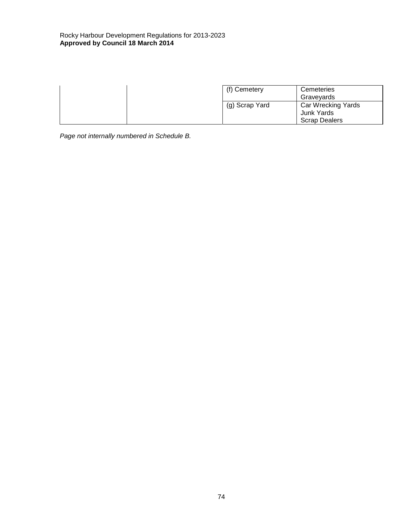| (f) Cemetery   | Cemeteries<br>Graveyards                                        |
|----------------|-----------------------------------------------------------------|
| (g) Scrap Yard | <b>Car Wrecking Yards</b><br>Junk Yards<br><b>Scrap Dealers</b> |

*Page not internally numbered in Schedule B.*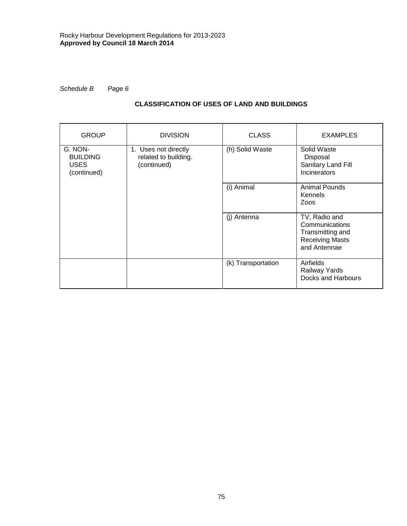*Schedule B Page 6*

#### **CLASSIFICATION OF USES OF LAND AND BUILDINGS**

| <b>GROUP</b>                                             | <b>DIVISION</b>                                             | <b>CLASS</b>       | <b>EXAMPLES</b>                                                                               |
|----------------------------------------------------------|-------------------------------------------------------------|--------------------|-----------------------------------------------------------------------------------------------|
| G. NON-<br><b>BUILDING</b><br><b>USES</b><br>(continued) | 1. Uses not directly<br>related to building.<br>(continued) | (h) Solid Waste    | Solid Waste<br>Disposal<br>Sanitary Land Fill<br>Incinerators                                 |
|                                                          |                                                             | (i) Animal         | <b>Animal Pounds</b><br>Kennels<br>Zoos                                                       |
|                                                          |                                                             | (j) Antenna        | TV, Radio and<br>Communications<br>Transmitting and<br><b>Receiving Masts</b><br>and Antennae |
|                                                          |                                                             | (k) Transportation | Airfields<br><b>Railway Yards</b><br>Docks and Harbours                                       |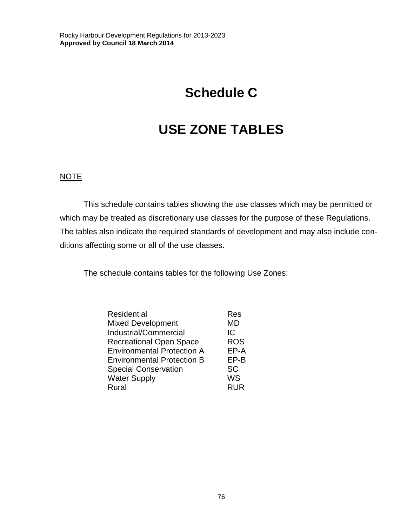# **Schedule C**

# **USE ZONE TABLES**

#### NOTE

This schedule contains tables showing the use classes which may be permitted or which may be treated as discretionary use classes for the purpose of these Regulations. The tables also indicate the required standards of development and may also include conditions affecting some or all of the use classes.

The schedule contains tables for the following Use Zones:

| <b>Residential</b>                | Res        |
|-----------------------------------|------------|
| <b>Mixed Development</b>          | <b>MD</b>  |
| <b>Industrial/Commercial</b>      | IC         |
| <b>Recreational Open Space</b>    | <b>ROS</b> |
| <b>Environmental Protection A</b> | EP-A       |
| <b>Environmental Protection B</b> | EP-B       |
| <b>Special Conservation</b>       | <b>SC</b>  |
| <b>Water Supply</b>               | <b>WS</b>  |
| Rural                             | <b>RUR</b> |
|                                   |            |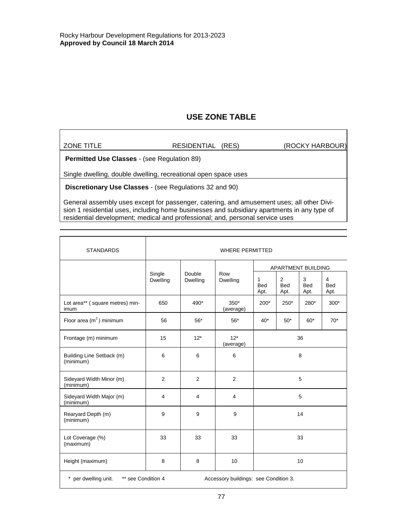ZONE TITLE RESIDENTIAL (RES) (ROCKY HARBOUR)

**Permitted Use Classes** - (see Regulation 89)

Single dwelling, double dwelling, recreational open space uses

**Discretionary Use Classes** - (see Regulations 32 and 90)

General assembly uses except for passenger, catering, and amusement uses; all other Division 1 residential uses, including home businesses and subsidiary apartments in any type of residential development; medical and professional; and, personal service uses

| <b>STANDARDS</b>                                                                    | <b>WHERE PERMITTED</b> |                    |                     |                         |                                      |                         |                         |
|-------------------------------------------------------------------------------------|------------------------|--------------------|---------------------|-------------------------|--------------------------------------|-------------------------|-------------------------|
|                                                                                     |                        |                    |                     | APARTMENT BUILDING      |                                      |                         |                         |
|                                                                                     | Single<br>Dwelling     | Double<br>Dwelling | Row<br>Dwelling     | 1<br><b>Bed</b><br>Apt. | $\overline{2}$<br><b>Bed</b><br>Apt. | 3<br><b>Bed</b><br>Apt. | 4<br><b>Bed</b><br>Apt. |
| Lot area** (square metres) min-<br>imum                                             | 650                    | 490*               | $350*$<br>(average) | 200*                    | $250*$                               | 280*                    | $300*$                  |
| Floor area $(m^2)$ minimum                                                          | 56                     | $56*$              | $56*$               | $40*$                   | $50*$                                | $60*$                   | $70*$                   |
| Frontage (m) minimum                                                                | 15                     | $12*$              | $12*$<br>(average)  |                         |                                      | 36                      |                         |
| Building Line Setback (m)<br>(minimum)                                              | 6                      | 6                  | 6                   |                         |                                      | 8                       |                         |
| Sideyard Width Minor (m)<br>(minimum)                                               | $\overline{2}$         | $\overline{2}$     | 2                   |                         |                                      | 5                       |                         |
| Sideyard Width Major (m)<br>(minimum)                                               | 4                      | 4                  | 4                   |                         |                                      | 5                       |                         |
| Rearyard Depth (m)<br>(minimum)                                                     | 9                      | 9                  | 9                   |                         |                                      | 14                      |                         |
| Lot Coverage (%)<br>(maximum)                                                       | 33                     | 33                 | 33                  |                         |                                      | 33                      |                         |
| Height (maximum)                                                                    | 8                      | 8                  | 10                  |                         |                                      | 10                      |                         |
| * per dwelling unit.<br>** see Condition 4<br>Accessory buildings: see Condition 3. |                        |                    |                     |                         |                                      |                         |                         |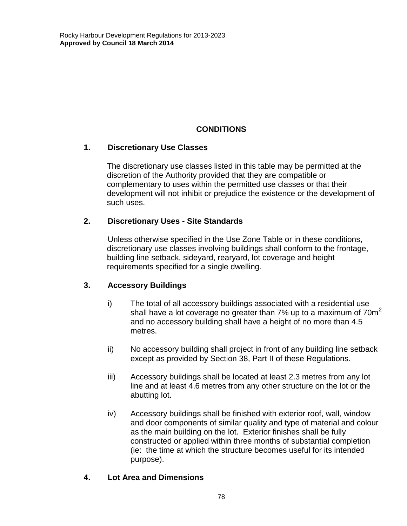# **CONDITIONS**

#### **1. Discretionary Use Classes**

The discretionary use classes listed in this table may be permitted at the discretion of the Authority provided that they are compatible or complementary to uses within the permitted use classes or that their development will not inhibit or prejudice the existence or the development of such uses.

#### **2. Discretionary Uses - Site Standards**

Unless otherwise specified in the Use Zone Table or in these conditions, discretionary use classes involving buildings shall conform to the frontage, building line setback, sideyard, rearyard, lot coverage and height requirements specified for a single dwelling.

#### **3. Accessory Buildings**

- i) The total of all accessory buildings associated with a residential use shall have a lot coverage no greater than  $7\%$  up to a maximum of  $70m<sup>2</sup>$ and no accessory building shall have a height of no more than 4.5 metres.
- ii) No accessory building shall project in front of any building line setback except as provided by Section 38, Part II of these Regulations.
- iii) Accessory buildings shall be located at least 2.3 metres from any lot line and at least 4.6 metres from any other structure on the lot or the abutting lot.
- iv) Accessory buildings shall be finished with exterior roof, wall, window and door components of similar quality and type of material and colour as the main building on the lot. Exterior finishes shall be fully constructed or applied within three months of substantial completion (ie: the time at which the structure becomes useful for its intended purpose).

#### **4. Lot Area and Dimensions**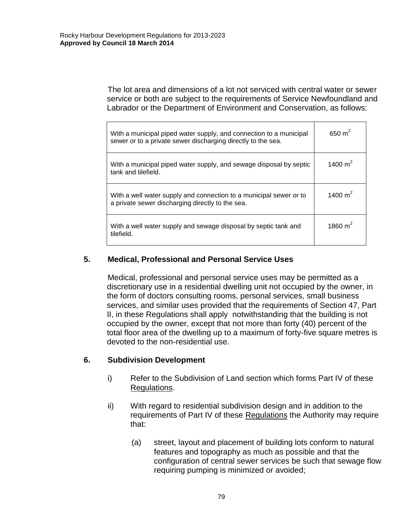The lot area and dimensions of a lot not serviced with central water or sewer service or both are subject to the requirements of Service Newfoundland and Labrador or the Department of Environment and Conservation, as follows:

| With a municipal piped water supply, and connection to a municipal<br>sewer or to a private sewer discharging directly to the sea. | 650 $m^2$ |
|------------------------------------------------------------------------------------------------------------------------------------|-----------|
| With a municipal piped water supply, and sewage disposal by septic<br>tank and tilefield.                                          | 1400 $m2$ |
| With a well water supply and connection to a municipal sewer or to<br>a private sewer discharging directly to the sea.             | 1400 $m2$ |
| With a well water supply and sewage disposal by septic tank and<br>tilefield.                                                      | 1860 $m2$ |

#### **5. Medical, Professional and Personal Service Uses**

Medical, professional and personal service uses may be permitted as a discretionary use in a residential dwelling unit not occupied by the owner, in the form of doctors consulting rooms, personal services, small business services, and similar uses provided that the requirements of Section 47, Part II, in these Regulations shall apply notwithstanding that the building is not occupied by the owner, except that not more than forty (40) percent of the total floor area of the dwelling up to a maximum of forty-five square metres is devoted to the non-residential use.

#### **6. Subdivision Development**

- i) Refer to the Subdivision of Land section which forms Part IV of these Regulations.
- ii) With regard to residential subdivision design and in addition to the requirements of Part IV of these Regulations the Authority may require that:
	- (a) street, layout and placement of building lots conform to natural features and topography as much as possible and that the configuration of central sewer services be such that sewage flow requiring pumping is minimized or avoided;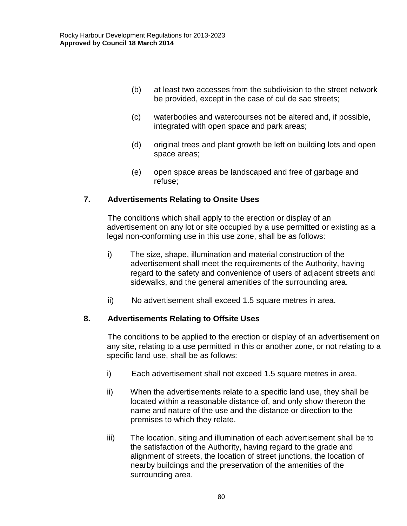- (b) at least two accesses from the subdivision to the street network be provided, except in the case of cul de sac streets;
- (c) waterbodies and watercourses not be altered and, if possible, integrated with open space and park areas;
- (d) original trees and plant growth be left on building lots and open space areas;
- (e) open space areas be landscaped and free of garbage and refuse;

#### **7. Advertisements Relating to Onsite Uses**

The conditions which shall apply to the erection or display of an advertisement on any lot or site occupied by a use permitted or existing as a legal non-conforming use in this use zone, shall be as follows:

- i) The size, shape, illumination and material construction of the advertisement shall meet the requirements of the Authority, having regard to the safety and convenience of users of adjacent streets and sidewalks, and the general amenities of the surrounding area.
- ii) No advertisement shall exceed 1.5 square metres in area.

#### **8. Advertisements Relating to Offsite Uses**

The conditions to be applied to the erection or display of an advertisement on any site, relating to a use permitted in this or another zone, or not relating to a specific land use, shall be as follows:

- i) Each advertisement shall not exceed 1.5 square metres in area.
- ii) When the advertisements relate to a specific land use, they shall be located within a reasonable distance of, and only show thereon the name and nature of the use and the distance or direction to the premises to which they relate.
- iii) The location, siting and illumination of each advertisement shall be to the satisfaction of the Authority, having regard to the grade and alignment of streets, the location of street junctions, the location of nearby buildings and the preservation of the amenities of the surrounding area.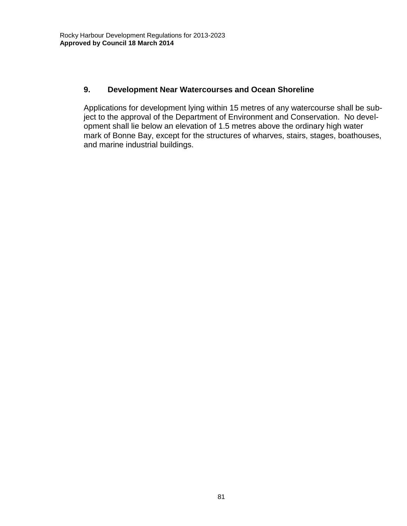#### **9. Development Near Watercourses and Ocean Shoreline**

Applications for development lying within 15 metres of any watercourse shall be subject to the approval of the Department of Environment and Conservation. No development shall lie below an elevation of 1.5 metres above the ordinary high water mark of Bonne Bay, except for the structures of wharves, stairs, stages, boathouses, and marine industrial buildings.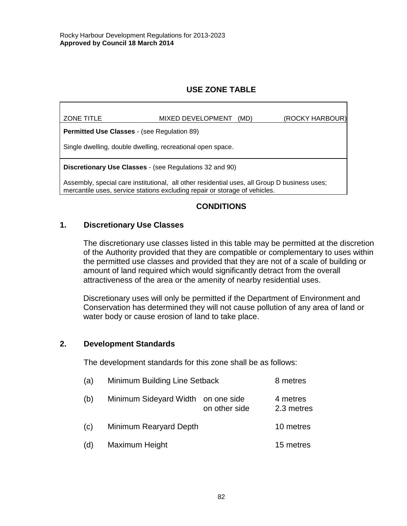ZONE TITLE MIXED DEVELOPMENT (MD) (ROCKY HARBOUR)

**Permitted Use Classes** - (see Regulation 89)

Single dwelling, double dwelling, recreational open space.

**Discretionary Use Classes** - (see Regulations 32 and 90)

Assembly, special care institutional, all other residential uses, all Group D business uses; mercantile uses, service stations excluding repair or storage of vehicles.

# **CONDITIONS**

#### **1. Discretionary Use Classes**

The discretionary use classes listed in this table may be permitted at the discretion of the Authority provided that they are compatible or complementary to uses within the permitted use classes and provided that they are not of a scale of building or amount of land required which would significantly detract from the overall attractiveness of the area or the amenity of nearby residential uses.

Discretionary uses will only be permitted if the Department of Environment and Conservation has determined they will not cause pollution of any area of land or water body or cause erosion of land to take place.

#### **2. Development Standards**

The development standards for this zone shall be as follows:

| (a) | Minimum Building Line Setback      |               | 8 metres               |
|-----|------------------------------------|---------------|------------------------|
| (b) | Minimum Sideyard Width on one side | on other side | 4 metres<br>2.3 metres |
| (c) | Minimum Rearyard Depth             |               | 10 metres              |
| (d) | Maximum Height                     |               | 15 metres              |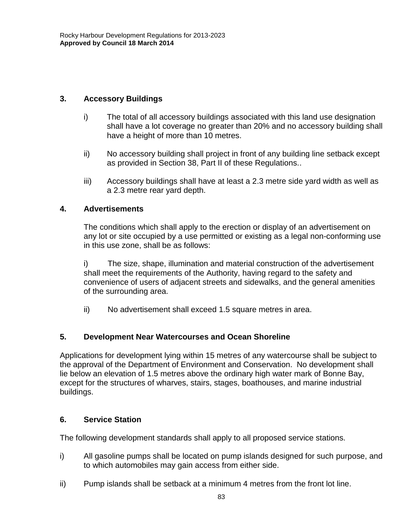#### **3. Accessory Buildings**

- i) The total of all accessory buildings associated with this land use designation shall have a lot coverage no greater than 20% and no accessory building shall have a height of more than 10 metres.
- ii) No accessory building shall project in front of any building line setback except as provided in Section 38, Part II of these Regulations..
- iii) Accessory buildings shall have at least a 2.3 metre side yard width as well as a 2.3 metre rear yard depth.

#### **4. Advertisements**

The conditions which shall apply to the erection or display of an advertisement on any lot or site occupied by a use permitted or existing as a legal non-conforming use in this use zone, shall be as follows:

i) The size, shape, illumination and material construction of the advertisement shall meet the requirements of the Authority, having regard to the safety and convenience of users of adjacent streets and sidewalks, and the general amenities of the surrounding area.

ii) No advertisement shall exceed 1.5 square metres in area.

#### **5. Development Near Watercourses and Ocean Shoreline**

Applications for development lying within 15 metres of any watercourse shall be subject to the approval of the Department of Environment and Conservation. No development shall lie below an elevation of 1.5 metres above the ordinary high water mark of Bonne Bay, except for the structures of wharves, stairs, stages, boathouses, and marine industrial buildings.

#### **6. Service Station**

The following development standards shall apply to all proposed service stations.

- i) All gasoline pumps shall be located on pump islands designed for such purpose, and to which automobiles may gain access from either side.
- ii) Pump islands shall be setback at a minimum 4 metres from the front lot line.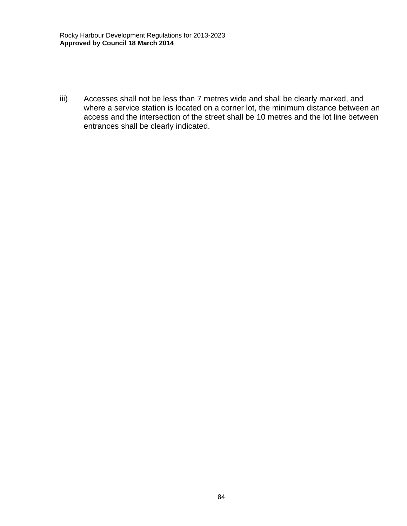iii) Accesses shall not be less than 7 metres wide and shall be clearly marked, and where a service station is located on a corner lot, the minimum distance between an access and the intersection of the street shall be 10 metres and the lot line between entrances shall be clearly indicated.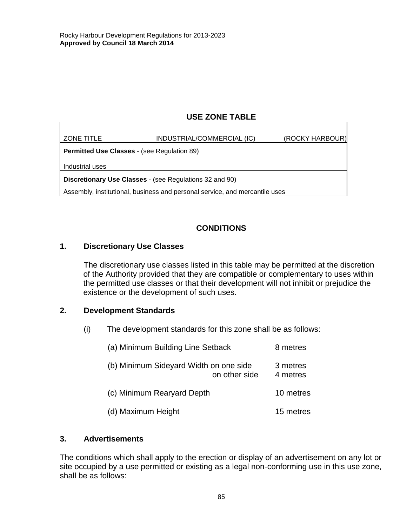| ZONE TITLE                                              | INDUSTRIAL/COMMERCIAL (IC)                                                  | (ROCKY HARBOUR) |
|---------------------------------------------------------|-----------------------------------------------------------------------------|-----------------|
| <b>Permitted Use Classes - (see Regulation 89)</b>      |                                                                             |                 |
| Industrial uses                                         |                                                                             |                 |
| Discretionary Use Classes - (see Regulations 32 and 90) |                                                                             |                 |
|                                                         | Assembly, institutional, business and personal service, and mercantile uses |                 |

# **CONDITIONS**

#### **1. Discretionary Use Classes**

The discretionary use classes listed in this table may be permitted at the discretion of the Authority provided that they are compatible or complementary to uses within the permitted use classes or that their development will not inhibit or prejudice the existence or the development of such uses.

#### **2. Development Standards**

(i) The development standards for this zone shall be as follows:

| (a) Minimum Building Line Setback      |               | 8 metres             |
|----------------------------------------|---------------|----------------------|
| (b) Minimum Sideyard Width on one side | on other side | 3 metres<br>4 metres |
| (c) Minimum Rearyard Depth             |               | 10 metres            |
| (d) Maximum Height                     |               | 15 metres            |

#### **3. Advertisements**

The conditions which shall apply to the erection or display of an advertisement on any lot or site occupied by a use permitted or existing as a legal non-conforming use in this use zone, shall be as follows: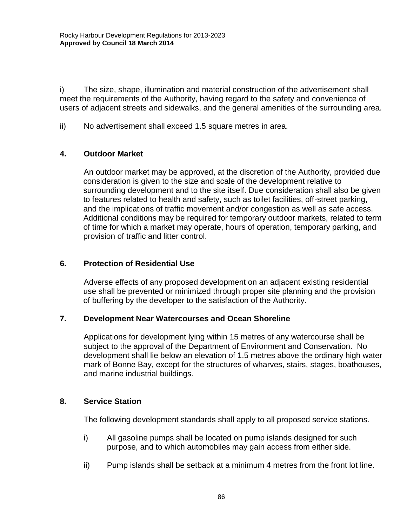i) The size, shape, illumination and material construction of the advertisement shall meet the requirements of the Authority, having regard to the safety and convenience of users of adjacent streets and sidewalks, and the general amenities of the surrounding area.

ii) No advertisement shall exceed 1.5 square metres in area.

#### **4. Outdoor Market**

An outdoor market may be approved, at the discretion of the Authority, provided due consideration is given to the size and scale of the development relative to surrounding development and to the site itself. Due consideration shall also be given to features related to health and safety, such as toilet facilities, off-street parking, and the implications of traffic movement and/or congestion as well as safe access. Additional conditions may be required for temporary outdoor markets, related to term of time for which a market may operate, hours of operation, temporary parking, and provision of traffic and litter control.

#### **6. Protection of Residential Use**

Adverse effects of any proposed development on an adjacent existing residential use shall be prevented or minimized through proper site planning and the provision of buffering by the developer to the satisfaction of the Authority.

#### **7. Development Near Watercourses and Ocean Shoreline**

Applications for development lying within 15 metres of any watercourse shall be subject to the approval of the Department of Environment and Conservation. No development shall lie below an elevation of 1.5 metres above the ordinary high water mark of Bonne Bay, except for the structures of wharves, stairs, stages, boathouses, and marine industrial buildings.

#### **8. Service Station**

The following development standards shall apply to all proposed service stations.

- i) All gasoline pumps shall be located on pump islands designed for such purpose, and to which automobiles may gain access from either side.
- ii) Pump islands shall be setback at a minimum 4 metres from the front lot line.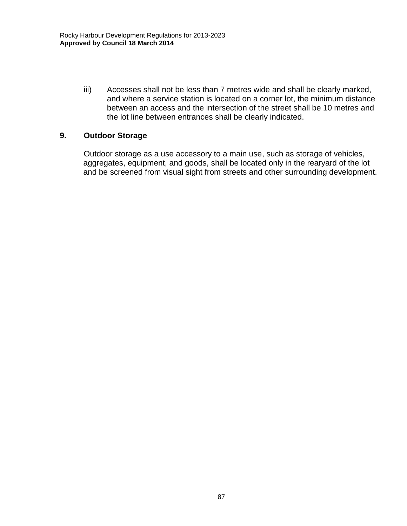iii) Accesses shall not be less than 7 metres wide and shall be clearly marked, and where a service station is located on a corner lot, the minimum distance between an access and the intersection of the street shall be 10 metres and the lot line between entrances shall be clearly indicated.

#### **9. Outdoor Storage**

Outdoor storage as a use accessory to a main use, such as storage of vehicles, aggregates, equipment, and goods, shall be located only in the rearyard of the lot and be screened from visual sight from streets and other surrounding development.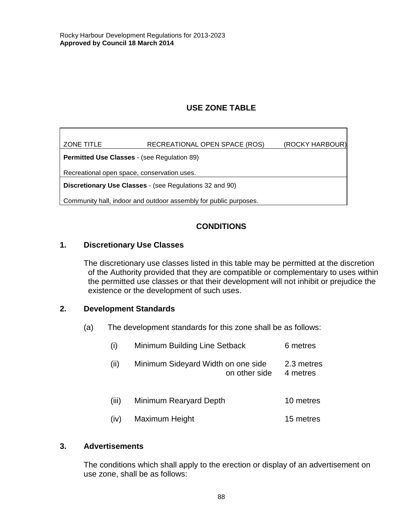ZONE TITLE RECREATIONAL OPEN SPACE (ROS) (ROCKY HARBOUR)

**Permitted Use Classes** - (see Regulation 89)

Recreational open space, conservation uses.

**Discretionary Use Classes** - (see Regulations 32 and 90)

Community hall, indoor and outdoor assembly for public purposes.

# **CONDITIONS**

#### **1. Discretionary Use Classes**

The discretionary use classes listed in this table may be permitted at the discretion of the Authority provided that they are compatible or complementary to uses within the permitted use classes or that their development will not inhibit or prejudice the existence or the development of such uses.

#### **2. Development Standards**

(a) The development standards for this zone shall be as follows:

| (i)   | Minimum Building Line Setback                       | 6 metres               |
|-------|-----------------------------------------------------|------------------------|
| (ii)  | Minimum Sideyard Width on one side<br>on other side | 2.3 metres<br>4 metres |
| (iii) | Minimum Rearyard Depth                              | 10 metres              |
| (iv)  | Maximum Height                                      | 15 metres              |

#### **3. Advertisements**

The conditions which shall apply to the erection or display of an advertisement on use zone, shall be as follows: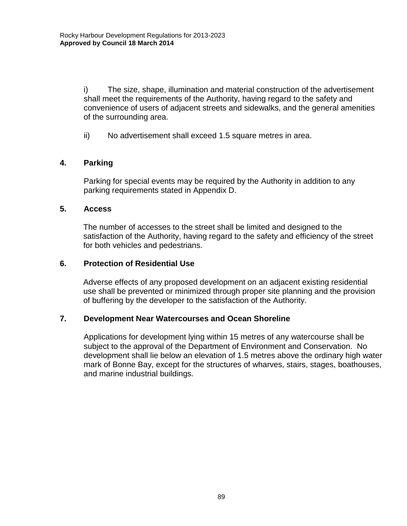i) The size, shape, illumination and material construction of the advertisement shall meet the requirements of the Authority, having regard to the safety and convenience of users of adjacent streets and sidewalks, and the general amenities of the surrounding area.

ii) No advertisement shall exceed 1.5 square metres in area.

#### **4. Parking**

Parking for special events may be required by the Authority in addition to any parking requirements stated in Appendix D.

#### **5. Access**

The number of accesses to the street shall be limited and designed to the satisfaction of the Authority, having regard to the safety and efficiency of the street for both vehicles and pedestrians.

#### **6. Protection of Residential Use**

Adverse effects of any proposed development on an adjacent existing residential use shall be prevented or minimized through proper site planning and the provision of buffering by the developer to the satisfaction of the Authority.

#### **7. Development Near Watercourses and Ocean Shoreline**

Applications for development lying within 15 metres of any watercourse shall be subject to the approval of the Department of Environment and Conservation. No development shall lie below an elevation of 1.5 metres above the ordinary high water mark of Bonne Bay, except for the structures of wharves, stairs, stages, boathouses, and marine industrial buildings.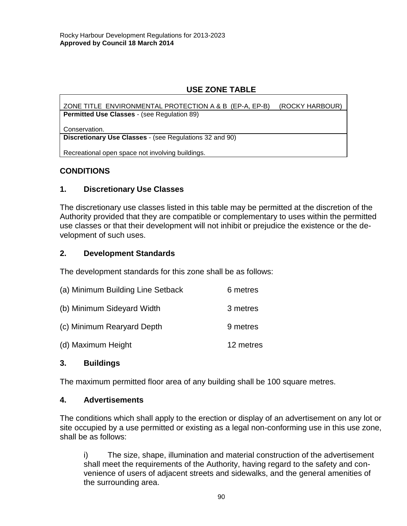ZONE TITLE ENVIRONMENTAL PROTECTION A & B (EP-A, EP-B) (ROCKY HARBOUR) **Permitted Use Classes** - (see Regulation 89)

Conservation.

**Discretionary Use Classes** - (see Regulations 32 and 90)

Recreational open space not involving buildings.

#### **CONDITIONS**

#### **1. Discretionary Use Classes**

The discretionary use classes listed in this table may be permitted at the discretion of the Authority provided that they are compatible or complementary to uses within the permitted use classes or that their development will not inhibit or prejudice the existence or the development of such uses.

#### **2. Development Standards**

The development standards for this zone shall be as follows:

| (a) Minimum Building Line Setback | 6 metres  |
|-----------------------------------|-----------|
| (b) Minimum Sideyard Width        | 3 metres  |
| (c) Minimum Rearyard Depth        | 9 metres  |
| (d) Maximum Height                | 12 metres |

#### **3. Buildings**

The maximum permitted floor area of any building shall be 100 square metres.

#### **4. Advertisements**

The conditions which shall apply to the erection or display of an advertisement on any lot or site occupied by a use permitted or existing as a legal non-conforming use in this use zone, shall be as follows:

i) The size, shape, illumination and material construction of the advertisement shall meet the requirements of the Authority, having regard to the safety and convenience of users of adjacent streets and sidewalks, and the general amenities of the surrounding area.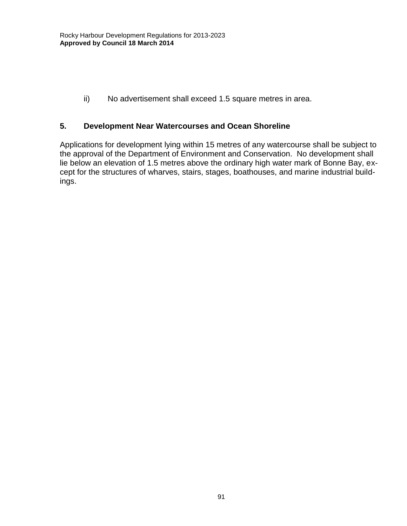ii) No advertisement shall exceed 1.5 square metres in area.

#### **5. Development Near Watercourses and Ocean Shoreline**

Applications for development lying within 15 metres of any watercourse shall be subject to the approval of the Department of Environment and Conservation. No development shall lie below an elevation of 1.5 metres above the ordinary high water mark of Bonne Bay, except for the structures of wharves, stairs, stages, boathouses, and marine industrial buildings.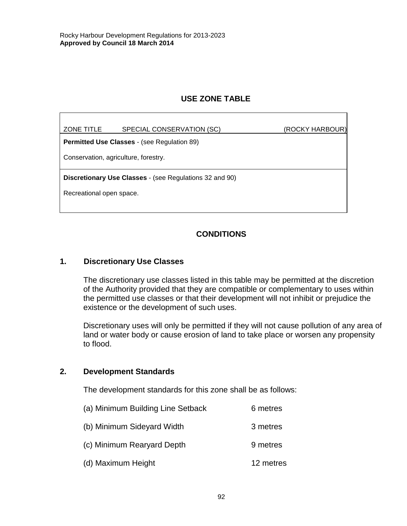| ZONE TITLE                                              | SPECIAL CONSERVATION (SC) | (ROCKY HARBOUR) |  |  |
|---------------------------------------------------------|---------------------------|-----------------|--|--|
| <b>Permitted Use Classes - (see Regulation 89)</b>      |                           |                 |  |  |
| Conservation, agriculture, forestry.                    |                           |                 |  |  |
| Discretionary Use Classes - (see Regulations 32 and 90) |                           |                 |  |  |
| Recreational open space.                                |                           |                 |  |  |
|                                                         |                           |                 |  |  |

# **CONDITIONS**

#### **1. Discretionary Use Classes**

Ē

The discretionary use classes listed in this table may be permitted at the discretion of the Authority provided that they are compatible or complementary to uses within the permitted use classes or that their development will not inhibit or prejudice the existence or the development of such uses.

Discretionary uses will only be permitted if they will not cause pollution of any area of land or water body or cause erosion of land to take place or worsen any propensity to flood.

#### **2. Development Standards**

The development standards for this zone shall be as follows:

| (a) Minimum Building Line Setback | 6 metres  |
|-----------------------------------|-----------|
| (b) Minimum Sideyard Width        | 3 metres  |
| (c) Minimum Rearyard Depth        | 9 metres  |
| (d) Maximum Height                | 12 metres |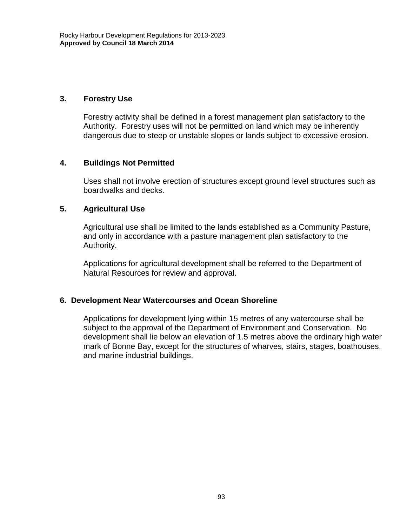#### **3. Forestry Use**

Forestry activity shall be defined in a forest management plan satisfactory to the Authority. Forestry uses will not be permitted on land which may be inherently dangerous due to steep or unstable slopes or lands subject to excessive erosion.

#### **4. Buildings Not Permitted**

Uses shall not involve erection of structures except ground level structures such as boardwalks and decks.

#### **5. Agricultural Use**

Agricultural use shall be limited to the lands established as a Community Pasture, and only in accordance with a pasture management plan satisfactory to the Authority.

Applications for agricultural development shall be referred to the Department of Natural Resources for review and approval.

#### **6. Development Near Watercourses and Ocean Shoreline**

Applications for development lying within 15 metres of any watercourse shall be subject to the approval of the Department of Environment and Conservation. No development shall lie below an elevation of 1.5 metres above the ordinary high water mark of Bonne Bay, except for the structures of wharves, stairs, stages, boathouses, and marine industrial buildings.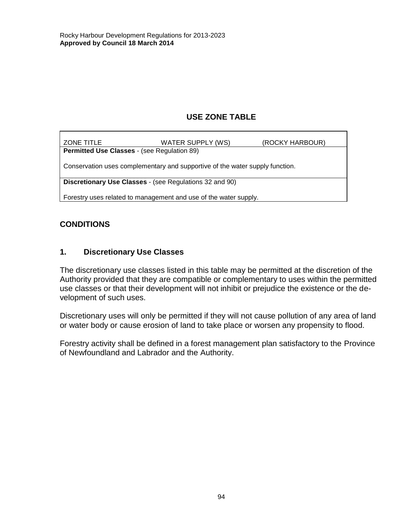| ZONE TITLE                                                                   | WATER SUPPLY (WS) | (ROCKY HARBOUR) |  |  |
|------------------------------------------------------------------------------|-------------------|-----------------|--|--|
| <b>Permitted Use Classes - (see Regulation 89)</b>                           |                   |                 |  |  |
| Conservation uses complementary and supportive of the water supply function. |                   |                 |  |  |
| Discretionary Use Classes - (see Regulations 32 and 90)                      |                   |                 |  |  |
| Forestry uses related to management and use of the water supply.             |                   |                 |  |  |

# **CONDITIONS**

#### **1. Discretionary Use Classes**

The discretionary use classes listed in this table may be permitted at the discretion of the Authority provided that they are compatible or complementary to uses within the permitted use classes or that their development will not inhibit or prejudice the existence or the development of such uses.

Discretionary uses will only be permitted if they will not cause pollution of any area of land or water body or cause erosion of land to take place or worsen any propensity to flood.

Forestry activity shall be defined in a forest management plan satisfactory to the Province of Newfoundland and Labrador and the Authority.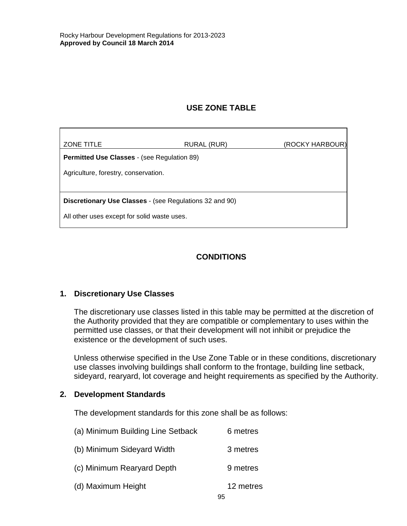| ZONE TITLE                                              | RURAL (RUR) | (ROCKY HARBOUR) |  |  |
|---------------------------------------------------------|-------------|-----------------|--|--|
| <b>Permitted Use Classes - (see Regulation 89)</b>      |             |                 |  |  |
| Agriculture, forestry, conservation.                    |             |                 |  |  |
|                                                         |             |                 |  |  |
| Discretionary Use Classes - (see Regulations 32 and 90) |             |                 |  |  |
| All other uses except for solid waste uses.             |             |                 |  |  |

# **CONDITIONS**

#### **1. Discretionary Use Classes**

Г

The discretionary use classes listed in this table may be permitted at the discretion of the Authority provided that they are compatible or complementary to uses within the permitted use classes, or that their development will not inhibit or prejudice the existence or the development of such uses.

Unless otherwise specified in the Use Zone Table or in these conditions, discretionary use classes involving buildings shall conform to the frontage, building line setback, sideyard, rearyard, lot coverage and height requirements as specified by the Authority.

#### **2. Development Standards**

The development standards for this zone shall be as follows:

| (a) Minimum Building Line Setback | 6 metres  |
|-----------------------------------|-----------|
| (b) Minimum Sideyard Width        | 3 metres  |
| (c) Minimum Rearyard Depth        | 9 metres  |
| (d) Maximum Height                | 12 metres |
|                                   | 95        |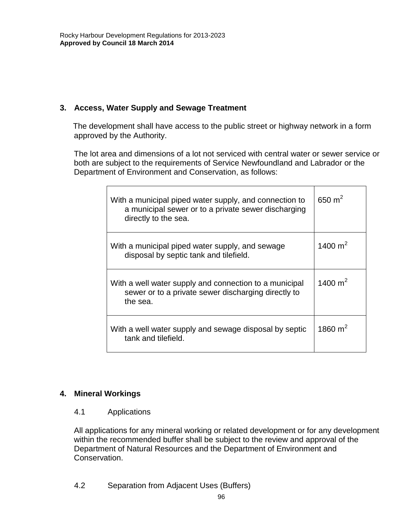#### **3. Access, Water Supply and Sewage Treatment**

 The development shall have access to the public street or highway network in a form approved by the Authority.

The lot area and dimensions of a lot not serviced with central water or sewer service or both are subject to the requirements of Service Newfoundland and Labrador or the Department of Environment and Conservation, as follows:

| With a municipal piped water supply, and connection to<br>a municipal sewer or to a private sewer discharging<br>directly to the sea. | 650 $m2$  |
|---------------------------------------------------------------------------------------------------------------------------------------|-----------|
| With a municipal piped water supply, and sewage<br>disposal by septic tank and tilefield.                                             | 1400 $m2$ |
| With a well water supply and connection to a municipal<br>sewer or to a private sewer discharging directly to<br>the sea.             | 1400 $m2$ |
| With a well water supply and sewage disposal by septic<br>tank and tilefield.                                                         | 1860 $m2$ |

#### **4. Mineral Workings**

#### 4.1 Applications

All applications for any mineral working or related development or for any development within the recommended buffer shall be subject to the review and approval of the Department of Natural Resources and the Department of Environment and Conservation.

4.2 Separation from Adjacent Uses (Buffers)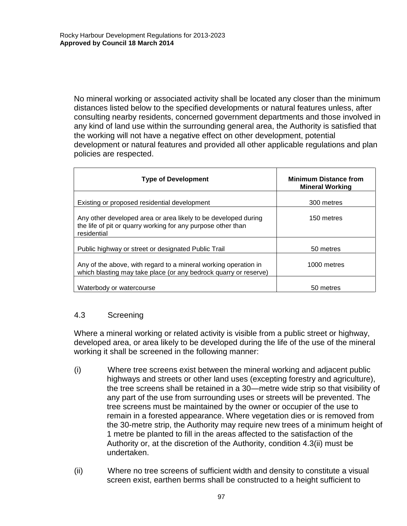No mineral working or associated activity shall be located any closer than the minimum distances listed below to the specified developments or natural features unless, after consulting nearby residents, concerned government departments and those involved in any kind of land use within the surrounding general area, the Authority is satisfied that the working will not have a negative effect on other development, potential development or natural features and provided all other applicable regulations and plan policies are respected.

| <b>Type of Development</b>                                                                                                                    | <b>Minimum Distance from</b><br><b>Mineral Working</b> |
|-----------------------------------------------------------------------------------------------------------------------------------------------|--------------------------------------------------------|
| Existing or proposed residential development                                                                                                  | 300 metres                                             |
| Any other developed area or area likely to be developed during<br>the life of pit or quarry working for any purpose other than<br>residential | 150 metres                                             |
| Public highway or street or designated Public Trail                                                                                           | 50 metres                                              |
| Any of the above, with regard to a mineral working operation in<br>which blasting may take place (or any bedrock quarry or reserve)           | 1000 metres                                            |
| Waterbody or watercourse                                                                                                                      | 50 metres                                              |

### 4.3 Screening

Where a mineral working or related activity is visible from a public street or highway, developed area, or area likely to be developed during the life of the use of the mineral working it shall be screened in the following manner:

- (i) Where tree screens exist between the mineral working and adjacent public highways and streets or other land uses (excepting forestry and agriculture), the tree screens shall be retained in a 30—metre wide strip so that visibility of any part of the use from surrounding uses or streets will be prevented. The tree screens must be maintained by the owner or occupier of the use to remain in a forested appearance. Where vegetation dies or is removed from the 30-metre strip, the Authority may require new trees of a minimum height of 1 metre be planted to fill in the areas affected to the satisfaction of the Authority or, at the discretion of the Authority, condition 4.3(ii) must be undertaken.
- (ii) Where no tree screens of sufficient width and density to constitute a visual screen exist, earthen berms shall be constructed to a height sufficient to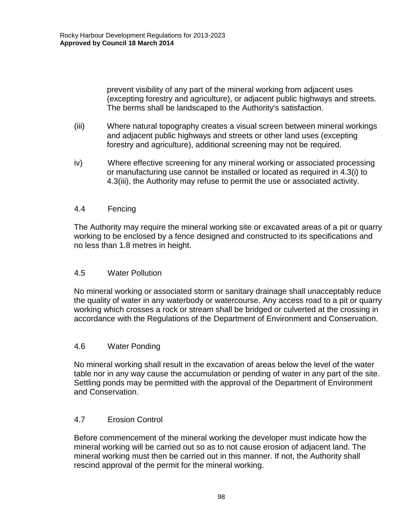prevent visibility of any part of the mineral working from adjacent uses (excepting forestry and agriculture), or adjacent public highways and streets. The berms shall be landscaped to the Authority's satisfaction.

- (iii) Where natural topography creates a visual screen between mineral workings and adjacent public highways and streets or other land uses (excepting forestry and agriculture), additional screening may not be required.
- iv) Where effective screening for any mineral working or associated processing or manufacturing use cannot be installed or located as required in 4.3(i) to 4.3(iii), the Authority may refuse to permit the use or associated activity.

### 4.4 Fencing

The Authority may require the mineral working site or excavated areas of a pit or quarry working to be enclosed by a fence designed and constructed to its specifications and no less than 1.8 metres in height.

### 4.5 Water Pollution

No mineral working or associated storm or sanitary drainage shall unacceptably reduce the quality of water in any waterbody or watercourse. Any access road to a pit or quarry working which crosses a rock or stream shall be bridged or culverted at the crossing in accordance with the Regulations of the Department of Environment and Conservation.

### 4.6 Water Ponding

No mineral working shall result in the excavation of areas below the level of the water table nor in any way cause the accumulation or pending of water in any part of the site. Settling ponds may be permitted with the approval of the Department of Environment and Conservation.

### 4.7 Erosion Control

Before commencement of the mineral working the developer must indicate how the mineral working will be carried out so as to not cause erosion of adjacent land. The mineral working must then be carried out in this manner. If not, the Authority shall rescind approval of the permit for the mineral working.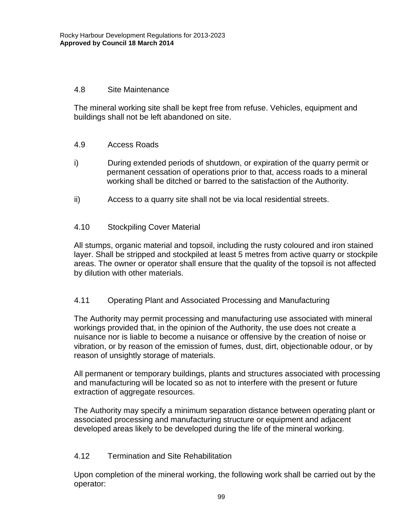### 4.8 Site Maintenance

The mineral working site shall be kept free from refuse. Vehicles, equipment and buildings shall not be left abandoned on site.

### 4.9 Access Roads

- i) During extended periods of shutdown, or expiration of the quarry permit or permanent cessation of operations prior to that, access roads to a mineral working shall be ditched or barred to the satisfaction of the Authority.
- ii) Access to a quarry site shall not be via local residential streets.

### 4.10 Stockpiling Cover Material

All stumps, organic material and topsoil, including the rusty coloured and iron stained layer. Shall be stripped and stockpiled at least 5 metres from active quarry or stockpile areas. The owner or operator shall ensure that the quality of the topsoil is not affected by dilution with other materials.

### 4.11 Operating Plant and Associated Processing and Manufacturing

The Authority may permit processing and manufacturing use associated with mineral workings provided that, in the opinion of the Authority, the use does not create a nuisance nor is liable to become a nuisance or offensive by the creation of noise or vibration, or by reason of the emission of fumes, dust, dirt, objectionable odour, or by reason of unsightly storage of materials.

All permanent or temporary buildings, plants and structures associated with processing and manufacturing will be located so as not to interfere with the present or future extraction of aggregate resources.

The Authority may specify a minimum separation distance between operating plant or associated processing and manufacturing structure or equipment and adjacent developed areas likely to be developed during the life of the mineral working.

### 4.12 Termination and Site Rehabilitation

Upon completion of the mineral working, the following work shall be carried out by the operator: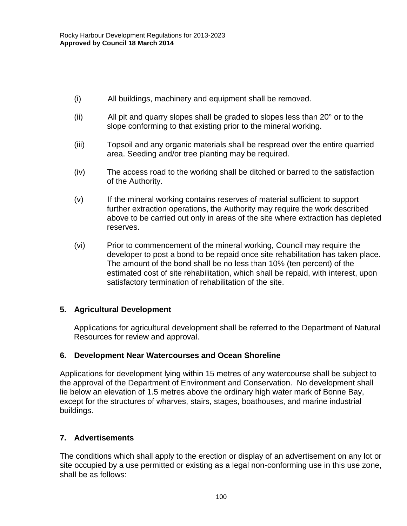- (i) All buildings, machinery and equipment shall be removed.
- (ii) All pit and quarry slopes shall be graded to slopes less than  $20^{\circ}$  or to the slope conforming to that existing prior to the mineral working.
- (iii) Topsoil and any organic materials shall be respread over the entire quarried area. Seeding and/or tree planting may be required.
- (iv) The access road to the working shall be ditched or barred to the satisfaction of the Authority.
- (v) If the mineral working contains reserves of material sufficient to support further extraction operations, the Authority may require the work described above to be carried out only in areas of the site where extraction has depleted reserves.
- (vi) Prior to commencement of the mineral working, Council may require the developer to post a bond to be repaid once site rehabilitation has taken place. The amount of the bond shall be no less than 10% (ten percent) of the estimated cost of site rehabilitation, which shall be repaid, with interest, upon satisfactory termination of rehabilitation of the site.

### **5. Agricultural Development**

Applications for agricultural development shall be referred to the Department of Natural Resources for review and approval.

### **6. Development Near Watercourses and Ocean Shoreline**

Applications for development lying within 15 metres of any watercourse shall be subject to the approval of the Department of Environment and Conservation. No development shall lie below an elevation of 1.5 metres above the ordinary high water mark of Bonne Bay, except for the structures of wharves, stairs, stages, boathouses, and marine industrial buildings.

### **7. Advertisements**

The conditions which shall apply to the erection or display of an advertisement on any lot or site occupied by a use permitted or existing as a legal non-conforming use in this use zone, shall be as follows: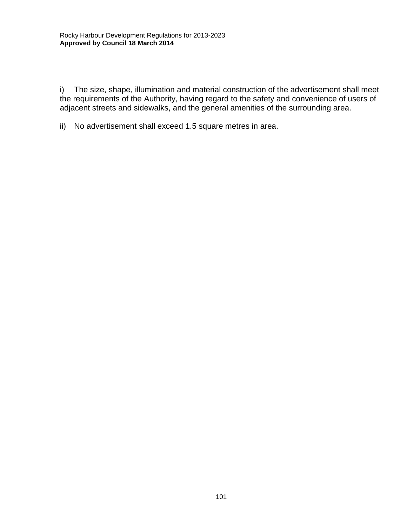i) The size, shape, illumination and material construction of the advertisement shall meet the requirements of the Authority, having regard to the safety and convenience of users of adjacent streets and sidewalks, and the general amenities of the surrounding area.

ii) No advertisement shall exceed 1.5 square metres in area.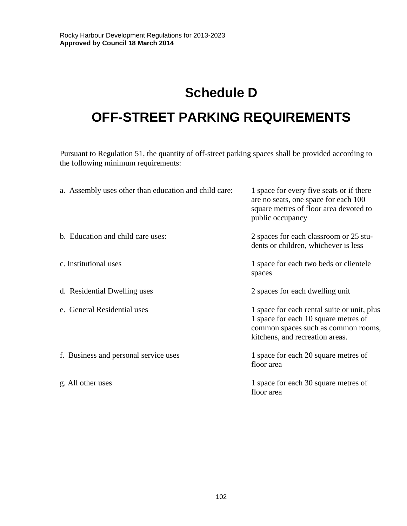## **Schedule D**

## **OFF-STREET PARKING REQUIREMENTS**

Pursuant to Regulation 51, the quantity of off-street parking spaces shall be provided according to the following minimum requirements:

| a. Assembly uses other than education and child care: | 1 space for every five seats or if there<br>are no seats, one space for each 100<br>square metres of floor area devoted to<br>public occupancy                |
|-------------------------------------------------------|---------------------------------------------------------------------------------------------------------------------------------------------------------------|
| b. Education and child care uses:                     | 2 spaces for each classroom or 25 stu-<br>dents or children, whichever is less                                                                                |
| c. Institutional uses                                 | 1 space for each two beds or clientele<br>spaces                                                                                                              |
| d. Residential Dwelling uses                          | 2 spaces for each dwelling unit                                                                                                                               |
| e. General Residential uses                           | 1 space for each rental suite or unit, plus<br>1 space for each 10 square metres of<br>common spaces such as common rooms,<br>kitchens, and recreation areas. |
| f. Business and personal service uses                 | 1 space for each 20 square metres of<br>floor area                                                                                                            |
| g. All other uses                                     | 1 space for each 30 square metres of<br>floor area                                                                                                            |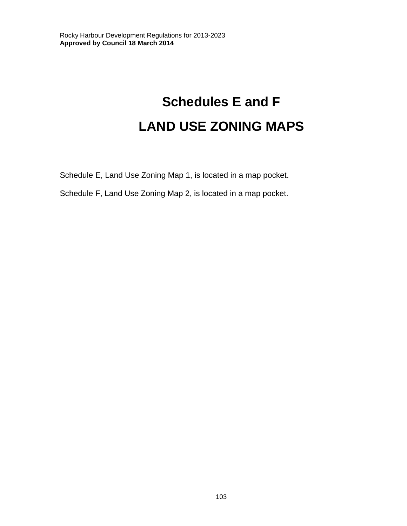# **Schedules E and F LAND USE ZONING MAPS**

Schedule E, Land Use Zoning Map 1, is located in a map pocket.

Schedule F, Land Use Zoning Map 2, is located in a map pocket.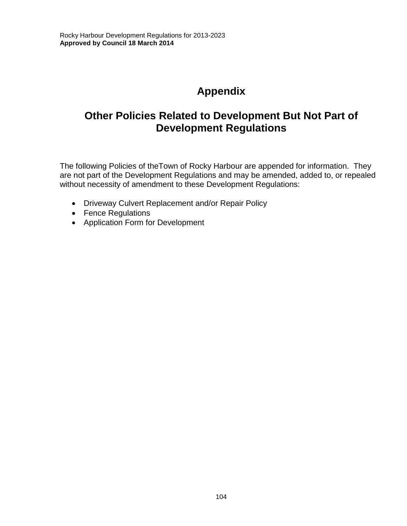## **Appendix**

## **Other Policies Related to Development But Not Part of Development Regulations**

The following Policies of theTown of Rocky Harbour are appended for information. They are not part of the Development Regulations and may be amended, added to, or repealed without necessity of amendment to these Development Regulations:

- Driveway Culvert Replacement and/or Repair Policy
- Fence Regulations
- Application Form for Development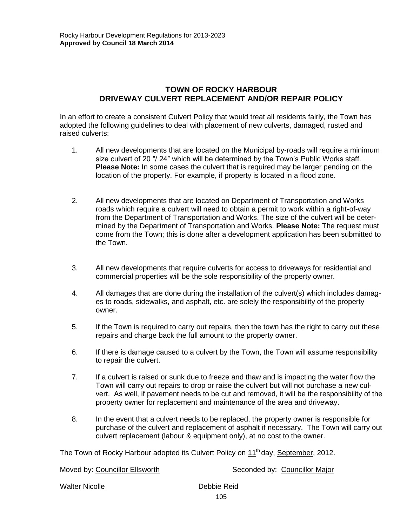### **TOWN OF ROCKY HARBOUR DRIVEWAY CULVERT REPLACEMENT AND/OR REPAIR POLICY**

In an effort to create a consistent Culvert Policy that would treat all residents fairly, the Town has adopted the following guidelines to deal with placement of new culverts, damaged, rusted and raised culverts:

- 1. All new developments that are located on the Municipal by-roads will require a minimum size culvert of 20 ″/ 24″ which will be determined by the Town's Public Works staff. **Please Note:** In some cases the culvert that is required may be larger pending on the location of the property. For example, if property is located in a flood zone.
- 2. All new developments that are located on Department of Transportation and Works roads which require a culvert will need to obtain a permit to work within a right-of-way from the Department of Transportation and Works. The size of the culvert will be determined by the Department of Transportation and Works. **Please Note:** The request must come from the Town; this is done after a development application has been submitted to the Town.
- 3. All new developments that require culverts for access to driveways for residential and commercial properties will be the sole responsibility of the property owner.
- 4. All damages that are done during the installation of the culvert(s) which includes damages to roads, sidewalks, and asphalt, etc. are solely the responsibility of the property owner.
- 5. If the Town is required to carry out repairs, then the town has the right to carry out these repairs and charge back the full amount to the property owner.
- 6. If there is damage caused to a culvert by the Town, the Town will assume responsibility to repair the culvert.
- 7. If a culvert is raised or sunk due to freeze and thaw and is impacting the water flow the Town will carry out repairs to drop or raise the culvert but will not purchase a new culvert. As well, if pavement needs to be cut and removed, it will be the responsibility of the property owner for replacement and maintenance of the area and driveway.
- 8. In the event that a culvert needs to be replaced, the property owner is responsible for purchase of the culvert and replacement of asphalt if necessary. The Town will carry out culvert replacement (labour & equipment only), at no cost to the owner.

The Town of Rocky Harbour adopted its Culvert Policy on  $11<sup>th</sup>$  day, September, 2012.

Moved by: Councillor Ellsworth Seconded by: Councillor Major

Walter Nicolle **Debbie Reid**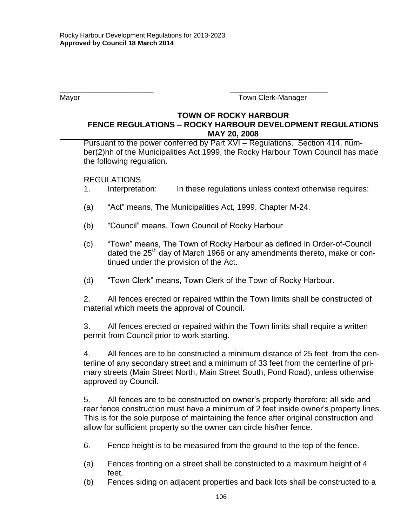Mayor Mayor Town Clerk-Manager

### **TOWN OF ROCKY HARBOUR FENCE REGULATIONS – ROCKY HARBOUR DEVELOPMENT REGULATIONS MAY 20, 2008**

Pursuant to the power conferred by Part XVI – Regulations. Section 414, number(2)hh of the Municipalities Act 1999, the Rocky Harbour Town Council has made the following regulation.

### REGULATIONS

- 1. Interpretation: In these regulations unless context otherwise requires:
- (a) "Act" means, The Municipalities Act, 1999, Chapter M-24.

\_\_\_\_\_\_\_\_\_\_\_\_\_\_\_\_\_\_\_\_\_\_\_ \_\_\_\_\_\_\_\_\_\_\_\_\_\_\_\_\_\_\_\_\_\_\_\_

- (b) "Council" means, Town Council of Rocky Harbour
- (c) "Town" means, The Town of Rocky Harbour as defined in Order-of-Council dated the 25<sup>th</sup> day of March 1966 or any amendments thereto, make or continued under the provision of the Act.
- (d) "Town Clerk" means, Town Clerk of the Town of Rocky Harbour.

2. All fences erected or repaired within the Town limits shall be constructed of material which meets the approval of Council.

3. All fences erected or repaired within the Town limits shall require a written permit from Council prior to work starting.

4. All fences are to be constructed a minimum distance of 25 feet from the centerline of any secondary street and a minimum of 33 feet from the centerline of primary streets (Main Street North, Main Street South, Pond Road), unless otherwise approved by Council.

5. All fences are to be constructed on owner's property therefore; all side and rear fence construction must have a minimum of 2 feet inside owner's property lines. This is for the sole purpose of maintaining the fence after original construction and allow for sufficient property so the owner can circle his/her fence.

- 6. Fence height is to be measured from the ground to the top of the fence.
- (a) Fences fronting on a street shall be constructed to a maximum height of 4 feet.
- (b) Fences siding on adjacent properties and back lots shall be constructed to a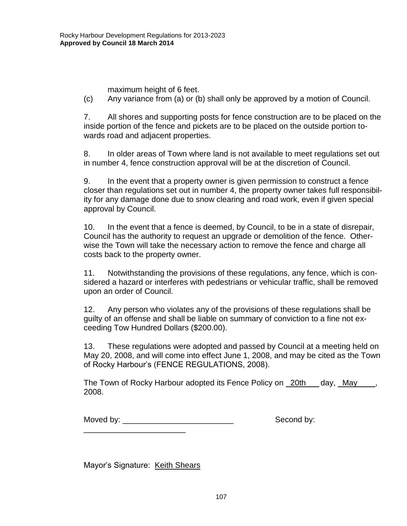maximum height of 6 feet.

(c) Any variance from (a) or (b) shall only be approved by a motion of Council.

7. All shores and supporting posts for fence construction are to be placed on the inside portion of the fence and pickets are to be placed on the outside portion towards road and adjacent properties.

8. In older areas of Town where land is not available to meet regulations set out in number 4, fence construction approval will be at the discretion of Council.

9. In the event that a property owner is given permission to construct a fence closer than regulations set out in number 4, the property owner takes full responsibility for any damage done due to snow clearing and road work, even if given special approval by Council.

10. In the event that a fence is deemed, by Council, to be in a state of disrepair, Council has the authority to request an upgrade or demolition of the fence. Otherwise the Town will take the necessary action to remove the fence and charge all costs back to the property owner.

11. Notwithstanding the provisions of these regulations, any fence, which is considered a hazard or interferes with pedestrians or vehicular traffic, shall be removed upon an order of Council.

12. Any person who violates any of the provisions of these regulations shall be guilty of an offense and shall be liable on summary of conviction to a fine not exceeding Tow Hundred Dollars (\$200.00).

13. These regulations were adopted and passed by Council at a meeting held on May 20, 2008, and will come into effect June 1, 2008, and may be cited as the Town of Rocky Harbour's (FENCE REGULATIONS, 2008).

The Town of Rocky Harbour adopted its Fence Policy on \_20th\_\_\_ day, \_May \_\_\_ 2008.

| Moved by: |  |  |
|-----------|--|--|
|           |  |  |

Second by:

Mayor's Signature: Keith Shears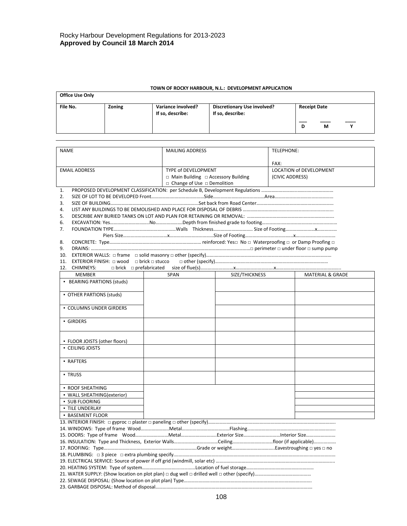### **TOWN OF ROCKY HARBOUR, N.L.: DEVELOPMENT APPLICATION**

٦

| <b>Office Use Only</b> |        |                                        |                                                        |   |                          |  |
|------------------------|--------|----------------------------------------|--------------------------------------------------------|---|--------------------------|--|
| File No.               | Zoning | Variance involved?<br>If so, describe: | <b>Discretionary Use involved?</b><br>If so, describe: | D | <b>Receipt Date</b><br>М |  |

| <b>NAME</b>                                  | <b>MAILING ADDRESS</b>                         |                | <b>TELEPHONE:</b>       |                             |
|----------------------------------------------|------------------------------------------------|----------------|-------------------------|-----------------------------|
|                                              |                                                |                |                         |                             |
|                                              |                                                |                | FAX:                    |                             |
| <b>EMAIL ADDRESS</b>                         | TYPE of DEVELOPMENT                            |                | LOCATION of DEVELOPMENT |                             |
|                                              | $\Box$ Main Building $\Box$ Accessory Building |                | (CIVIC ADDRESS)         |                             |
|                                              | □ Change of Use □ Demolition                   |                |                         |                             |
| 1.                                           |                                                |                |                         |                             |
| 2.                                           |                                                |                |                         |                             |
| 3.                                           |                                                |                |                         |                             |
| 4.                                           |                                                |                |                         |                             |
| 5.                                           |                                                |                |                         |                             |
| 6.                                           |                                                |                |                         |                             |
| 7.                                           |                                                |                |                         |                             |
|                                              |                                                |                |                         |                             |
| 8.                                           |                                                |                |                         |                             |
| 9.                                           |                                                |                |                         |                             |
|                                              |                                                |                |                         |                             |
| 11. EXTERIOR FINISH: □ wood □ brick □ stucco |                                                |                |                         |                             |
| <b>CHIMNEYS:</b><br>12.                      |                                                |                |                         |                             |
| <b>MEMBER</b>                                | SPAN                                           | SIZE/THICKNESS |                         | <b>MATERIAL &amp; GRADE</b> |
| • BEARING PARTIONS (studs)                   |                                                |                |                         |                             |
|                                              |                                                |                |                         |                             |
| • OTHER PARTIONS (studs)                     |                                                |                |                         |                             |
|                                              |                                                |                |                         |                             |
| <b>• COLUMNS UNDER GIRDERS</b>               |                                                |                |                         |                             |
|                                              |                                                |                |                         |                             |
| GIRDERS                                      |                                                |                |                         |                             |
|                                              |                                                |                |                         |                             |
|                                              |                                                |                |                         |                             |
| • FLOOR JOISTS (other floors)                |                                                |                |                         |                             |
| - CEILING JOISTS                             |                                                |                |                         |                             |
|                                              |                                                |                |                         |                             |
| · RAFTERS                                    |                                                |                |                         |                             |
|                                              |                                                |                |                         |                             |
| - TRUSS                                      |                                                |                |                         |                             |
|                                              |                                                |                |                         |                             |
| • ROOF SHEATHING                             |                                                |                |                         |                             |
| • WALL SHEATHING(exterior)                   |                                                |                |                         |                             |
| · SUB FLOORING                               |                                                |                |                         |                             |
|                                              |                                                |                |                         |                             |
| · TILE UNDERLAY                              |                                                |                |                         |                             |
| <b>BASEMENT FLOOR</b>                        |                                                |                |                         |                             |
|                                              |                                                |                |                         |                             |
|                                              |                                                |                |                         |                             |
|                                              |                                                |                |                         |                             |
|                                              |                                                |                |                         |                             |
|                                              |                                                |                |                         |                             |
|                                              |                                                |                |                         |                             |
|                                              |                                                |                |                         |                             |
|                                              |                                                |                |                         |                             |
|                                              |                                                |                |                         |                             |
|                                              |                                                |                |                         |                             |
|                                              |                                                |                |                         |                             |